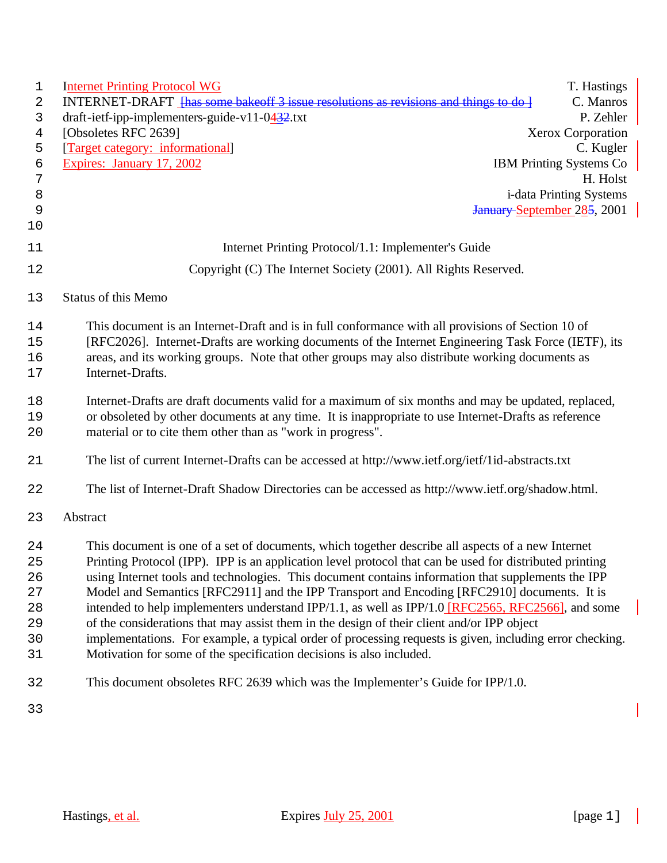| 1  | <b>Internet Printing Protocol WG</b>                                                                     | T. Hastings                        |
|----|----------------------------------------------------------------------------------------------------------|------------------------------------|
| 2  | INTERNET-DRAFT <del>[has some bake of 3 issue resolutions as revisions and things to do ]</del>          | C. Manros                          |
| 3  | draft-ietf-ipp-implementers-guide-v11-0 $432$ .txt                                                       | P. Zehler                          |
| 4  | [Obsoletes RFC 2639]                                                                                     | Xerox Corporation                  |
| 5  | [Target category: informational]                                                                         | C. Kugler                          |
| 6  | Expires: January 17, 2002                                                                                | <b>IBM Printing Systems Co</b>     |
| 7  |                                                                                                          | H. Holst                           |
| 8  |                                                                                                          | i-data Printing Systems            |
| 9  |                                                                                                          | <b>January September 285, 2001</b> |
| 10 |                                                                                                          |                                    |
| 11 | Internet Printing Protocol/1.1: Implementer's Guide                                                      |                                    |
| 12 | Copyright (C) The Internet Society (2001). All Rights Reserved.                                          |                                    |
| 13 | <b>Status of this Memo</b>                                                                               |                                    |
| 14 | This document is an Internet-Draft and is in full conformance with all provisions of Section 10 of       |                                    |
| 15 | [RFC2026]. Internet-Drafts are working documents of the Internet Engineering Task Force (IETF), its      |                                    |
| 16 | areas, and its working groups. Note that other groups may also distribute working documents as           |                                    |
| 17 | Internet-Drafts.                                                                                         |                                    |
| 18 | Internet-Drafts are draft documents valid for a maximum of six months and may be updated, replaced,      |                                    |
| 19 | or obsoleted by other documents at any time. It is inappropriate to use Internet-Drafts as reference     |                                    |
| 20 | material or to cite them other than as "work in progress".                                               |                                    |
| 21 | The list of current Internet-Drafts can be accessed at http://www.ietf.org/ietf/1id-abstracts.txt        |                                    |
| 22 | The list of Internet-Draft Shadow Directories can be accessed as http://www.ietf.org/shadow.html.        |                                    |
| 23 | Abstract                                                                                                 |                                    |
| 24 | This document is one of a set of documents, which together describe all aspects of a new Internet        |                                    |
| 25 | Printing Protocol (IPP). IPP is an application level protocol that can be used for distributed printing  |                                    |
| 26 | using Internet tools and technologies. This document contains information that supplements the IPP       |                                    |
| 27 | Model and Semantics [RFC2911] and the IPP Transport and Encoding [RFC2910] documents. It is              |                                    |
| 28 | intended to help implementers understand IPP/1.1, as well as IPP/1.0 [RFC2565, RFC2566], and some        |                                    |
| 29 | of the considerations that may assist them in the design of their client and/or IPP object               |                                    |
| 30 | implementations. For example, a typical order of processing requests is given, including error checking. |                                    |
| 31 | Motivation for some of the specification decisions is also included.                                     |                                    |
| 32 | This document obsoletes RFC 2639 which was the Implementer's Guide for IPP/1.0.                          |                                    |
| 33 |                                                                                                          |                                    |

 $\overline{\phantom{a}}$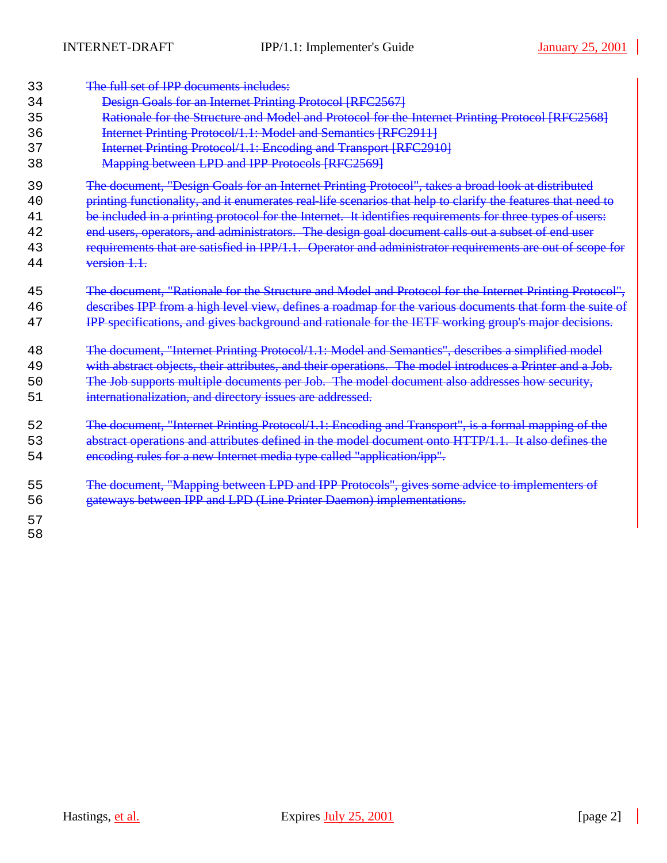| 33                   | The full set of IPP documents includes:                                                                                                                            |
|----------------------|--------------------------------------------------------------------------------------------------------------------------------------------------------------------|
| 34                   | <b>Design Goals for an Internet Printing Protocol [RFC2567]</b>                                                                                                    |
| 35                   | Rationale for the Structure and Model and Protocol for the Internet Printing Protocol [RFC2568]                                                                    |
| 36                   | <b>Internet Printing Protocol/1.1: Model and Semantics [RFC2911]</b>                                                                                               |
| 37                   | <b>Internet Printing Protocol/1.1: Encoding and Transport [RFC2910]</b>                                                                                            |
| 38                   | <b>Mapping between LPD and IPP Protocols [RFC2569]</b>                                                                                                             |
| 39                   | The document, "Design Goals for an Internet Printing Protocol", takes a broad look at distributed                                                                  |
| 40                   | printing functionality, and it enumerates real-life scenarios that help to clarify the features that need to                                                       |
| 41                   | be included in a printing protocol for the Internet. It identifies requirements for three types of users:                                                          |
| 42                   | end users, operators, and administrators. The design goal document calls out a subset of end user                                                                  |
| 43                   | requirements that are satisfied in IPP/1.1. Operator and administrator requirements are out of scope for                                                           |
| 44                   | version 1.1.                                                                                                                                                       |
| 45                   | The document, "Rationale for the Structure and Model and Protocol for the Internet Printing Protocol",                                                             |
| 46                   | describes IPP from a high level view, defines a roadmap for the various documents that form the suite of                                                           |
| 47                   | IPP specifications, and gives background and rationale for the IETF working group's major decisions.                                                               |
| 48                   | The document, "Internet Printing Protocol/1.1: Model and Semantics", describes a simplified model                                                                  |
| 49                   | with abstract objects, their attributes, and their operations. The model introduces a Printer and a Job.                                                           |
| 50                   | The Job supports multiple documents per Job. The model document also addresses how security,                                                                       |
| 51                   | internationalization, and directory issues are addressed.                                                                                                          |
| 52                   | The document, "Internet Printing Protocol/1.1: Encoding and Transport", is a formal mapping of the                                                                 |
| 53                   | abstract operations and attributes defined in the model document onto HTTP/1.1. It also defines the                                                                |
| 54                   | encoding rules for a new Internet media type called "application/ipp".                                                                                             |
| 55<br>56<br>57<br>58 | The document, "Mapping between LPD and IPP Protocols", gives some advice to implementers of<br>gateways between IPP and LPD (Line Printer Daemon) implementations. |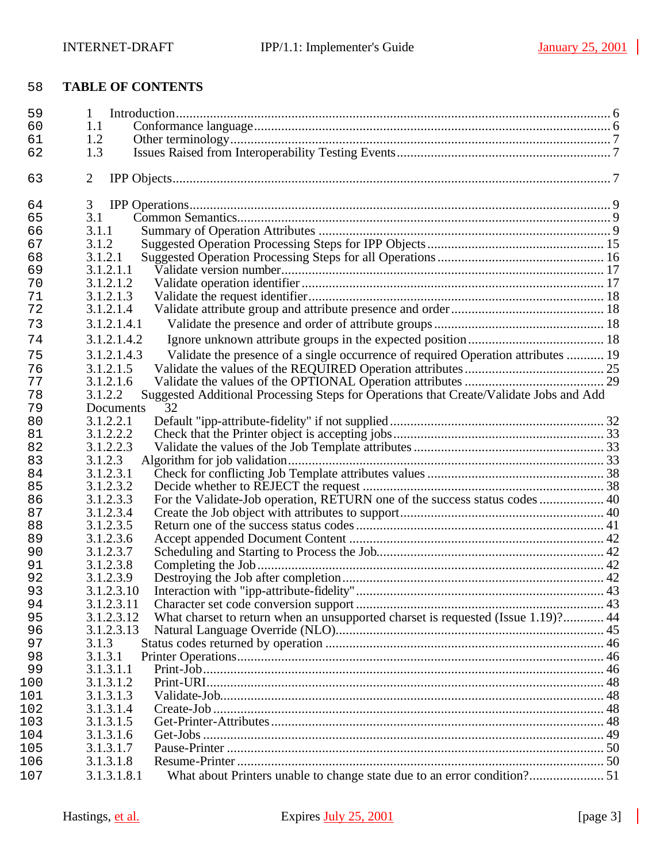# **TABLE OF CONTENTS**

| 59         | 1                                                                                                 |  |
|------------|---------------------------------------------------------------------------------------------------|--|
| 60         | 1.1                                                                                               |  |
| 61         | 1.2                                                                                               |  |
| 62         | 1.3                                                                                               |  |
| 63         | $\overline{2}$                                                                                    |  |
| 64         | 3                                                                                                 |  |
| 65         | 3.1                                                                                               |  |
| 66         | 3.1.1                                                                                             |  |
| 67         | 3.1.2                                                                                             |  |
| 68         | 3.1.2.1                                                                                           |  |
| 69         | 3.1.2.1.1                                                                                         |  |
| 70         | 3.1.2.1.2                                                                                         |  |
| 71         | 3.1.2.1.3                                                                                         |  |
| 72         | 3.1.2.1.4                                                                                         |  |
| 73         | 3.1.2.1.4.1                                                                                       |  |
| 74         | 3.1.2.1.4.2                                                                                       |  |
| 75         | Validate the presence of a single occurrence of required Operation attributes  19<br>3.1.2.1.4.3  |  |
| 76         | 3.1.2.1.5                                                                                         |  |
| 77         | 3.1.2.1.6                                                                                         |  |
| 78         | Suggested Additional Processing Steps for Operations that Create/Validate Jobs and Add<br>3.1.2.2 |  |
| 79         | 32<br>Documents                                                                                   |  |
| 80         | 3.1.2.2.1                                                                                         |  |
| 81         | 3.1.2.2.2                                                                                         |  |
| 82         | 3.1.2.2.3                                                                                         |  |
| 83         | 3.1.2.3                                                                                           |  |
| 84         | 3.1.2.3.1                                                                                         |  |
| 85         | 3.1.2.3.2                                                                                         |  |
| 86         | For the Validate-Job operation, RETURN one of the success status codes  40<br>3.1.2.3.3           |  |
| 87         | 3.1.2.3.4                                                                                         |  |
| 88         | 3.1.2.3.5                                                                                         |  |
| 89         | 3.1.2.3.6                                                                                         |  |
| 90         | 3.1.2.3.7                                                                                         |  |
| 91         | 3.1.2.3.8                                                                                         |  |
| 92         | 3.1.2.3.9                                                                                         |  |
| 93         | 3.1.2.3.10                                                                                        |  |
| 94         | 3.1.2.3.11                                                                                        |  |
| 95         | What charset to return when an unsupported charset is requested (Issue 1.19)? 44<br>3.1.2.3.12    |  |
| 96         | 3.1.2.3.13                                                                                        |  |
| 97         | 3.1.3                                                                                             |  |
| 98         | 3.1.3.1                                                                                           |  |
| 99         | 3.1.3.1.1                                                                                         |  |
| 100        | 3.1.3.1.2                                                                                         |  |
| 101        | 3.1.3.1.3                                                                                         |  |
| 102        | 3.1.3.1.4<br>3.1.3.1.5                                                                            |  |
| 103        | 3.1.3.1.6                                                                                         |  |
| 104<br>105 | 3.1.3.1.7                                                                                         |  |
| 106        | 3.1.3.1.8                                                                                         |  |
| 107        | 3.1.3.1.8.1                                                                                       |  |
|            |                                                                                                   |  |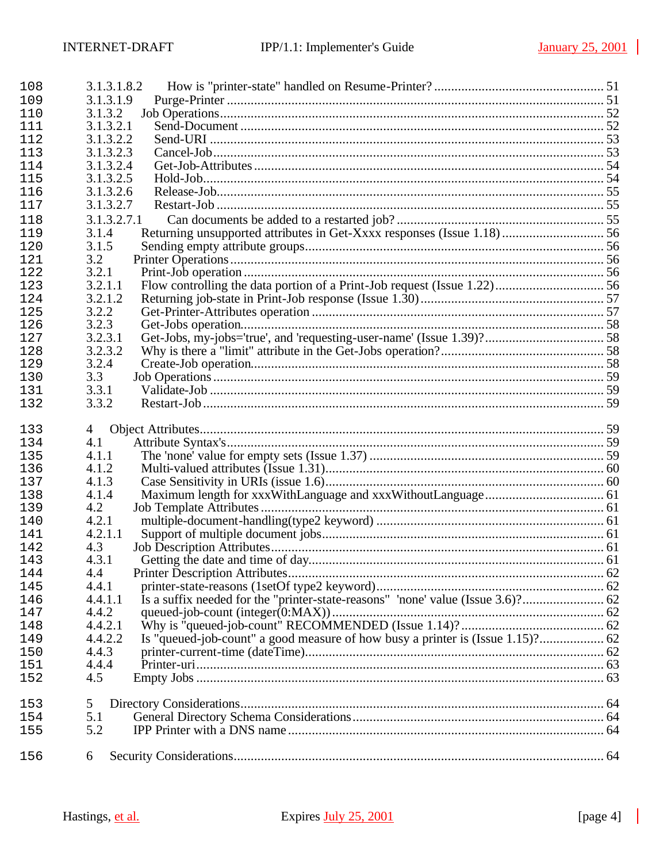| 3.1.3.1.9<br>109                                                                                 |  |
|--------------------------------------------------------------------------------------------------|--|
|                                                                                                  |  |
| 3.1.3.2<br>110                                                                                   |  |
| 3.1.3.2.1<br>111                                                                                 |  |
| 3.1.3.2.2<br>112                                                                                 |  |
| 3.1.3.2.3<br>113                                                                                 |  |
| 3.1.3.2.4<br>114                                                                                 |  |
| 3.1.3.2.5<br>115                                                                                 |  |
| 3.1.3.2.6<br>116                                                                                 |  |
| 3.1.3.2.7<br>117                                                                                 |  |
| 3.1.3.2.7.1<br>118                                                                               |  |
| Returning unsupported attributes in Get-Xxxx responses (Issue 1.18) 56<br>3.1.4<br>119           |  |
| 3.1.5<br>120                                                                                     |  |
| 3.2<br>121                                                                                       |  |
| 3.2.1<br>122                                                                                     |  |
| 3.2.1.1<br>123                                                                                   |  |
| 3.2.1.2<br>124                                                                                   |  |
| 3.2.2<br>125                                                                                     |  |
| 3.2.3<br>126                                                                                     |  |
| 3.2.3.1<br>127                                                                                   |  |
| 3.2.3.2<br>128                                                                                   |  |
| 3.2.4<br>129                                                                                     |  |
| 3.3<br>130                                                                                       |  |
| 3.3.1<br>131                                                                                     |  |
| 3.3.2<br>132                                                                                     |  |
| 133<br>4                                                                                         |  |
| 4.1<br>134                                                                                       |  |
| 4.1.1<br>135                                                                                     |  |
| 4.1.2<br>136                                                                                     |  |
| 4.1.3<br>137                                                                                     |  |
| 4.1.4<br>138                                                                                     |  |
| 4.2<br>139                                                                                       |  |
| 4.2.1<br>140                                                                                     |  |
| 4.2.1.1<br>141                                                                                   |  |
| 4.3<br>142                                                                                       |  |
| 4.3.1<br>143                                                                                     |  |
| 144<br>4.4                                                                                       |  |
| 4.4.1<br>145                                                                                     |  |
| 4.4.1.1<br>146                                                                                   |  |
| 4.4.2<br>147                                                                                     |  |
| 4.4.2.1<br>148                                                                                   |  |
| Is "queued-job-count" a good measure of how busy a printer is (Issue 1.15)? 62<br>4.4.2.2<br>149 |  |
| 4.4.3<br>150                                                                                     |  |
| 4.4.4<br>151                                                                                     |  |
| 4.5<br>152                                                                                       |  |
| 153<br>5                                                                                         |  |
| 5.1<br>154                                                                                       |  |
| 5.2<br>155                                                                                       |  |
| 156<br>6                                                                                         |  |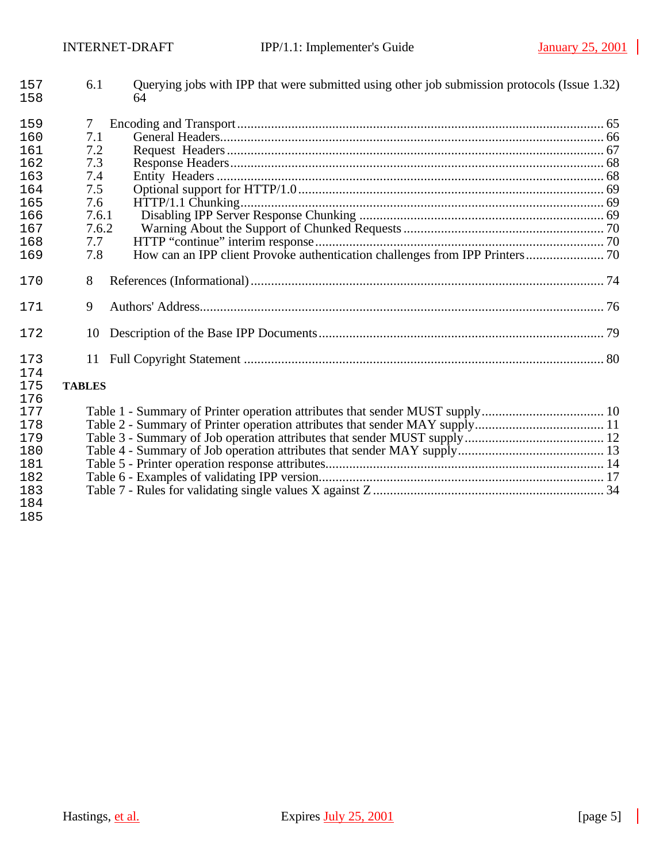| 157<br>158 | 6.1           | Querying jobs with IPP that were submitted using other job submission protocols (Issue 1.32)<br>64 |  |
|------------|---------------|----------------------------------------------------------------------------------------------------|--|
| 159        | 7             |                                                                                                    |  |
| 160        | 7.1           |                                                                                                    |  |
| 161        | 7.2           |                                                                                                    |  |
| 162        | 7.3           |                                                                                                    |  |
| 163        | 7.4           |                                                                                                    |  |
| 164        | 7.5           |                                                                                                    |  |
| 165        | 7.6           |                                                                                                    |  |
| 166        | 7.6.1         |                                                                                                    |  |
| 167        | 7.6.2         |                                                                                                    |  |
| 168        | 7.7           |                                                                                                    |  |
| 169        | 7.8           |                                                                                                    |  |
| 170        | 8             |                                                                                                    |  |
| 171        | 9             |                                                                                                    |  |
| 172        | 10            |                                                                                                    |  |
| 173        | 11            |                                                                                                    |  |
| 174        |               |                                                                                                    |  |
| 175        | <b>TABLES</b> |                                                                                                    |  |
| 176        |               |                                                                                                    |  |
| 177        |               |                                                                                                    |  |
| 178        |               |                                                                                                    |  |
| 179        |               |                                                                                                    |  |
| 180        |               |                                                                                                    |  |
| 181        |               |                                                                                                    |  |
| 182        |               |                                                                                                    |  |
| 183        |               |                                                                                                    |  |
| 184        |               |                                                                                                    |  |
| 185        |               |                                                                                                    |  |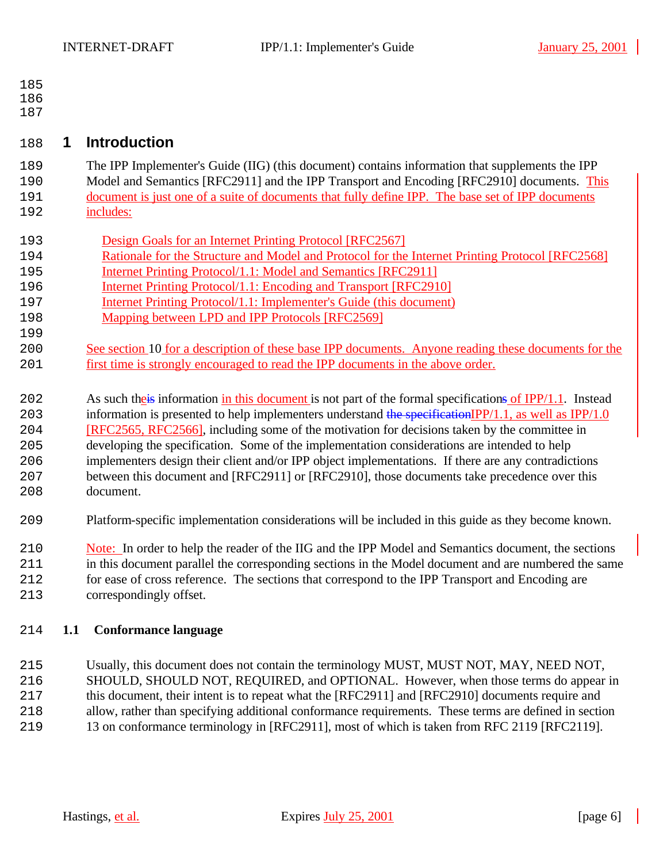- 
- 

# **1 Introduction**

- The IPP Implementer's Guide (IIG) (this document) contains information that supplements the IPP Model and Semantics [RFC2911] and the IPP Transport and Encoding [RFC2910] documents. This document is just one of a suite of documents that fully define IPP. The base set of IPP documents
- includes:
- Design Goals for an Internet Printing Protocol [RFC2567]
- Rationale for the Structure and Model and Protocol for the Internet Printing Protocol [RFC2568]
- Internet Printing Protocol/1.1: Model and Semantics [RFC2911]
- **Internet Printing Protocol**/1.1: Encoding and Transport [RFC2910]
- Internet Printing Protocol/1.1: Implementer's Guide (this document)
- 198 Mapping between LPD and IPP Protocols [RFC2569]
- 200 See section 10 for a description of these base IPP documents. Anyone reading these documents for the first time is strongly encouraged to read the IPP documents in the above order.
- 202 As such the is information in this document is not part of the formal specifications of IPP/1.1. Instead
- 203 information is presented to help implementers understand the specificationIPP/1.1, as well as IPP/1.0 [RFC2565, RFC2566], including some of the motivation for decisions taken by the committee in
- developing the specification. Some of the implementation considerations are intended to help implementers design their client and/or IPP object implementations. If there are any contradictions between this document and [RFC2911] or [RFC2910], those documents take precedence over this document.
- Platform-specific implementation considerations will be included in this guide as they become known.
- Note: In order to help the reader of the IIG and the IPP Model and Semantics document, the sections in this document parallel the corresponding sections in the Model document and are numbered the same for ease of cross reference. The sections that correspond to the IPP Transport and Encoding are
- correspondingly offset.

# **1.1 Conformance language**

- Usually, this document does not contain the terminology MUST, MUST NOT, MAY, NEED NOT,
- SHOULD, SHOULD NOT, REQUIRED, and OPTIONAL. However, when those terms do appear in
- 217 this document, their intent is to repeat what the [RFC2911] and [RFC2910] documents require and allow, rather than specifying additional conformance requirements. These terms are defined in section
- 13 on conformance terminology in [RFC2911], most of which is taken from RFC 2119 [RFC2119].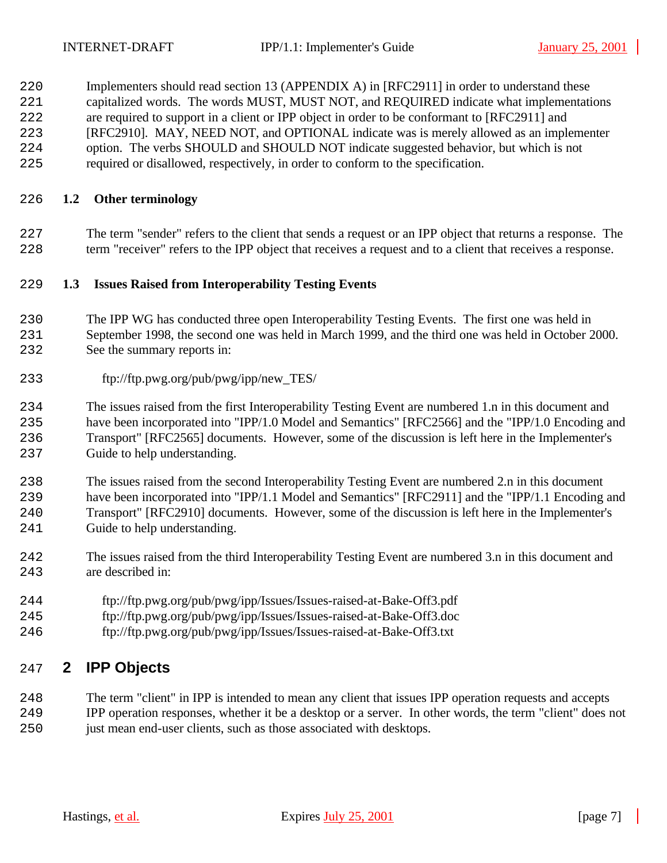Implementers should read section 13 (APPENDIX A) in [RFC2911] in order to understand these capitalized words. The words MUST, MUST NOT, and REQUIRED indicate what implementations are required to support in a client or IPP object in order to be conformant to [RFC2911] and [RFC2910]. MAY, NEED NOT, and OPTIONAL indicate was is merely allowed as an implementer option. The verbs SHOULD and SHOULD NOT indicate suggested behavior, but which is not required or disallowed, respectively, in order to conform to the specification.

# **1.2 Other terminology**

 The term "sender" refers to the client that sends a request or an IPP object that returns a response. The term "receiver" refers to the IPP object that receives a request and to a client that receives a response.

### **1.3 Issues Raised from Interoperability Testing Events**

- The IPP WG has conducted three open Interoperability Testing Events. The first one was held in September 1998, the second one was held in March 1999, and the third one was held in October 2000. See the summary reports in:
- ftp://ftp.pwg.org/pub/pwg/ipp/new\_TES/

 The issues raised from the first Interoperability Testing Event are numbered 1.n in this document and have been incorporated into "IPP/1.0 Model and Semantics" [RFC2566] and the "IPP/1.0 Encoding and Transport" [RFC2565] documents. However, some of the discussion is left here in the Implementer's Guide to help understanding.

 The issues raised from the second Interoperability Testing Event are numbered 2.n in this document have been incorporated into "IPP/1.1 Model and Semantics" [RFC2911] and the "IPP/1.1 Encoding and Transport" [RFC2910] documents. However, some of the discussion is left here in the Implementer's Guide to help understanding.

- The issues raised from the third Interoperability Testing Event are numbered 3.n in this document and are described in:
- ftp://ftp.pwg.org/pub/pwg/ipp/Issues/Issues-raised-at-Bake-Off3.pdf
- ftp://ftp.pwg.org/pub/pwg/ipp/Issues/Issues-raised-at-Bake-Off3.doc
- ftp://ftp.pwg.org/pub/pwg/ipp/Issues/Issues-raised-at-Bake-Off3.txt

# **2 IPP Objects**

- The term "client" in IPP is intended to mean any client that issues IPP operation requests and accepts
- IPP operation responses, whether it be a desktop or a server. In other words, the term "client" does not just mean end-user clients, such as those associated with desktops.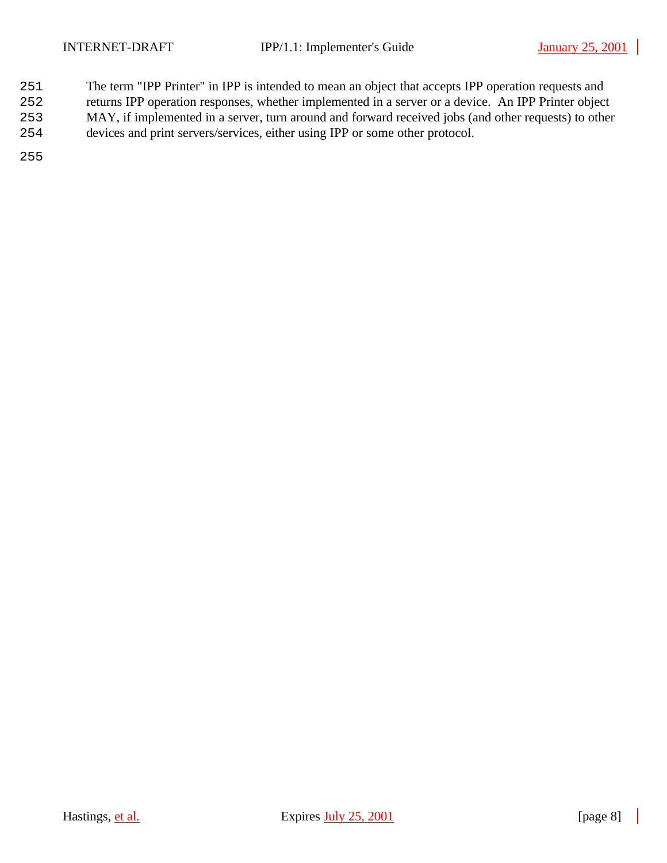- The term "IPP Printer" in IPP is intended to mean an object that accepts IPP operation requests and
- returns IPP operation responses, whether implemented in a server or a device. An IPP Printer object
- MAY, if implemented in a server, turn around and forward received jobs (and other requests) to other
- devices and print servers/services, either using IPP or some other protocol.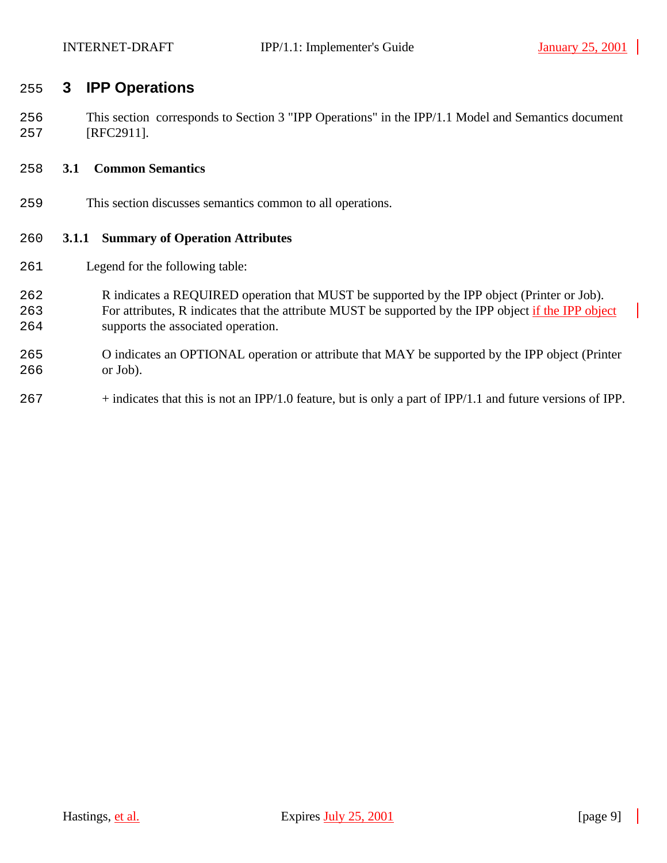# **3 IPP Operations**

 This section corresponds to Section 3 "IPP Operations" in the IPP/1.1 Model and Semantics document [RFC2911].

### **3.1 Common Semantics**

This section discusses semantics common to all operations.

# **3.1.1 Summary of Operation Attributes**

- Legend for the following table:
- R indicates a REQUIRED operation that MUST be supported by the IPP object (Printer or Job). 263 For attributes, R indicates that the attribute MUST be supported by the IPP object if the IPP object supports the associated operation.
- O indicates an OPTIONAL operation or attribute that MAY be supported by the IPP object (Printer or Job).
- + indicates that this is not an IPP/1.0 feature, but is only a part of IPP/1.1 and future versions of IPP.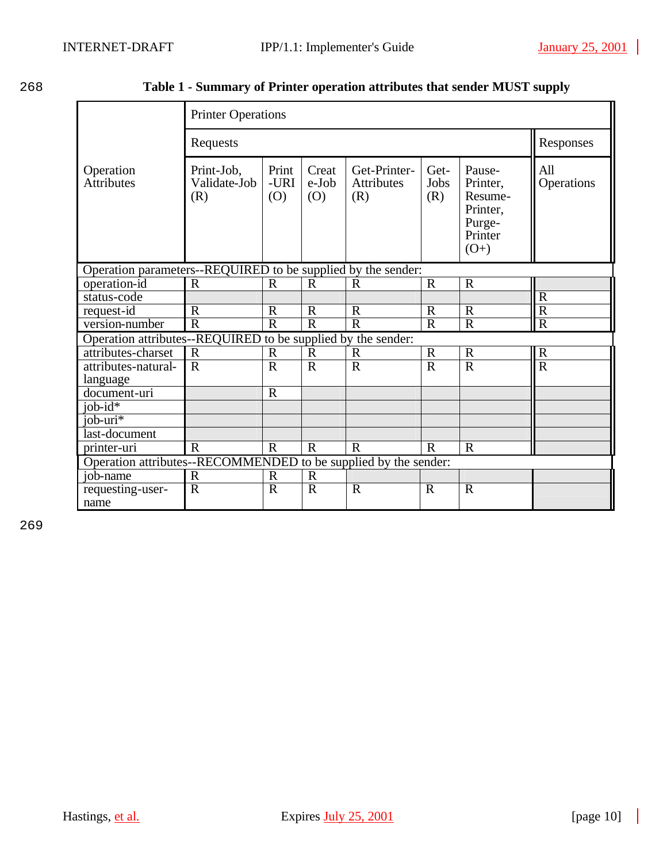| ۰.<br>۰.<br>× | ۰,<br>× |
|---------------|---------|
|               |         |

268 **Table 1 - Summary of Printer operation attributes that sender MUST supply**

|                                                                 | <b>Printer Operations</b>                                                       |                      |                          |                                          |                         |                                                                          |                         |
|-----------------------------------------------------------------|---------------------------------------------------------------------------------|----------------------|--------------------------|------------------------------------------|-------------------------|--------------------------------------------------------------------------|-------------------------|
|                                                                 | Requests                                                                        | Responses            |                          |                                          |                         |                                                                          |                         |
| Operation<br><b>Attributes</b>                                  | Print-Job,<br>Validate-Job<br>(R)                                               | Print<br>-URI<br>(O) | Creat<br>$e$ -Job<br>(O) | Get-Printer-<br><b>Attributes</b><br>(R) | Get-<br>Jobs<br>(R)     | Pause-<br>Printer,<br>Resume-<br>Printer,<br>Purge-<br>Printer<br>$(O+)$ | All<br>Operations       |
| Operation parameters--REQUIRED to be supplied by the sender:    |                                                                                 |                      |                          |                                          |                         |                                                                          |                         |
| operation-id                                                    | $\mathbf R$                                                                     | $\mathbf R$          | $\mathbf R$              | $\mathbf R$                              | $\mathbf R$             | $\overline{R}$                                                           |                         |
| status-code                                                     |                                                                                 |                      |                          |                                          |                         |                                                                          | $\overline{R}$          |
| request-id                                                      | $\mathbb{R}$                                                                    | $\mathbf R$          | $\mathbf R$              | $\mathbf R$                              | $\mathbf R$             | $\mathbf R$                                                              | $\overline{R}$          |
| version-number                                                  | $\overline{\mathsf{R}}$                                                         | $\overline{R}$       | $\overline{R}$           | $\overline{R}$                           | $\overline{\mathrm{R}}$ | $\overline{R}$                                                           | $\overline{\mathsf{R}}$ |
| Operation attributes--REQUIRED to be supplied by the sender:    |                                                                                 |                      |                          |                                          |                         |                                                                          |                         |
| attributes-charset                                              | $\mathbf R$                                                                     | $\mathbf R$          | $\mathbb{R}$             | $\mathbf R$                              | $\mathbf R$             | $\mathbf R$                                                              | $\mathbf R$             |
| attributes-natural-                                             | $\overline{R}$                                                                  | $\mathbf R$          | $\overline{R}$           | $\overline{\mathrm{R}}$                  | $\overline{\mathrm{R}}$ | $\overline{R}$                                                           | $\overline{\text{R}}$   |
| language                                                        |                                                                                 |                      |                          |                                          |                         |                                                                          |                         |
| document-uri                                                    |                                                                                 | $\mathbf R$          |                          |                                          |                         |                                                                          |                         |
| $job-id*$                                                       |                                                                                 |                      |                          |                                          |                         |                                                                          |                         |
| job-uri*                                                        |                                                                                 |                      |                          |                                          |                         |                                                                          |                         |
| last-document                                                   |                                                                                 |                      |                          |                                          |                         |                                                                          |                         |
| printer-uri                                                     | $\overline{R}$<br>$\mathbf R$<br>$\mathbf R$<br>$\mathbf R$<br>$\mathbf R$<br>R |                      |                          |                                          |                         |                                                                          |                         |
| Operation attributes--RECOMMENDED to be supplied by the sender: |                                                                                 |                      |                          |                                          |                         |                                                                          |                         |
| job-name                                                        | $\mathbf R$                                                                     | $\mathbf R$          | $\mathbf R$              |                                          |                         |                                                                          |                         |
| requesting-user-                                                | $\mathbf R$                                                                     | $\mathbf R$          | $\mathbf R$              | $\mathbf R$                              | $\mathbf R$             | $\mathbf R$                                                              |                         |
| name                                                            |                                                                                 |                      |                          |                                          |                         |                                                                          |                         |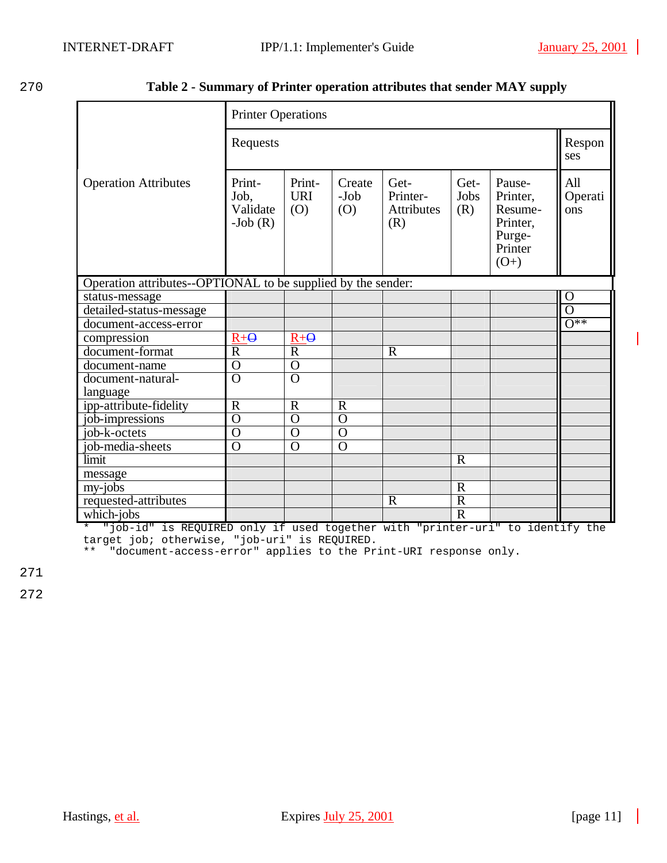| 270 | Table 2 - Summary of Printer operation attributes that sender MAY supply |  |  |
|-----|--------------------------------------------------------------------------|--|--|
|     |                                                                          |  |  |

|                                                              | <b>Printer Operations</b>               |                             |                         |                                       |                     |                                                                          |                       |  |
|--------------------------------------------------------------|-----------------------------------------|-----------------------------|-------------------------|---------------------------------------|---------------------|--------------------------------------------------------------------------|-----------------------|--|
|                                                              | Requests                                |                             |                         |                                       |                     |                                                                          |                       |  |
| <b>Operation Attributes</b>                                  | Print-<br>Job,<br>Validate<br>$-Job(R)$ | Print-<br><b>URI</b><br>(O) | Create<br>$-Job$<br>(O) | Get-<br>Printer-<br>Attributes<br>(R) | Get-<br>Jobs<br>(R) | Pause-<br>Printer,<br>Resume-<br>Printer,<br>Purge-<br>Printer<br>$(O+)$ | All<br>Operati<br>ons |  |
| Operation attributes--OPTIONAL to be supplied by the sender: |                                         |                             |                         |                                       |                     |                                                                          |                       |  |
| status-message                                               |                                         |                             |                         |                                       |                     |                                                                          | $\overline{0}$        |  |
| detailed-status-message                                      |                                         |                             |                         |                                       |                     |                                                                          | O                     |  |
| document-access-error                                        |                                         |                             |                         |                                       |                     |                                                                          | $\overline{O^{**}}$   |  |
| compression                                                  | $R + \Theta$                            | $R + \Theta$                |                         |                                       |                     |                                                                          |                       |  |
| document-format                                              | $\mathbf R$                             | $\mathbb{R}$                |                         | $\mathbb{R}$                          |                     |                                                                          |                       |  |
| document-name                                                | $\overline{0}$                          | $\overline{O}$              |                         |                                       |                     |                                                                          |                       |  |
| document-natural-                                            | $\overline{O}$                          | $\overline{O}$              |                         |                                       |                     |                                                                          |                       |  |
| language                                                     |                                         |                             |                         |                                       |                     |                                                                          |                       |  |
| ipp-attribute-fidelity                                       | $\overline{R}$                          | $\mathbf R$                 | $\overline{R}$          |                                       |                     |                                                                          |                       |  |
| job-impressions                                              | $\overline{0}$                          | $\overline{0}$              | $\overline{O}$          |                                       |                     |                                                                          |                       |  |
| job-k-octets                                                 | $\overline{0}$                          | $\Omega$                    | $\overline{O}$          |                                       |                     |                                                                          |                       |  |
| job-media-sheets                                             | $\overline{0}$                          | $\overline{O}$              | $\overline{O}$          |                                       |                     |                                                                          |                       |  |
| limit                                                        |                                         |                             |                         |                                       | $\mathbf R$         |                                                                          |                       |  |
| message                                                      |                                         |                             |                         |                                       |                     |                                                                          |                       |  |
| my-jobs                                                      |                                         |                             |                         |                                       | $\mathbf R$         |                                                                          |                       |  |
| requested-attributes                                         |                                         |                             |                         | $\mathbf R$                           | $\overline{R}$      |                                                                          |                       |  |
| which-jobs                                                   |                                         |                             |                         |                                       | $\overline{R}$      |                                                                          |                       |  |

\* "job-id" is REQUIRED only if used together with "printer-uri" to identify the target job; otherwise, "job-uri" is REQUIRED.

\*\* "document-access-error" applies to the Print-URI response only.

271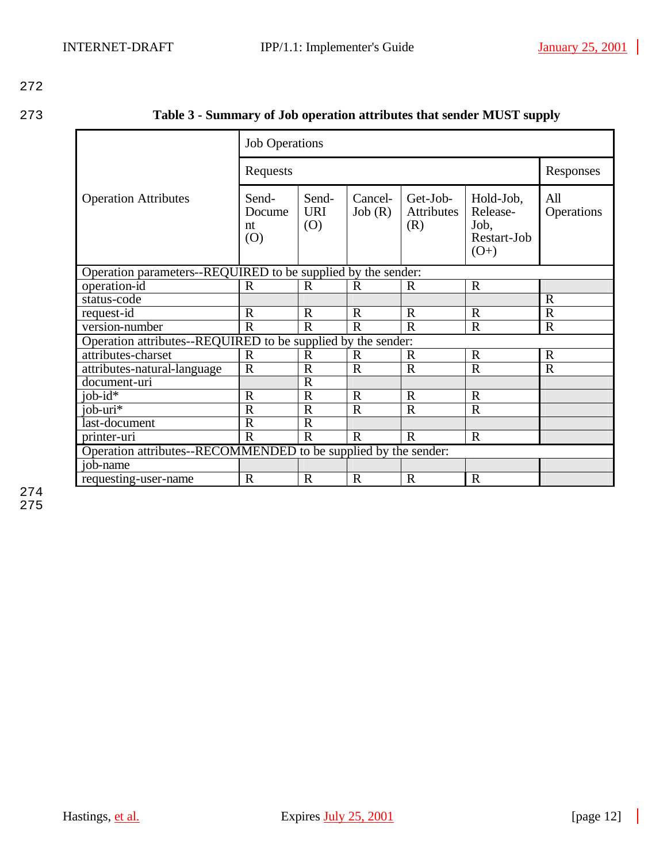273 **Table 3 - Summary of Job operation attributes that sender MUST supply**

|                                                                 | <b>Job Operations</b>        |                            |                   |                                      |                                                        |                   |  |  |
|-----------------------------------------------------------------|------------------------------|----------------------------|-------------------|--------------------------------------|--------------------------------------------------------|-------------------|--|--|
|                                                                 | Requests                     | Responses                  |                   |                                      |                                                        |                   |  |  |
| <b>Operation Attributes</b>                                     | Send-<br>Docume<br>nt<br>(0) | Send-<br><b>URI</b><br>(O) | Cancel-<br>Job(R) | Get-Job-<br><b>Attributes</b><br>(R) | Hold-Job,<br>Release-<br>Job,<br>Restart-Job<br>$(O+)$ | All<br>Operations |  |  |
| Operation parameters--REQUIRED to be supplied by the sender:    |                              |                            |                   |                                      |                                                        |                   |  |  |
| operation-id                                                    | $\mathbf R$                  | $\mathbf R$                | $\mathbf R$       | $\mathbf R$                          | $\mathbf R$                                            |                   |  |  |
| status-code                                                     |                              |                            |                   |                                      |                                                        | $\mathbf R$       |  |  |
| request-id                                                      | $\mathbf R$                  | $\mathbf R$                | $\mathbf R$       | $\mathbf R$                          | $\mathbf R$                                            | $\mathbf R$       |  |  |
| version-number                                                  | $\mathbf R$                  | $\mathbf R$                | $\mathbf R$       | $\mathbf R$                          | $\mathbf R$                                            | $\mathbf R$       |  |  |
| Operation attributes--REQUIRED to be supplied by the sender:    |                              |                            |                   |                                      |                                                        |                   |  |  |
| attributes-charset                                              | $\mathbf R$                  | $\mathbb{R}$               | $\mathbf R$       | $\mathbf R$                          | $\mathbf R$                                            | $\mathbf R$       |  |  |
| attributes-natural-language                                     | $\mathbf R$                  | $\mathbf R$                | $\mathbf R$       | $\mathbf R$                          | $\mathbf R$                                            | $\mathbf R$       |  |  |
| document-uri                                                    |                              | $\mathbf R$                |                   |                                      |                                                        |                   |  |  |
| $job-id*$                                                       | $\mathbf R$                  | $\overline{R}$             | $\mathbf R$       | $\overline{R}$                       | $\overline{R}$                                         |                   |  |  |
| $io\overline{b$ -uri*                                           | $\mathbf R$                  | $\mathbf R$                | $\mathbf R$       | $\mathbf R$                          | $\mathbf R$                                            |                   |  |  |
| last-document                                                   | $\mathbf R$                  | $\overline{R}$             |                   |                                      |                                                        |                   |  |  |
| printer-uri                                                     | $\mathbf R$                  | $\mathbb{R}$               | $\mathbf R$       | $\mathbf R$                          | $\mathbf R$                                            |                   |  |  |
| Operation attributes--RECOMMENDED to be supplied by the sender: |                              |                            |                   |                                      |                                                        |                   |  |  |
| job-name                                                        |                              |                            |                   |                                      |                                                        |                   |  |  |
| requesting-user-name                                            | $\mathbf R$                  | $\mathbf R$                | $\mathbf R$       | $\mathbf R$                          | $\mathbf R$                                            |                   |  |  |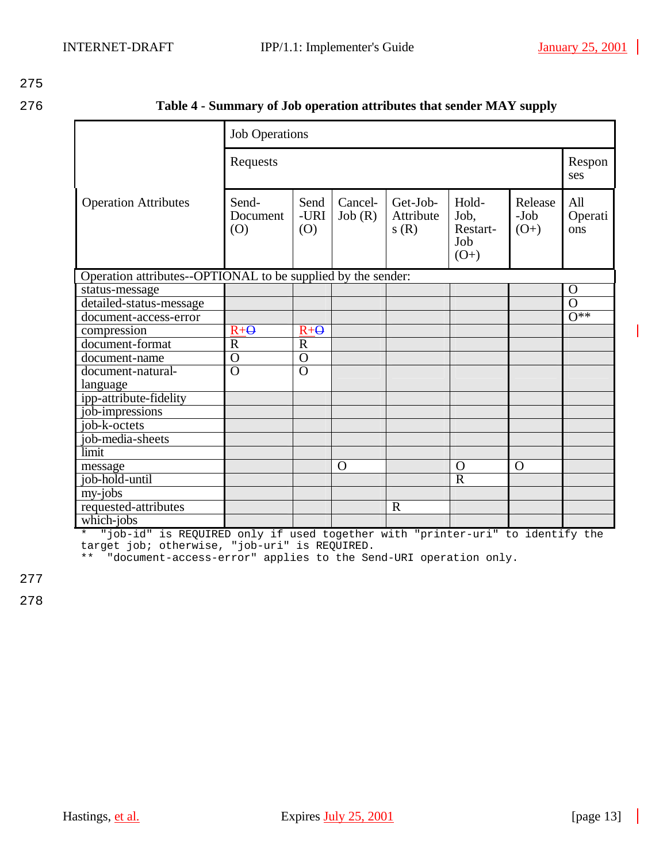276 **Table 4 - Summary of Job operation attributes that sender MAY supply**

|                                                              | <b>Job Operations</b>    |                     |                   |                               |                                            |                           |                       |  |  |
|--------------------------------------------------------------|--------------------------|---------------------|-------------------|-------------------------------|--------------------------------------------|---------------------------|-----------------------|--|--|
|                                                              | Requests                 |                     |                   |                               |                                            |                           |                       |  |  |
| <b>Operation Attributes</b>                                  | Send-<br>Document<br>(O) | Send<br>-URI<br>(O) | Cancel-<br>Job(R) | Get-Job-<br>Attribute<br>s(R) | Hold-<br>Job,<br>Restart-<br>Job<br>$(O+)$ | Release<br>-Job<br>$(O+)$ | All<br>Operati<br>ons |  |  |
| Operation attributes--OPTIONAL to be supplied by the sender: |                          |                     |                   |                               |                                            |                           |                       |  |  |
| status-message                                               |                          |                     |                   |                               |                                            |                           | $\Omega$              |  |  |
| detailed-status-message                                      |                          |                     |                   |                               |                                            |                           | $\Omega$              |  |  |
| document-access-error                                        |                          |                     |                   |                               |                                            |                           | $\overline{O^{**}}$   |  |  |
| compression                                                  | $R + Q$                  | $R + \Theta$        |                   |                               |                                            |                           |                       |  |  |
| document-format                                              | $\mathbf R$              | $\mathbf R$         |                   |                               |                                            |                           |                       |  |  |
| document-name                                                | $\overline{O}$           | $\overline{O}$      |                   |                               |                                            |                           |                       |  |  |
| document-natural-                                            | $\overline{O}$           | $\overline{O}$      |                   |                               |                                            |                           |                       |  |  |
| language                                                     |                          |                     |                   |                               |                                            |                           |                       |  |  |
| ipp-attribute-fidelity                                       |                          |                     |                   |                               |                                            |                           |                       |  |  |
| job-impressions                                              |                          |                     |                   |                               |                                            |                           |                       |  |  |
| job-k-octets                                                 |                          |                     |                   |                               |                                            |                           |                       |  |  |
| job-media-sheets                                             |                          |                     |                   |                               |                                            |                           |                       |  |  |
| limit                                                        |                          |                     |                   |                               |                                            |                           |                       |  |  |
| message                                                      |                          |                     | $\Omega$          |                               | O                                          | $\Omega$                  |                       |  |  |
| job-hold-until                                               |                          |                     |                   |                               | $\overline{R}$                             |                           |                       |  |  |
| my-jobs                                                      |                          |                     |                   |                               |                                            |                           |                       |  |  |
| requested-attributes                                         |                          |                     |                   | $\mathbf R$                   |                                            |                           |                       |  |  |
| which-jobs                                                   |                          |                     |                   |                               |                                            |                           |                       |  |  |

\* "job-id" is REQUIRED only if used together with "printer-uri" to identify the target job; otherwise, "job-uri" is REQUIRED.

\*\* "document-access-error" applies to the Send-URI operation only.

277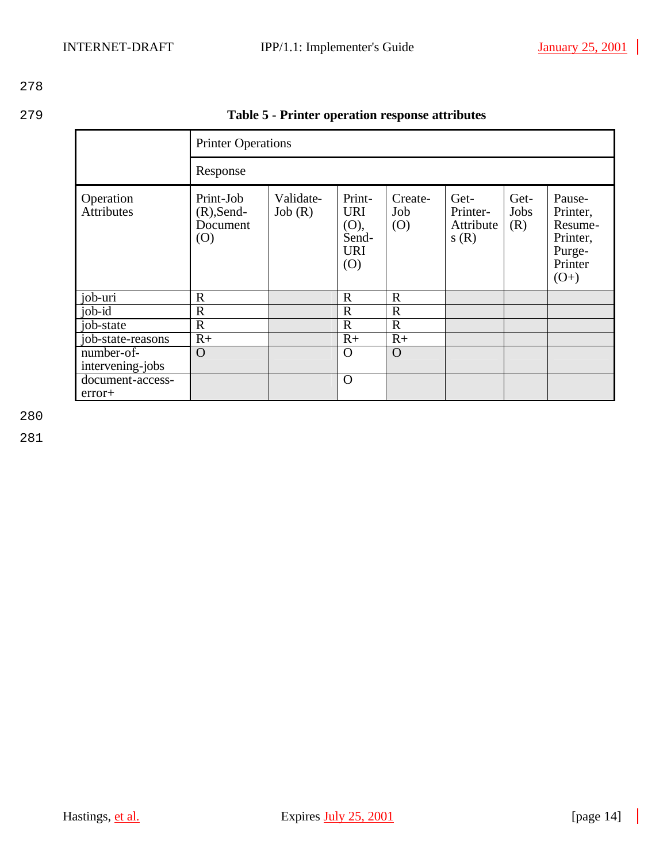279 **Table 5 - Printer operation response attributes**

| <b>Printer Operations</b>      |                                               |                     |                                                            |                       |                                       |                     |                                                                          |  |  |  |  |
|--------------------------------|-----------------------------------------------|---------------------|------------------------------------------------------------|-----------------------|---------------------------------------|---------------------|--------------------------------------------------------------------------|--|--|--|--|
|                                | Response                                      |                     |                                                            |                       |                                       |                     |                                                                          |  |  |  |  |
| Operation<br><b>Attributes</b> | Print-Job<br>$(R)$ , Send-<br>Document<br>(O) | Validate-<br>Job(R) | Print-<br><b>URI</b><br>(O),<br>Send-<br><b>URI</b><br>(O) | Create-<br>Job<br>(O) | Get-<br>Printer-<br>Attribute<br>s(R) | Get-<br>Jobs<br>(R) | Pause-<br>Printer,<br>Resume-<br>Printer,<br>Purge-<br>Printer<br>$(O+)$ |  |  |  |  |
| job-uri                        | $\mathbf R$                                   |                     | $\mathbf R$                                                | $\mathbb{R}$          |                                       |                     |                                                                          |  |  |  |  |
| job- $i\overline{d}$           | $\mathbb{R}$                                  |                     | $\overline{R}$                                             | $\mathbb{R}$          |                                       |                     |                                                                          |  |  |  |  |
| job-state                      | $\mathbb{R}$                                  |                     | $\mathbf R$                                                | $\mathbf R$           |                                       |                     |                                                                          |  |  |  |  |
| job-state-reasons              | $R+$                                          |                     | $R+$                                                       | $R+$                  |                                       |                     |                                                                          |  |  |  |  |
| number-of-<br>intervening-jobs | $\overline{O}$                                |                     | $\Omega$                                                   | $\Omega$              |                                       |                     |                                                                          |  |  |  |  |
| document-access-<br>$error+$   |                                               |                     | $\Omega$                                                   |                       |                                       |                     |                                                                          |  |  |  |  |

280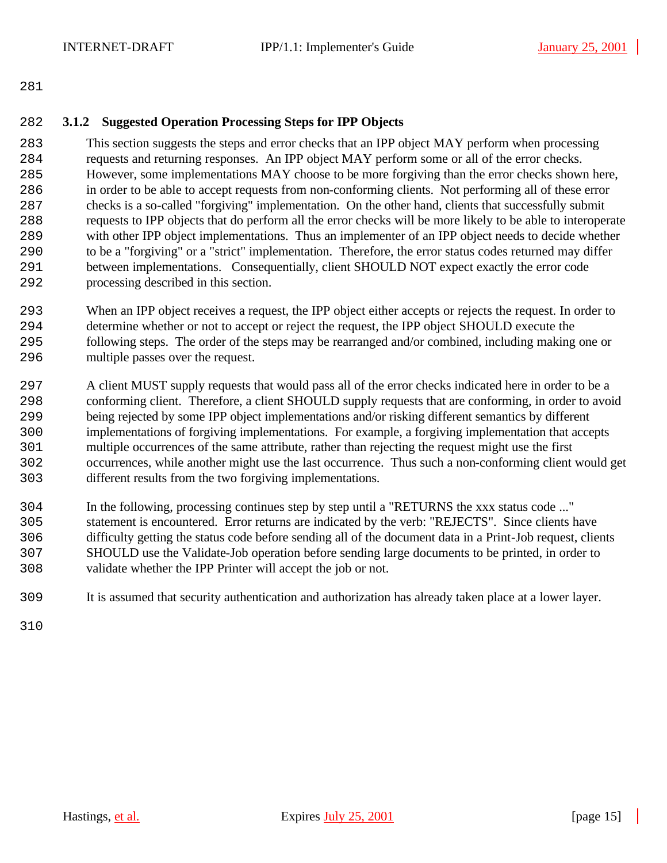## **3.1.2 Suggested Operation Processing Steps for IPP Objects**

 This section suggests the steps and error checks that an IPP object MAY perform when processing requests and returning responses. An IPP object MAY perform some or all of the error checks. However, some implementations MAY choose to be more forgiving than the error checks shown here, in order to be able to accept requests from non-conforming clients. Not performing all of these error checks is a so-called "forgiving" implementation. On the other hand, clients that successfully submit requests to IPP objects that do perform all the error checks will be more likely to be able to interoperate with other IPP object implementations. Thus an implementer of an IPP object needs to decide whether to be a "forgiving" or a "strict" implementation. Therefore, the error status codes returned may differ between implementations. Consequentially, client SHOULD NOT expect exactly the error code processing described in this section.

- When an IPP object receives a request, the IPP object either accepts or rejects the request. In order to determine whether or not to accept or reject the request, the IPP object SHOULD execute the following steps. The order of the steps may be rearranged and/or combined, including making one or multiple passes over the request.
- A client MUST supply requests that would pass all of the error checks indicated here in order to be a conforming client. Therefore, a client SHOULD supply requests that are conforming, in order to avoid being rejected by some IPP object implementations and/or risking different semantics by different implementations of forgiving implementations. For example, a forgiving implementation that accepts multiple occurrences of the same attribute, rather than rejecting the request might use the first occurrences, while another might use the last occurrence. Thus such a non-conforming client would get different results from the two forgiving implementations.
- In the following, processing continues step by step until a "RETURNS the xxx status code ..." statement is encountered. Error returns are indicated by the verb: "REJECTS". Since clients have difficulty getting the status code before sending all of the document data in a Print-Job request, clients SHOULD use the Validate-Job operation before sending large documents to be printed, in order to validate whether the IPP Printer will accept the job or not.
- It is assumed that security authentication and authorization has already taken place at a lower layer.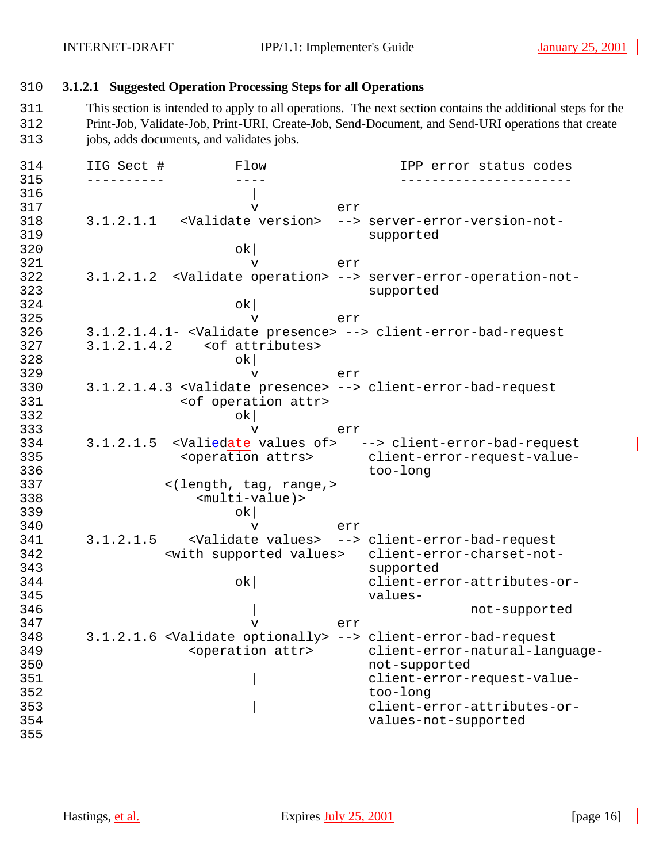## 310 **3.1.2.1 Suggested Operation Processing Steps for all Operations**

311 This section is intended to apply to all operations. The next section contains the additional steps for the 312 Print-Job, Validate-Job, Print-URI, Create-Job, Send-Document, and Send-URI operations that create 313 jobs, adds documents, and validates jobs.

314 IIG Sect # Flow IPP error status codes 315 ---------- ---- ----------------------  $316$ 317 v err 318 3.1.2.1.1 <Validate version> --> server-error-version-not-319 supported 320 ok| 321 v err 322 3.1.2.1.2 <Validate operation> --> server-error-operation-not-323 supported  $324$  ok 325 v err 326 3.1.2.1.4.1- <Validate presence> --> client-error-bad-request 3.1.2.1.4.2 <of attributes>  $328$  ok 329 v err 330 3.1.2.1.4.3 <Validate presence> --> client-error-bad-request <of operation attr>  $332$  ok 333 v err 334 3.1.2.1.5 <Valiedate values of> --> client-error-bad-request<br><operation attrs> client-error-request-value-335 <operation attrs> client-error-request-value-336 too-long<br>337 < (length, tag, range, > 337 <(length, tag, range,> 338 <multi-value)>  $339$  ok 340 v err 341 3.1.2.1.5 <Validate values> --> client-error-bad-request 342 <with supported values> client-error-charset-not-343 supported 344 ok| client-error-attributes-or-345 values-346 | not-supported 347 v err 348 3.1.2.1.6 <Validate optionally> --> client-error-bad-request 349 <operation attr> client-error-natural-language-350 not-supported 351 | client-error-request-value-352 too-long 353 | client-error-attributes-or-354 values-not-supported 355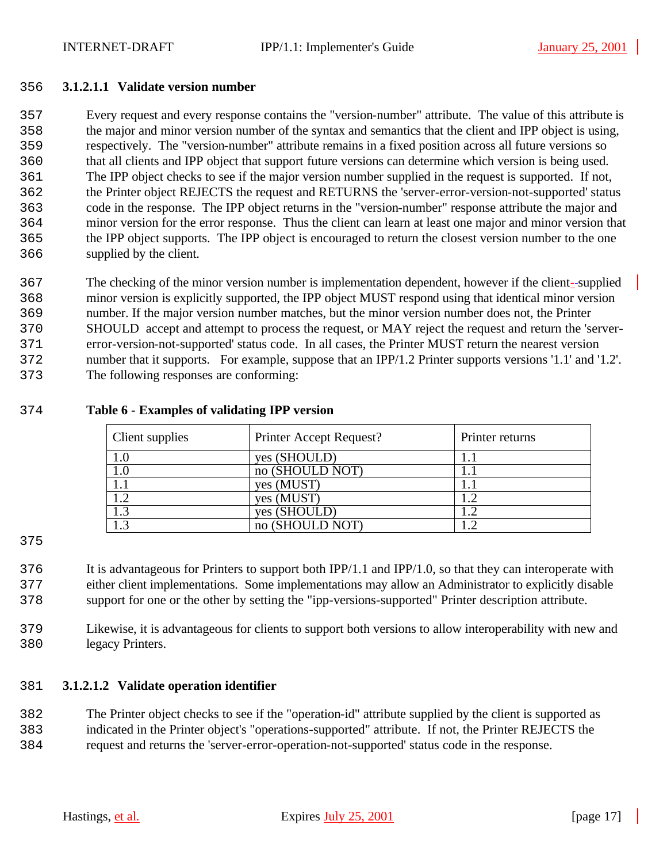#### **3.1.2.1.1 Validate version number**

 Every request and every response contains the "version-number" attribute. The value of this attribute is the major and minor version number of the syntax and semantics that the client and IPP object is using, respectively. The "version-number" attribute remains in a fixed position across all future versions so that all clients and IPP object that support future versions can determine which version is being used. The IPP object checks to see if the major version number supplied in the request is supported. If not, the Printer object REJECTS the request and RETURNS the 'server-error-version-not-supported' status code in the response. The IPP object returns in the "version-number" response attribute the major and minor version for the error response. Thus the client can learn at least one major and minor version that the IPP object supports. The IPP object is encouraged to return the closest version number to the one supplied by the client.

 The checking of the minor version number is implementation dependent, however if the client- supplied minor version is explicitly supported, the IPP object MUST respond using that identical minor version number. If the major version number matches, but the minor version number does not, the Printer SHOULD accept and attempt to process the request, or MAY reject the request and return the 'server- error-version-not-supported' status code. In all cases, the Printer MUST return the nearest version number that it supports. For example, suppose that an IPP/1.2 Printer supports versions '1.1' and '1.2'. The following responses are conforming:

### **Table 6 - Examples of validating IPP version**

| Client supplies | Printer Accept Request? | Printer returns |
|-----------------|-------------------------|-----------------|
|                 | yes (SHOULD)            |                 |
| $1.0\,$         | no (SHOULD NOT)         |                 |
|                 | yes (MUST)              |                 |
|                 | yes (MUST)              |                 |
|                 | yes (SHOULD)            |                 |
|                 | no (SHOULD NOT)         |                 |

 It is advantageous for Printers to support both IPP/1.1 and IPP/1.0, so that they can interoperate with either client implementations. Some implementations may allow an Administrator to explicitly disable support for one or the other by setting the "ipp-versions-supported" Printer description attribute.

 Likewise, it is advantageous for clients to support both versions to allow interoperability with new and legacy Printers.

### **3.1.2.1.2 Validate operation identifier**

 The Printer object checks to see if the "operation-id" attribute supplied by the client is supported as indicated in the Printer object's "operations-supported" attribute. If not, the Printer REJECTS the

request and returns the 'server-error-operation-not-supported' status code in the response.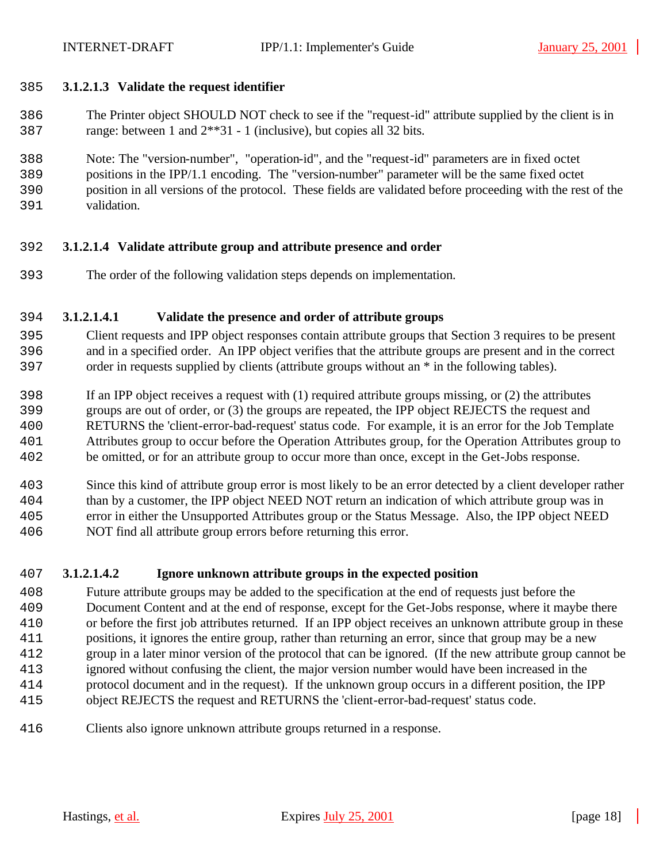### **3.1.2.1.3 Validate the request identifier**

- The Printer object SHOULD NOT check to see if the "request-id" attribute supplied by the client is in range: between 1 and 2\*\*31 - 1 (inclusive), but copies all 32 bits.
- Note: The "version-number", "operation-id", and the "request-id" parameters are in fixed octet
- positions in the IPP/1.1 encoding. The "version-number" parameter will be the same fixed octet
- position in all versions of the protocol. These fields are validated before proceeding with the rest of the
- validation.

# **3.1.2.1.4 Validate attribute group and attribute presence and order**

The order of the following validation steps depends on implementation.

# **3.1.2.1.4.1 Validate the presence and order of attribute groups**

- Client requests and IPP object responses contain attribute groups that Section 3 requires to be present and in a specified order. An IPP object verifies that the attribute groups are present and in the correct order in requests supplied by clients (attribute groups without an \* in the following tables).
- If an IPP object receives a request with (1) required attribute groups missing, or (2) the attributes
- groups are out of order, or (3) the groups are repeated, the IPP object REJECTS the request and
- RETURNS the 'client-error-bad-request' status code. For example, it is an error for the Job Template
- Attributes group to occur before the Operation Attributes group, for the Operation Attributes group to
- be omitted, or for an attribute group to occur more than once, except in the Get-Jobs response.
- Since this kind of attribute group error is most likely to be an error detected by a client developer rather than by a customer, the IPP object NEED NOT return an indication of which attribute group was in error in either the Unsupported Attributes group or the Status Message. Also, the IPP object NEED
- NOT find all attribute group errors before returning this error.

# **3.1.2.1.4.2 Ignore unknown attribute groups in the expected position**

- Future attribute groups may be added to the specification at the end of requests just before the Document Content and at the end of response, except for the Get-Jobs response, where it maybe there or before the first job attributes returned. If an IPP object receives an unknown attribute group in these positions, it ignores the entire group, rather than returning an error, since that group may be a new group in a later minor version of the protocol that can be ignored. (If the new attribute group cannot be ignored without confusing the client, the major version number would have been increased in the protocol document and in the request). If the unknown group occurs in a different position, the IPP object REJECTS the request and RETURNS the 'client-error-bad-request' status code.
- Clients also ignore unknown attribute groups returned in a response.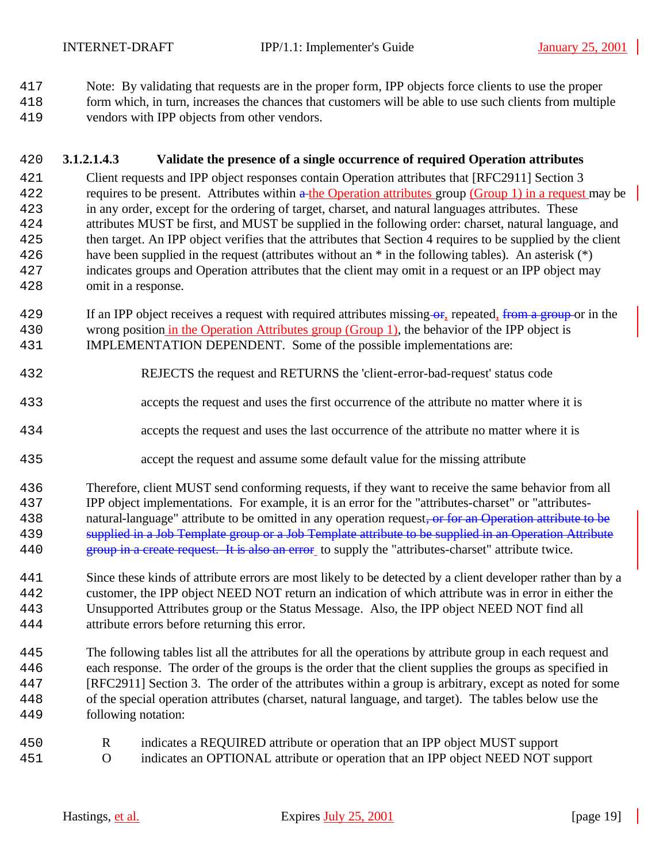Note: By validating that requests are in the proper form, IPP objects force clients to use the proper

- form which, in turn, increases the chances that customers will be able to use such clients from multiple
- vendors with IPP objects from other vendors.

# **3.1.2.1.4.3 Validate the presence of a single occurrence of required Operation attributes**

- Client requests and IPP object responses contain Operation attributes that [RFC2911] Section 3 422 requires to be present. Attributes within a the Operation attributes group (Group 1) in a request may be in any order, except for the ordering of target, charset, and natural languages attributes. These attributes MUST be first, and MUST be supplied in the following order: charset, natural language, and then target. An IPP object verifies that the attributes that Section 4 requires to be supplied by the client have been supplied in the request (attributes without an \* in the following tables). An asterisk (\*) indicates groups and Operation attributes that the client may omit in a request or an IPP object may omit in a response.
- 429 If an IPP object receives a request with required attributes missing or, repeated, from a group or in the wrong position in the Operation Attributes group (Group 1), the behavior of the IPP object is IMPLEMENTATION DEPENDENT. Some of the possible implementations are:
- REJECTS the request and RETURNS the 'client-error-bad-request' status code
- accepts the request and uses the first occurrence of the attribute no matter where it is
- accepts the request and uses the last occurrence of the attribute no matter where it is
- accept the request and assume some default value for the missing attribute
- Therefore, client MUST send conforming requests, if they want to receive the same behavior from all IPP object implementations. For example, it is an error for the "attributes-charset" or "attributes-438 natural-language" attribute to be omitted in any operation request, or for an Operation attribute to be 439 supplied in a Job Template group or a Job Template attribute to be supplied in an Operation Attribute
- 440 group in a create request. It is also an error to supply the "attributes-charset" attribute twice.
- Since these kinds of attribute errors are most likely to be detected by a client developer rather than by a customer, the IPP object NEED NOT return an indication of which attribute was in error in either the Unsupported Attributes group or the Status Message. Also, the IPP object NEED NOT find all attribute errors before returning this error.
- The following tables list all the attributes for all the operations by attribute group in each request and each response. The order of the groups is the order that the client supplies the groups as specified in [RFC2911] Section 3. The order of the attributes within a group is arbitrary, except as noted for some of the special operation attributes (charset, natural language, and target). The tables below use the following notation:
- R indicates a REQUIRED attribute or operation that an IPP object MUST support O indicates an OPTIONAL attribute or operation that an IPP object NEED NOT support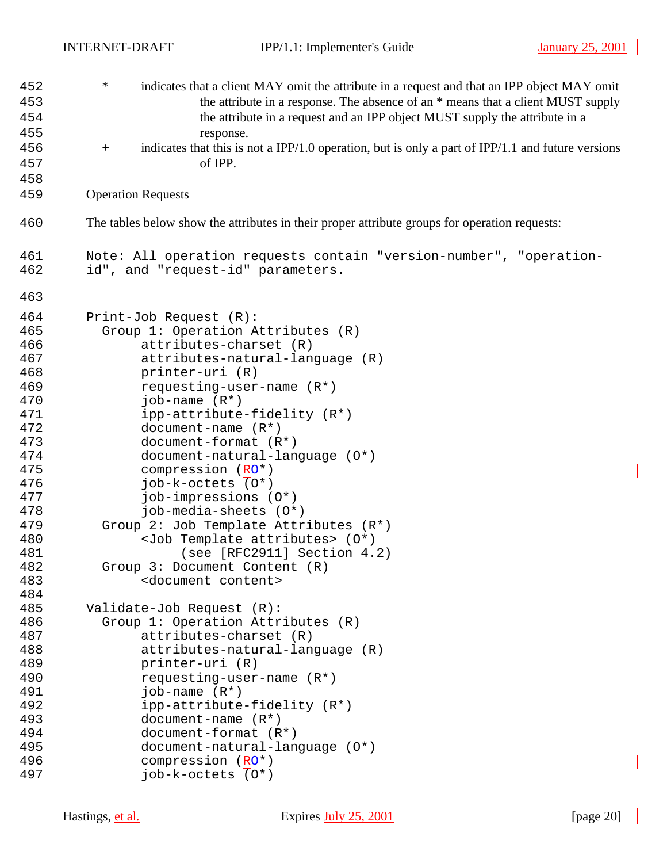| 452        | $\ast$<br>indicates that a client MAY omit the attribute in a request and that an IPP object MAY omit    |  |  |  |  |  |
|------------|----------------------------------------------------------------------------------------------------------|--|--|--|--|--|
| 453        | the attribute in a response. The absence of an * means that a client MUST supply                         |  |  |  |  |  |
| 454        | the attribute in a request and an IPP object MUST supply the attribute in a                              |  |  |  |  |  |
| 455        | response.                                                                                                |  |  |  |  |  |
| 456        | indicates that this is not a IPP/1.0 operation, but is only a part of IPP/1.1 and future versions<br>$+$ |  |  |  |  |  |
|            |                                                                                                          |  |  |  |  |  |
| 457        | of IPP.                                                                                                  |  |  |  |  |  |
| 458        |                                                                                                          |  |  |  |  |  |
| 459        | <b>Operation Requests</b>                                                                                |  |  |  |  |  |
| 460        | The tables below show the attributes in their proper attribute groups for operation requests:            |  |  |  |  |  |
| 461<br>462 | Note: All operation requests contain "version-number", "operation-<br>id", and "request-id" parameters.  |  |  |  |  |  |
| 463        |                                                                                                          |  |  |  |  |  |
| 464        | Print-Job Request (R):                                                                                   |  |  |  |  |  |
| 465        | Group 1: Operation Attributes (R)                                                                        |  |  |  |  |  |
| 466        | attributes-charset (R)                                                                                   |  |  |  |  |  |
| 467        | attributes-natural-language (R)                                                                          |  |  |  |  |  |
| 468        | printer-uri (R)                                                                                          |  |  |  |  |  |
| 469        | requesting-user-name (R*)                                                                                |  |  |  |  |  |
| 470        | job-name $(R^*)$                                                                                         |  |  |  |  |  |
| 471        | ipp-attribute-fidelity (R*)                                                                              |  |  |  |  |  |
| 472        | document-name $(R*)$                                                                                     |  |  |  |  |  |
| 473        | document-format (R*)                                                                                     |  |  |  |  |  |
| 474        | document-natural-language (0*)                                                                           |  |  |  |  |  |
| 475        | compression (RO*)                                                                                        |  |  |  |  |  |
| 476        | job-k-octets (0*)                                                                                        |  |  |  |  |  |
| 477        | job-impressions (O*)                                                                                     |  |  |  |  |  |
| 478        | job-media-sheets (0*)                                                                                    |  |  |  |  |  |
| 479        | Group 2: Job Template Attributes (R*)                                                                    |  |  |  |  |  |
| 480        | <job attributes="" template=""> (0*)</job>                                                               |  |  |  |  |  |
| 481        | (see [RFC2911] Section 4.2)                                                                              |  |  |  |  |  |
| 482        | Group 3: Document Content (R)                                                                            |  |  |  |  |  |
| 483        | <document content=""></document>                                                                         |  |  |  |  |  |
| 484        |                                                                                                          |  |  |  |  |  |
| 485        | Validate-Job Request (R):                                                                                |  |  |  |  |  |
| 486        | Group 1: Operation Attributes (R)                                                                        |  |  |  |  |  |
| 487        | attributes-charset (R)                                                                                   |  |  |  |  |  |
| 488        | attributes-natural-language (R)                                                                          |  |  |  |  |  |
| 489        | printer-uri (R)                                                                                          |  |  |  |  |  |
| 490        | requesting-user-name $(R^*)$                                                                             |  |  |  |  |  |
| 491        | job-name $(R^*)$                                                                                         |  |  |  |  |  |
| 492        | ipp-attribute-fidelity (R*)                                                                              |  |  |  |  |  |
| 493        | document-name $(R*)$                                                                                     |  |  |  |  |  |
| 494        | document-format (R*)                                                                                     |  |  |  |  |  |
| 495        | document-natural-language (0*)                                                                           |  |  |  |  |  |
| 496        | compression $(R\Theta^*)$                                                                                |  |  |  |  |  |
| 497        | job-k-octets (0*)                                                                                        |  |  |  |  |  |
|            |                                                                                                          |  |  |  |  |  |

 $\overline{\phantom{a}}$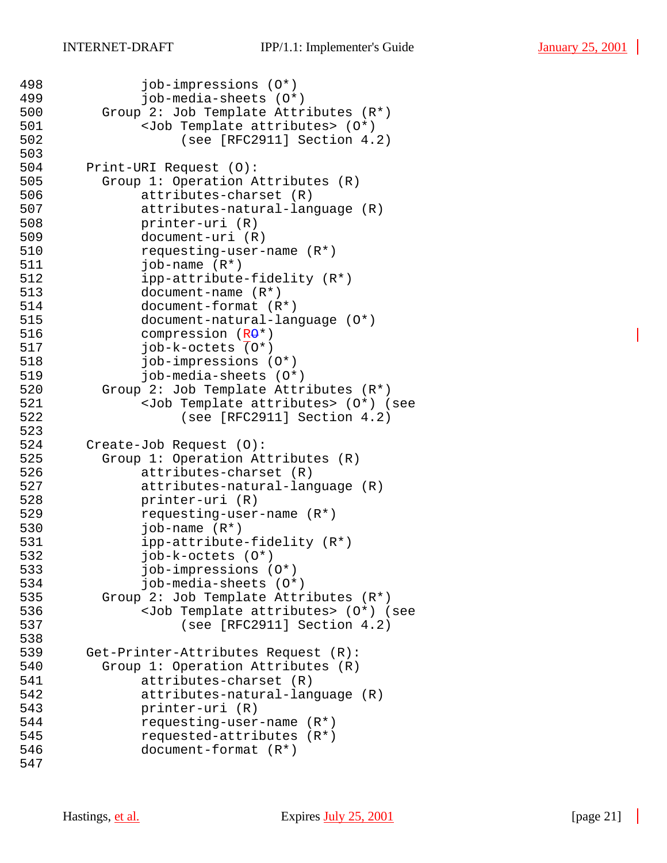```
498 job-impressions (O*)
499 job-media-sheets (O*)
500 Group 2: Job Template Attributes (R*)<br>501 <Job Template attributes> (0*)
            500 Template attributes> (0*)502 (see [RFC2911] Section 4.2)
503<br>504
      Print-URI Request (O):
505 Group 1: Operation Attributes (R)
506 attributes-charset (R)
507 attributes-natural-language (R)
508 printer-uri (R)
509 document-uri (R)<br>510 sequesting-user-
            510 requesting-user-name (R*)
511 job-name (R*)
512 ipp-attribute-fidelity (R*)
513 document-name (R*)
514 document-format (R*)
515 document-natural-language (O*)
516 compression (RO*)
517 job-k-octets (0^*)518 job-impressions (O*)
519 job-media-sheets (O*)
520 Group 2: Job Template Attributes (R*)
521 <Job Template attributes> (O*) (see 
522 (see [RFC2911] Section 4.2)
523
524 Create-Job Request (O):
525 Group 1: Operation Attributes (R)
526 attributes-charset (R)
527 attributes-natural-language (R)
528 printer-uri (R)
529 requesting-user-name (R*)<br>530        job-name (R*)
            job-name (R<sup>*</sup>)531 ipp-attribute-fidelity (R*)
532 job-k-octets (O*)
533 job-impressions (O*)
534 job-media-sheets (O*)
535 Group 2: Job Template Attributes (R*)
536 <Job Template attributes> (O*) (see 
537 (see [RFC2911] Section 4.2)
538
539 Get-Printer-Attributes Request (R):
540 Group 1: Operation Attributes (R)
541 attributes-charset (R)
542 attributes-natural-language (R)
543 printer-uri (R)
544 requesting-user-name (R*)
545 requested-attributes (R*)
546 document-format (R*)
547
```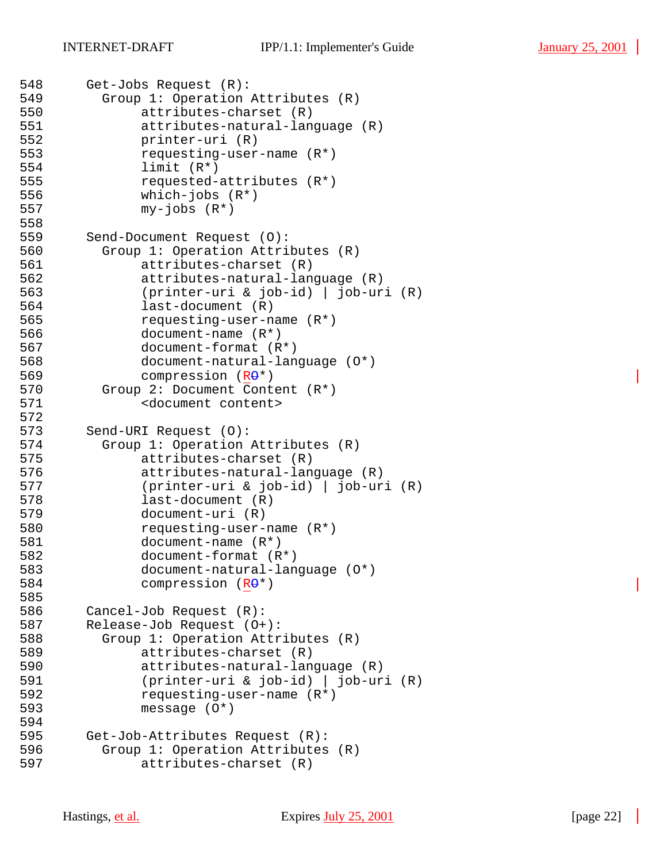```
548 Get-Jobs Request (R):
549 Group 1: Operation Attributes (R)
550 attributes-charset (R)
            attributes-natural-language (R)
552 printer-uri (R)
553 requesting-user-name (R*)<br>554 1imit (R*)
            limit (R<sup>*</sup>)555 requested-attributes (R*)
556 which-jobs (R*)
557 my-jobs (R*)
558
559 Send-Document Request (O):
560 Group 1: Operation Attributes (R)
561 attributes-charset (R)
562 attributes-natural-language (R)
563 (printer-uri & job-id) | job-uri (R)
564 last-document (R)
565 requesting-user-name (R*)
566 document-name (R*)
567 document-format (R*)
568 document-natural-language (O*)
569 compression (RO*)
570 Group 2: Document Content (R*)
571 <document content>
572
573 Send-URI Request (O):
574 Group 1: Operation Attributes (R)
575 attributes-charset (R)
576 attributes-natural-language (R)
577 (printer-uri & job-id) | job-uri (R)
578 last-document (R)
579 document-uri (R)<br>580 requesting-user-
            requesting-user-name (R<sup>*</sup>)581 document-name (R*)
582 document-format (R*)
583 document-natural-language (O*)
584 compression (RO*)
585
586 Cancel-Job Request (R):
587 Release-Job Request (O+):
588 Group 1: Operation Attributes (R)
589 attributes-charset (R)
590 attributes-natural-language (R)
591 (printer-uri & job-id) | job-uri (R)
592 requesting-user-name (R*)
593 message (O*)
594
595 Get-Job-Attributes Request (R):
596 Group 1: Operation Attributes (R)
597 attributes-charset (R)
```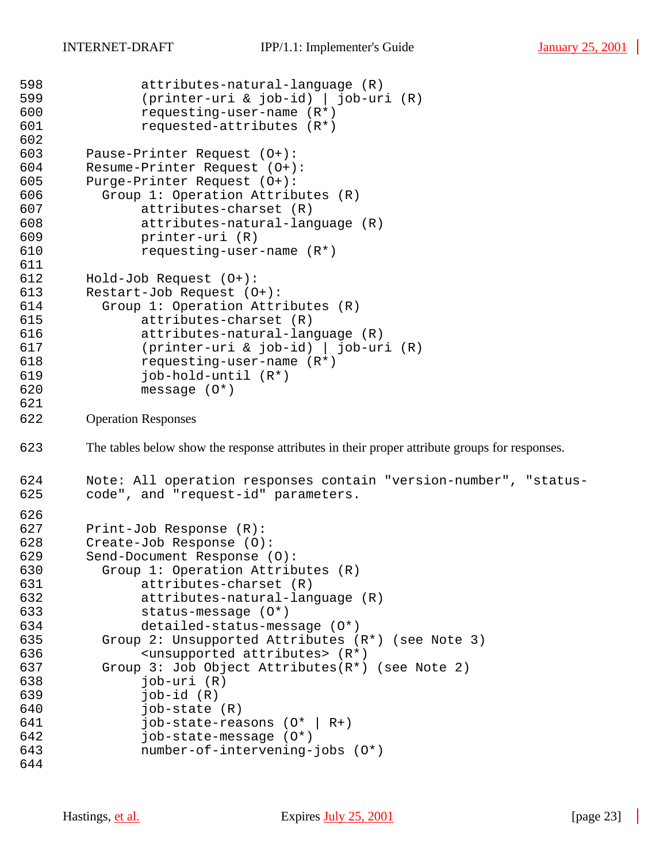```
598 attributes-natural-language (R)
599 (printer-uri & job-id) | job-uri (R)
600 requesting-user-name (R*)<br>601 requested-attributes (R*)
             requested-attributes (R*)
602
603 Pause-Printer Request (O+):
       Resume-Printer Request (O+):
605 Purge-Printer Request (O+):
606 Group 1: Operation Attributes (R)
607 attributes-charset (R)
             attributes-natural-language (R)
609 printer-uri (R)
             requesting-user-name (R<sup>*</sup>)611
612 Hold-Job Request (O+):
613 Restart-Job Request (O+):
614 Group 1: Operation Attributes (R)
615 attributes-charset (R)
616 attributes-natural-language (R)
617 (printer-uri & job-id) | job-uri (R)
618 requesting-user-name (R*)
619 job-hold-until (R*)
620 message (O*)
621
622 Operation Responses
623 The tables below show the response attributes in their proper attribute groups for responses.
624 Note: All operation responses contain "version-number", "status-
625 code", and "request-id" parameters.
626<br>627
       Print-Job Response (R):
628 Create-Job Response (O):
       Send-Document Response (O):
630 Group 1: Operation Attributes (R)
631 attributes-charset (R)
632 attributes-natural-language (R)
633 status-message (O*)
634 detailed-status-message (O*)
635 Group 2: Unsupported Attributes (R*) (see Note 3)
636 <unsupported attributes> (R*)
637 Group 3: Job Object Attributes(R*) (see Note 2)
638 job-uri (R)
639 job-id (R)
640 job-state (R)
641 job-state-reasons (O* | R+)
642 job-state-message (O*)
643 number-of-intervening-jobs (O*)
644
```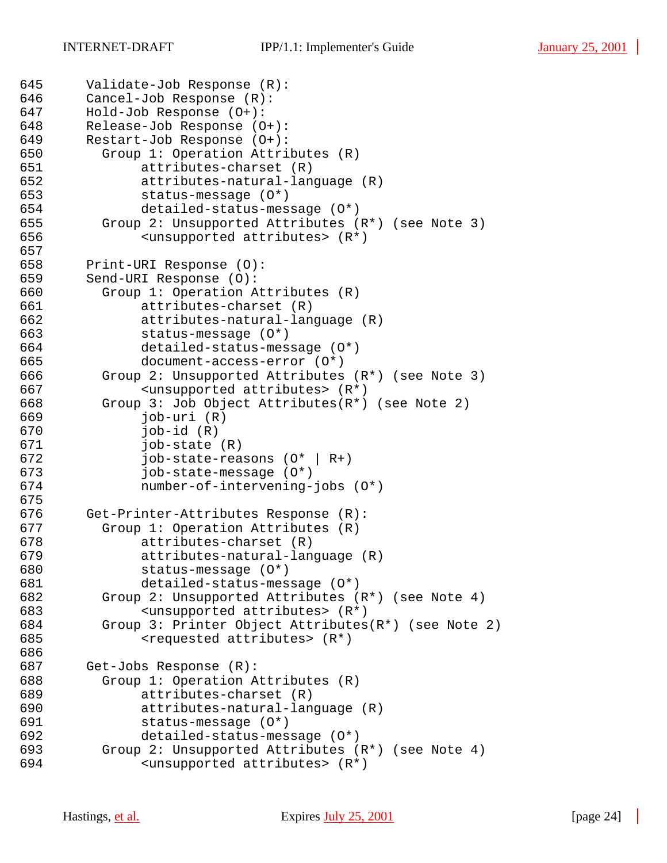```
645 Validate-Job Response (R):
646 Cancel-Job Response (R):
647 Hold-Job Response (O+):
      Release-Job Response (O+):
649 Restart-Job Response (O+):
650 Group 1: Operation Attributes (R)
651 attributes-charset (R)
652 attributes-natural-language (R)
            status-message (0*)654 detailed-status-message (O*)
        Group 2: Unsupported Attributes (R<sup>*</sup>) (see Note 3)
656 <unsupported attributes> (R*)
657<br>658
       Print-URI Response (O):
659 Send-URI Response (O):
660 Group 1: Operation Attributes (R)
661 attributes-charset (R)
662 attributes-natural-language (R)
663 status-message (O*)
664 detailed-status-message (O*)
665 document-access-error (O*)
666 Group 2: Unsupported Attributes (R*) (see Note 3)
667 <unsupported attributes> (R*)
668 Group 3: Job Object Attributes(R*) (see Note 2)
669 job-uri (R)
670 job-id (R)
671 job-state (R)
672 job-state-reasons (O* | R+)
673 job-state-message (O*)
674 number-of-intervening-jobs (O*)
675
676 Get-Printer-Attributes Response (R):<br>677      Group 1: Operation Attributes (R)
        Group 1: Operation Attributes (R)678 attributes-charset (R)
679 attributes-natural-language (R)
680 status-message (O*)
681 detailed-status-message (O*)
682 Group 2: Unsupported Attributes (R*) (see Note 4)
683 <unsupported attributes> (R*)
684 Group 3: Printer Object Attributes(R*) (see Note 2)
685 <requested attributes> (R*)
686
687 Get-Jobs Response (R):
688 Group 1: Operation Attributes (R)
689 attributes-charset (R)
690 attributes-natural-language (R)
691 status-message (O*)
692 detailed-status-message (O*)
693 Group 2: Unsupported Attributes (R*) (see Note 4)
694 <unsupported attributes> (R*)
```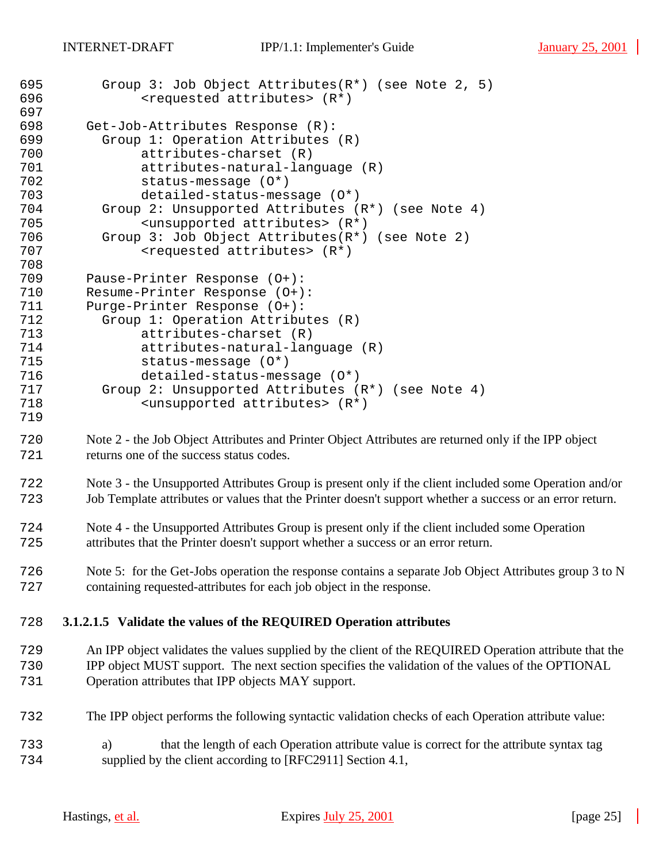| 695<br>696<br>697        | Group 3: Job Object Attributes( $R^*$ ) (see Note 2, 5)<br><requested attributes=""> (R*)</requested>                              |
|--------------------------|------------------------------------------------------------------------------------------------------------------------------------|
| 698<br>699<br>700<br>701 | Get-Job-Attributes Response (R):<br>Group 1: Operation Attributes (R)<br>attributes-charset (R)<br>attributes-natural-language (R) |
| 702                      | status-message (0*)                                                                                                                |
| 703                      | detailed-status-message (0*)                                                                                                       |
| 704                      | Group 2: Unsupported Attributes (R*) (see Note 4)                                                                                  |
| 705                      | <unsupported attributes=""> (R*)</unsupported>                                                                                     |
| 706                      | Group 3: Job Object Attributes(R*) (see Note 2)                                                                                    |
| 707                      | <requested attributes=""> (R*)</requested>                                                                                         |
| 708                      |                                                                                                                                    |
| 709                      | Pause-Printer Response (0+):                                                                                                       |
| 710                      | Resume-Printer Response (0+):                                                                                                      |
| 711                      | Purge-Printer Response (0+):                                                                                                       |
| 712<br>713               | Group 1: Operation Attributes (R)<br>attributes-charset (R)                                                                        |
| 714                      | attributes-natural-language (R)                                                                                                    |
| 715                      | status-message (O*)                                                                                                                |
| 716                      | detailed-status-message (0*)                                                                                                       |
| 717                      | Group 2: Unsupported Attributes (R*) (see Note 4)                                                                                  |
| 718                      | <unsupported attributes=""> (R*)</unsupported>                                                                                     |
| 719                      |                                                                                                                                    |
| 720                      | Note 2 - the Job Object Attributes and Printer Object Attributes are returned only if the IPP object                               |
| 721                      | returns one of the success status codes.                                                                                           |
|                          |                                                                                                                                    |
| 722                      | Note 3 - the Unsupported Attributes Group is present only if the client included some Operation and/or                             |
| 723                      | Job Template attributes or values that the Printer doesn't support whether a success or an error return.                           |
|                          |                                                                                                                                    |
| 724                      | Note 4 - the Unsupported Attributes Group is present only if the client included some Operation                                    |
| 725                      | attributes that the Printer doesn't support whether a success or an error return.                                                  |
|                          |                                                                                                                                    |
| 726                      | Note 5: for the Get-Jobs operation the response contains a separate Job Object Attributes group 3 to N                             |
| 727                      | containing requested-attributes for each job object in the response.                                                               |
|                          |                                                                                                                                    |
| 728                      | 3.1.2.1.5 Validate the values of the REQUIRED Operation attributes                                                                 |
| 729                      | An IPP object validates the values supplied by the client of the REQUIRED Operation attribute that the                             |
| 730                      | IPP object MUST support. The next section specifies the validation of the values of the OPTIONAL                                   |
| 731                      | Operation attributes that IPP objects MAY support.                                                                                 |
|                          |                                                                                                                                    |
|                          |                                                                                                                                    |
| 732                      | The IPP object performs the following syntactic validation checks of each Operation attribute value:                               |
|                          |                                                                                                                                    |
| 733                      | that the length of each Operation attribute value is correct for the attribute syntax tag<br>a)                                    |
| 734                      | supplied by the client according to [RFC2911] Section 4.1,                                                                         |
|                          |                                                                                                                                    |

 $\mathbb{R}^2$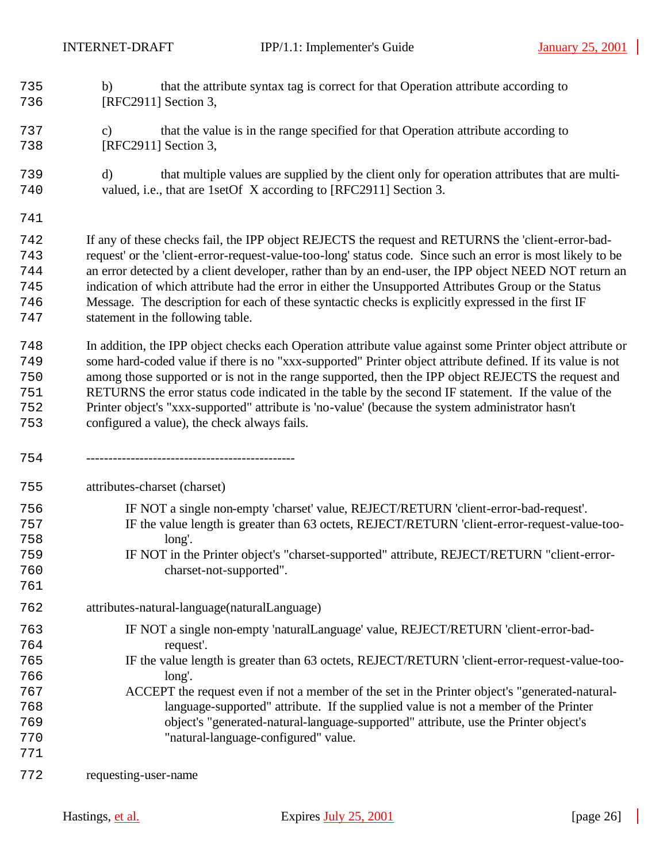- b) that the attribute syntax tag is correct for that Operation attribute according to [RFC2911] Section 3,
- c) that the value is in the range specified for that Operation attribute according to [RFC2911] Section 3,
- d) that multiple values are supplied by the client only for operation attributes that are multi-valued, i.e., that are 1setOf X according to [RFC2911] Section 3.
- 

 If any of these checks fail, the IPP object REJECTS the request and RETURNS the 'client-error-bad- request' or the 'client-error-request-value-too-long' status code. Since such an error is most likely to be an error detected by a client developer, rather than by an end-user, the IPP object NEED NOT return an indication of which attribute had the error in either the Unsupported Attributes Group or the Status Message. The description for each of these syntactic checks is explicitly expressed in the first IF statement in the following table.

 In addition, the IPP object checks each Operation attribute value against some Printer object attribute or some hard-coded value if there is no "xxx-supported" Printer object attribute defined. If its value is not among those supported or is not in the range supported, then the IPP object REJECTS the request and RETURNS the error status code indicated in the table by the second IF statement. If the value of the Printer object's "xxx-supported" attribute is 'no-value' (because the system administrator hasn't configured a value), the check always fails.

-----------------------------------------------

attributes-charset (charset)

- IF NOT a single non-empty 'charset' value, REJECT/RETURN 'client-error-bad-request'. IF the value length is greater than 63 octets, REJECT/RETURN 'client-error-request-value-too- long'. IF NOT in the Printer object's "charset-supported" attribute, REJECT/RETURN "client-error-
- charset-not-supported".
- attributes-natural-language(naturalLanguage)
- IF NOT a single non-empty 'naturalLanguage' value, REJECT/RETURN 'client-error-bad-request'.
- IF the value length is greater than 63 octets, REJECT/RETURN 'client-error-request-value-too-long'.
- ACCEPT the request even if not a member of the set in the Printer object's "generated-natural- language-supported" attribute. If the supplied value is not a member of the Printer object's "generated-natural-language-supported" attribute, use the Printer object's "natural-language-configured" value.
- requesting-user-name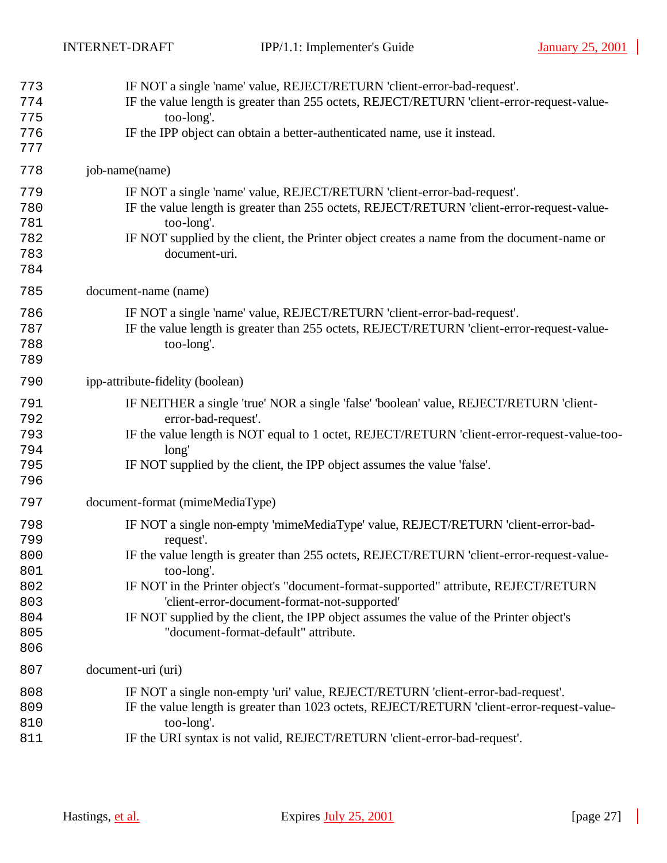| 773<br>774<br>775<br>776<br>777                             | IF NOT a single 'name' value, REJECT/RETURN 'client-error-bad-request'.<br>IF the value length is greater than 255 octets, REJECT/RETURN 'client-error-request-value-<br>too-long'.<br>IF the IPP object can obtain a better-authenticated name, use it instead.                                                                                                                                                                                                                     |
|-------------------------------------------------------------|--------------------------------------------------------------------------------------------------------------------------------------------------------------------------------------------------------------------------------------------------------------------------------------------------------------------------------------------------------------------------------------------------------------------------------------------------------------------------------------|
| 778                                                         | job-name(name)                                                                                                                                                                                                                                                                                                                                                                                                                                                                       |
| 779<br>780<br>781<br>782<br>783<br>784                      | IF NOT a single 'name' value, REJECT/RETURN 'client-error-bad-request'.<br>IF the value length is greater than 255 octets, REJECT/RETURN 'client-error-request-value-<br>too-long'.<br>IF NOT supplied by the client, the Printer object creates a name from the document-name or<br>document-uri.                                                                                                                                                                                   |
| 785                                                         | document-name (name)                                                                                                                                                                                                                                                                                                                                                                                                                                                                 |
| 786<br>787<br>788<br>789                                    | IF NOT a single 'name' value, REJECT/RETURN 'client-error-bad-request'.<br>IF the value length is greater than 255 octets, REJECT/RETURN 'client-error-request-value-<br>too-long'.                                                                                                                                                                                                                                                                                                  |
| 790                                                         | ipp-attribute-fidelity (boolean)                                                                                                                                                                                                                                                                                                                                                                                                                                                     |
| 791<br>792<br>793<br>794<br>795<br>796                      | IF NEITHER a single 'true' NOR a single 'false' 'boolean' value, REJECT/RETURN 'client-<br>error-bad-request'.<br>IF the value length is NOT equal to 1 octet, REJECT/RETURN 'client-error-request-value-too-<br>long'<br>IF NOT supplied by the client, the IPP object assumes the value 'false'.                                                                                                                                                                                   |
| 797                                                         | document-format (mimeMediaType)                                                                                                                                                                                                                                                                                                                                                                                                                                                      |
| 798<br>799<br>800<br>801<br>802<br>803<br>804<br>805<br>806 | IF NOT a single non-empty 'mimeMediaType' value, REJECT/RETURN 'client-error-bad-<br>request'.<br>IF the value length is greater than 255 octets, REJECT/RETURN 'client-error-request-value-<br>too-long'.<br>IF NOT in the Printer object's "document-format-supported" attribute, REJECT/RETURN<br>'client-error-document-format-not-supported'<br>IF NOT supplied by the client, the IPP object assumes the value of the Printer object's<br>"document-format-default" attribute. |
| 807                                                         | document-uri (uri)                                                                                                                                                                                                                                                                                                                                                                                                                                                                   |
| 808<br>809<br>810<br>811                                    | IF NOT a single non-empty 'uri' value, REJECT/RETURN 'client-error-bad-request'.<br>IF the value length is greater than 1023 octets, REJECT/RETURN 'client-error-request-value-<br>too-long'.<br>IF the URI syntax is not valid, REJECT/RETURN 'client-error-bad-request'.                                                                                                                                                                                                           |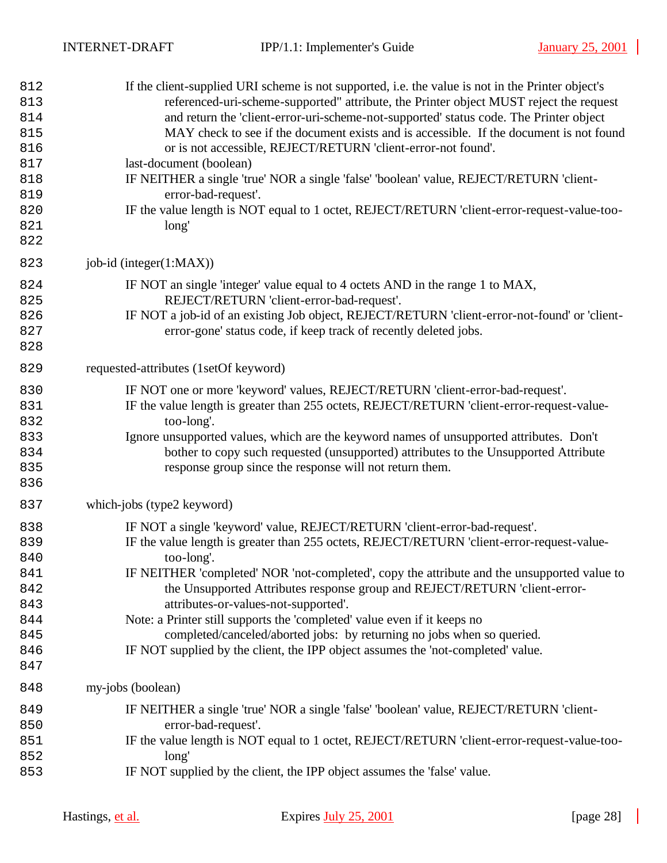| 812<br>813<br>814<br>815<br>816<br>817<br>818<br>819<br>820<br>821<br>822 | If the client-supplied URI scheme is not supported, i.e. the value is not in the Printer object's<br>referenced-uri-scheme-supported" attribute, the Printer object MUST reject the request<br>and return the 'client-error-uri-scheme-not-supported' status code. The Printer object<br>MAY check to see if the document exists and is accessible. If the document is not found<br>or is not accessible, REJECT/RETURN 'client-error-not found'.<br>last-document (boolean)<br>IF NEITHER a single 'true' NOR a single 'false' 'boolean' value, REJECT/RETURN 'client-<br>error-bad-request'.<br>IF the value length is NOT equal to 1 octet, REJECT/RETURN 'client-error-request-value-too-<br>long' |
|---------------------------------------------------------------------------|--------------------------------------------------------------------------------------------------------------------------------------------------------------------------------------------------------------------------------------------------------------------------------------------------------------------------------------------------------------------------------------------------------------------------------------------------------------------------------------------------------------------------------------------------------------------------------------------------------------------------------------------------------------------------------------------------------|
| 823                                                                       | job-id (integer(1:MAX))                                                                                                                                                                                                                                                                                                                                                                                                                                                                                                                                                                                                                                                                                |
| 824<br>825<br>826<br>827<br>828                                           | IF NOT an single 'integer' value equal to 4 octets AND in the range 1 to MAX,<br>REJECT/RETURN 'client-error-bad-request'.<br>IF NOT a job-id of an existing Job object, REJECT/RETURN 'client-error-not-found' or 'client-<br>error-gone' status code, if keep track of recently deleted jobs.                                                                                                                                                                                                                                                                                                                                                                                                        |
| 829                                                                       | requested-attributes (1setOf keyword)                                                                                                                                                                                                                                                                                                                                                                                                                                                                                                                                                                                                                                                                  |
| 830<br>831<br>832<br>833<br>834<br>835<br>836                             | IF NOT one or more 'keyword' values, REJECT/RETURN 'client-error-bad-request'.<br>IF the value length is greater than 255 octets, REJECT/RETURN 'client-error-request-value-<br>too-long'.<br>Ignore unsupported values, which are the keyword names of unsupported attributes. Don't<br>bother to copy such requested (unsupported) attributes to the Unsupported Attribute<br>response group since the response will not return them.                                                                                                                                                                                                                                                                |
| 837                                                                       | which-jobs (type2 keyword)                                                                                                                                                                                                                                                                                                                                                                                                                                                                                                                                                                                                                                                                             |
| 838<br>839<br>840<br>841<br>842<br>843<br>844<br>845<br>846<br>847        | IF NOT a single 'keyword' value, REJECT/RETURN 'client-error-bad-request'.<br>IF the value length is greater than 255 octets, REJECT/RETURN 'client-error-request-value-<br>too-long'.<br>IF NEITHER 'completed' NOR 'not-completed', copy the attribute and the unsupported value to<br>the Unsupported Attributes response group and REJECT/RETURN 'client-error-<br>attributes-or-values-not-supported'.<br>Note: a Printer still supports the 'completed' value even if it keeps no<br>completed/canceled/aborted jobs: by returning no jobs when so queried.<br>IF NOT supplied by the client, the IPP object assumes the 'not-completed' value.                                                  |
| 848                                                                       | my-jobs (boolean)                                                                                                                                                                                                                                                                                                                                                                                                                                                                                                                                                                                                                                                                                      |
| 849<br>850<br>851<br>852<br>853                                           | IF NEITHER a single 'true' NOR a single 'false' 'boolean' value, REJECT/RETURN 'client-<br>error-bad-request'.<br>IF the value length is NOT equal to 1 octet, REJECT/RETURN 'client-error-request-value-too-<br>long'<br>IF NOT supplied by the client, the IPP object assumes the 'false' value.                                                                                                                                                                                                                                                                                                                                                                                                     |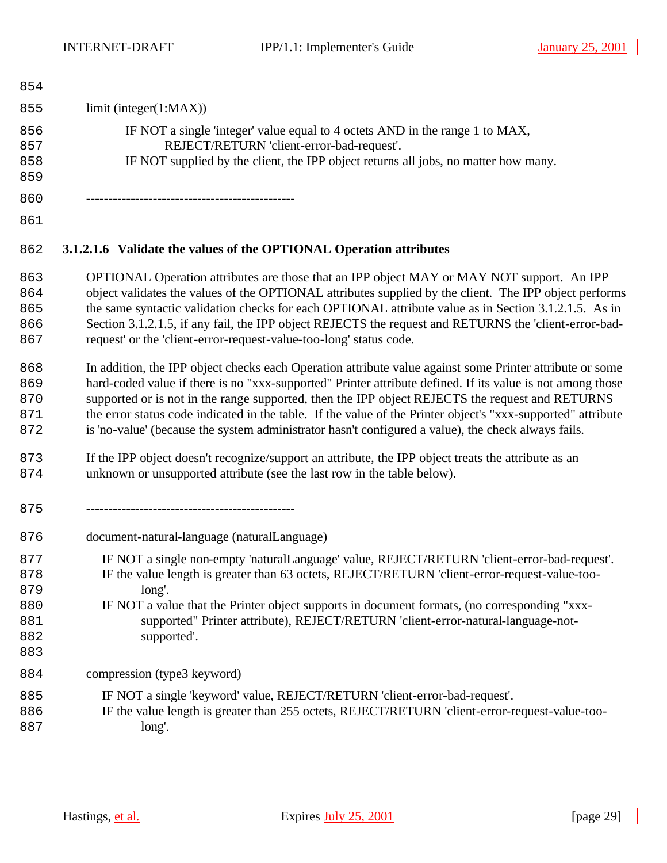$\sim$   $\sim$   $\sim$ 

| 854        |                                                                                     |
|------------|-------------------------------------------------------------------------------------|
| 855        | limit (integer(1:MAX))                                                              |
| 856        | IF NOT a single 'integer' value equal to 4 octets AND in the range 1 to MAX,        |
| 857        | REJECT/RETURN 'client-error-bad-request'.                                           |
| 858<br>859 | IF NOT supplied by the client, the IPP object returns all jobs, no matter how many. |
| 860        |                                                                                     |
| 861        |                                                                                     |

# **3.1.2.1.6 Validate the values of the OPTIONAL Operation attributes**

- OPTIONAL Operation attributes are those that an IPP object MAY or MAY NOT support. An IPP 864 object validates the values of the OPTIONAL attributes supplied by the client. The IPP object performs 865 the same syntactic validation checks for each OPTIONAL attribute value as in Section 3.1.2.1.5. As in 866 Section 3.1.2.1.5, if any fail, the IPP object REJECTS the request and RETURNS the 'client-error-bad-request' or the 'client-error-request-value-too-long' status code.
- In addition, the IPP object checks each Operation attribute value against some Printer attribute or some hard-coded value if there is no "xxx-supported" Printer attribute defined. If its value is not among those supported or is not in the range supported, then the IPP object REJECTS the request and RETURNS 871 the error status code indicated in the table. If the value of the Printer object's "xxx-supported" attribute is 'no-value' (because the system administrator hasn't configured a value), the check always fails.
- If the IPP object doesn't recognize/support an attribute, the IPP object treats the attribute as an unknown or unsupported attribute (see the last row in the table below).
- -----------------------------------------------
- document-natural-language (naturalLanguage)
- IF NOT a single non-empty 'naturalLanguage' value, REJECT/RETURN 'client-error-bad-request'.
- IF the value length is greater than 63 octets, REJECT/RETURN 'client-error-request-value-too-long'.
- IF NOT a value that the Printer object supports in document formats, (no corresponding "xxx- supported" Printer attribute), REJECT/RETURN 'client-error-natural-language-not-supported'.
- compression (type3 keyword)
- IF NOT a single 'keyword' value, REJECT/RETURN 'client-error-bad-request'.
- 886 IF the value length is greater than 255 octets, REJECT/RETURN 'client-error-request-value-too-long'.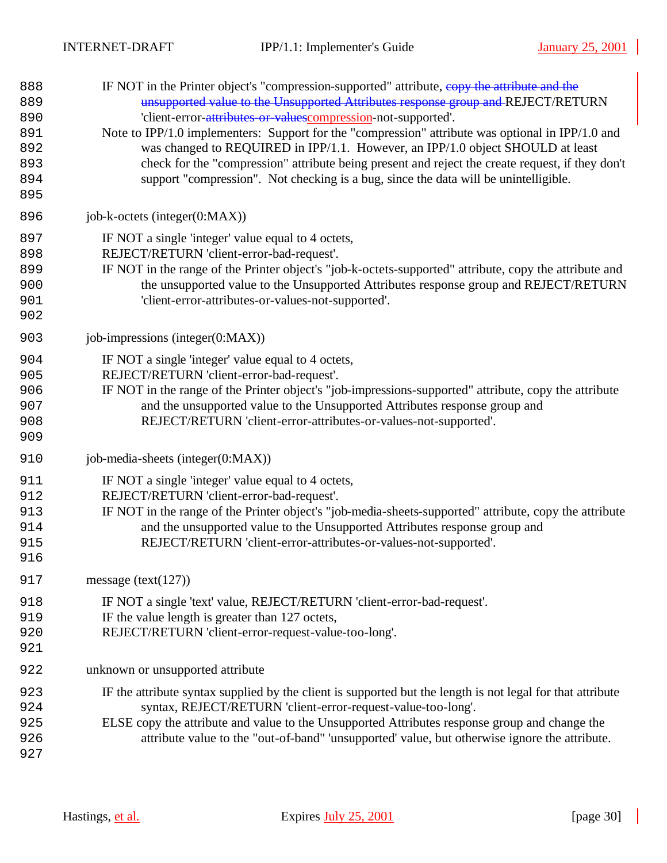| 888<br>889<br>890<br>891<br>892<br>893<br>894<br>895 | IF NOT in the Printer object's "compression-supported" attribute, copy the attribute and the<br>unsupported value to the Unsupported Attributes response group and REJECT/RETURN<br>'client-error-attributes-or-valuescompression-not-supported'.<br>Note to IPP/1.0 implementers: Support for the "compression" attribute was optional in IPP/1.0 and<br>was changed to REQUIRED in IPP/1.1. However, an IPP/1.0 object SHOULD at least<br>check for the "compression" attribute being present and reject the create request, if they don't<br>support "compression". Not checking is a bug, since the data will be unintelligible. |
|------------------------------------------------------|--------------------------------------------------------------------------------------------------------------------------------------------------------------------------------------------------------------------------------------------------------------------------------------------------------------------------------------------------------------------------------------------------------------------------------------------------------------------------------------------------------------------------------------------------------------------------------------------------------------------------------------|
| 896                                                  | job-k-octets (integer(0:MAX))                                                                                                                                                                                                                                                                                                                                                                                                                                                                                                                                                                                                        |
| 897<br>898<br>899<br>900<br>901<br>902               | IF NOT a single 'integer' value equal to 4 octets,<br>REJECT/RETURN 'client-error-bad-request'.<br>IF NOT in the range of the Printer object's "job-k-octets-supported" attribute, copy the attribute and<br>the unsupported value to the Unsupported Attributes response group and REJECT/RETURN<br>'client-error-attributes-or-values-not-supported'.                                                                                                                                                                                                                                                                              |
| 903                                                  | job-impressions (integer $(0:MAX)$ )                                                                                                                                                                                                                                                                                                                                                                                                                                                                                                                                                                                                 |
| 904<br>905<br>906<br>907<br>908<br>909               | IF NOT a single 'integer' value equal to 4 octets,<br>REJECT/RETURN 'client-error-bad-request'.<br>IF NOT in the range of the Printer object's "job-impressions-supported" attribute, copy the attribute<br>and the unsupported value to the Unsupported Attributes response group and<br>REJECT/RETURN 'client-error-attributes-or-values-not-supported'.                                                                                                                                                                                                                                                                           |
| 910                                                  | job-media-sheets (integer(0:MAX))                                                                                                                                                                                                                                                                                                                                                                                                                                                                                                                                                                                                    |
| 911<br>912<br>913<br>914<br>915<br>916               | IF NOT a single 'integer' value equal to 4 octets,<br>REJECT/RETURN 'client-error-bad-request'.<br>IF NOT in the range of the Printer object's "job-media-sheets-supported" attribute, copy the attribute<br>and the unsupported value to the Unsupported Attributes response group and<br>REJECT/RETURN 'client-error-attributes-or-values-not-supported'.                                                                                                                                                                                                                                                                          |
| 917                                                  | message $(text(127))$                                                                                                                                                                                                                                                                                                                                                                                                                                                                                                                                                                                                                |
| 918<br>919<br>920<br>921                             | IF NOT a single 'text' value, REJECT/RETURN 'client-error-bad-request'.<br>IF the value length is greater than 127 octets,<br>REJECT/RETURN 'client-error-request-value-too-long'.                                                                                                                                                                                                                                                                                                                                                                                                                                                   |
| 922                                                  | unknown or unsupported attribute                                                                                                                                                                                                                                                                                                                                                                                                                                                                                                                                                                                                     |
| 923<br>924<br>925<br>926<br>927                      | IF the attribute syntax supplied by the client is supported but the length is not legal for that attribute<br>syntax, REJECT/RETURN 'client-error-request-value-too-long'.<br>ELSE copy the attribute and value to the Unsupported Attributes response group and change the<br>attribute value to the "out-of-band" 'unsupported' value, but otherwise ignore the attribute.                                                                                                                                                                                                                                                         |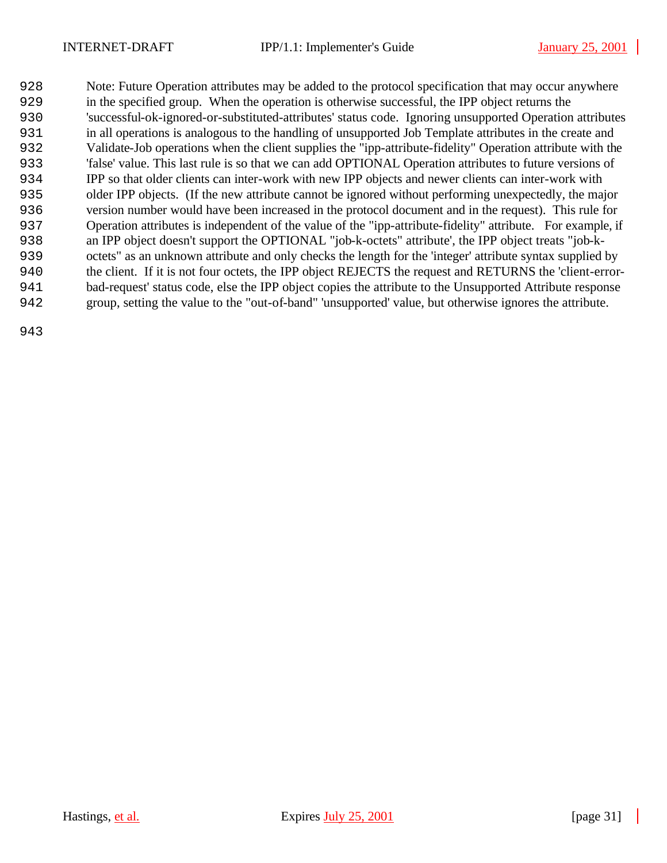Note: Future Operation attributes may be added to the protocol specification that may occur anywhere in the specified group. When the operation is otherwise successful, the IPP object returns the 'successful-ok-ignored-or-substituted-attributes' status code. Ignoring unsupported Operation attributes in all operations is analogous to the handling of unsupported Job Template attributes in the create and Validate-Job operations when the client supplies the "ipp-attribute-fidelity" Operation attribute with the 'false' value. This last rule is so that we can add OPTIONAL Operation attributes to future versions of IPP so that older clients can inter-work with new IPP objects and newer clients can inter-work with older IPP objects. (If the new attribute cannot be ignored without performing unexpectedly, the major version number would have been increased in the protocol document and in the request). This rule for Operation attributes is independent of the value of the "ipp-attribute-fidelity" attribute. For example, if an IPP object doesn't support the OPTIONAL "job-k-octets" attribute', the IPP object treats "job-k- octets" as an unknown attribute and only checks the length for the 'integer' attribute syntax supplied by the client. If it is not four octets, the IPP object REJECTS the request and RETURNS the 'client-error- bad-request' status code, else the IPP object copies the attribute to the Unsupported Attribute response group, setting the value to the "out-of-band" 'unsupported' value, but otherwise ignores the attribute.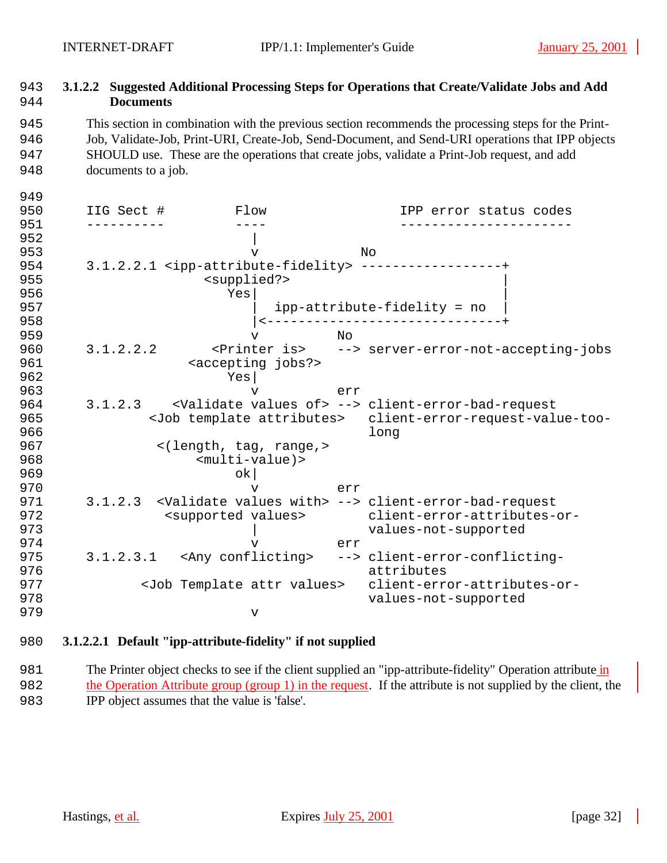# 943 **3.1.2.2 Suggested Additional Processing Steps for Operations that Create/Validate Jobs and Add**  944 **Documents**

 This section in combination with the previous section recommends the processing steps for the Print- Job, Validate-Job, Print-URI, Create-Job, Send-Document, and Send-URI operations that IPP objects SHOULD use. These are the operations that create jobs, validate a Print-Job request, and add documents to a job.

| 949<br>950 | IIG Sect # | Flow                              |     | IPP error status codes                                                               |
|------------|------------|-----------------------------------|-----|--------------------------------------------------------------------------------------|
| 951<br>952 |            |                                   |     |                                                                                      |
| 953        |            | $\overline{V}$                    |     | Nο                                                                                   |
| 954        |            |                                   |     | 3.1.2.2.1 <ipp-attribute-fidelity> ----------------</ipp-attribute-fidelity>         |
| 955        |            | <supplied?></supplied?>           |     |                                                                                      |
| 956        |            | Yes                               |     |                                                                                      |
| 957        |            |                                   |     | ipp-attribute-fidelity = no                                                          |
| 958        |            |                                   |     |                                                                                      |
| 959        |            | $\overline{V}$                    | N∩  |                                                                                      |
| 960        | 3.1.2.2.2  |                                   |     | <printer is=""> --&gt; server-error-not-accepting-jobs</printer>                     |
| 961        |            | <accepting jobs?=""></accepting>  |     |                                                                                      |
| 962        |            | Yes                               |     |                                                                                      |
| 963        |            | $\mathbf v$                       | err |                                                                                      |
| 964        | 3.1.2.3    |                                   |     | <validate of="" values=""> --&gt; client-error-bad-request</validate>                |
| 965        |            |                                   |     | <job attributes="" template=""> client-error-request-value-too-</job>                |
| 966        |            |                                   |     | long                                                                                 |
| 967        |            | <(length, tag, range,>            |     |                                                                                      |
| 968        |            | $<$ multi-value) >                |     |                                                                                      |
| 969        |            | ok                                |     |                                                                                      |
| 970        |            | $\overline{V}$                    | err |                                                                                      |
| 971        |            |                                   |     | 3.1.2.3 <validate values="" with=""> --&gt; client-error-bad-request</validate>      |
| 972        |            | <supported values=""></supported> |     | client-error-attributes-or-                                                          |
| 973        |            |                                   |     | values-not-supported                                                                 |
| 974        |            | v                                 | err |                                                                                      |
| 975<br>976 |            |                                   |     | 3.1.2.3.1 <any conflicting=""> --&gt; client-error-conflicting-<br/>attributes</any> |
| 977        |            |                                   |     | <job attr="" template="" values=""> client-error-attributes-or-</job>                |
| 978        |            |                                   |     | values-not-supported                                                                 |
| 979        |            | $\mathbf v$                       |     |                                                                                      |
|            |            |                                   |     |                                                                                      |

# 980 **3.1.2.2.1 Default "ipp-attribute-fidelity" if not supplied**

981 The Printer object checks to see if the client supplied an "ipp-attribute-fidelity" Operation attribute in 982 the Operation Attribute group (group 1) in the request. If the attribute is not supplied by the client, the 983 IPP object assumes that the value is 'false'.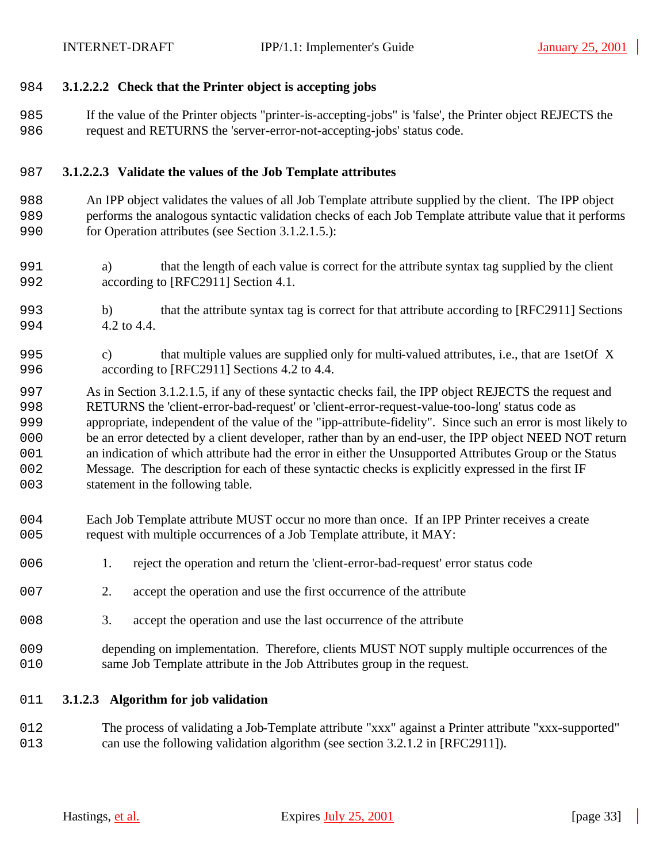### **3.1.2.2.2 Check that the Printer object is accepting jobs**

 If the value of the Printer objects "printer-is-accepting-jobs" is 'false', the Printer object REJECTS the request and RETURNS the 'server-error-not-accepting-jobs' status code.

### **3.1.2.2.3 Validate the values of the Job Template attributes**

- An IPP object validates the values of all Job Template attribute supplied by the client. The IPP object performs the analogous syntactic validation checks of each Job Template attribute value that it performs for Operation attributes (see Section 3.1.2.1.5.):
- a) that the length of each value is correct for the attribute syntax tag supplied by the client according to [RFC2911] Section 4.1.
- b) that the attribute syntax tag is correct for that attribute according to [RFC2911] Sections 4.2 to 4.4.
- c) that multiple values are supplied only for multi-valued attributes, i.e., that are 1setOf X according to [RFC2911] Sections 4.2 to 4.4.
- As in Section 3.1.2.1.5, if any of these syntactic checks fail, the IPP object REJECTS the request and RETURNS the 'client-error-bad-request' or 'client-error-request-value-too-long' status code as appropriate, independent of the value of the "ipp-attribute-fidelity". Since such an error is most likely to be an error detected by a client developer, rather than by an end-user, the IPP object NEED NOT return an indication of which attribute had the error in either the Unsupported Attributes Group or the Status Message. The description for each of these syntactic checks is explicitly expressed in the first IF 003 statement in the following table.
- Each Job Template attribute MUST occur no more than once. If an IPP Printer receives a create request with multiple occurrences of a Job Template attribute, it MAY:
- 006 1. reject the operation and return the 'client-error-bad-request' error status code
- 2. accept the operation and use the first occurrence of the attribute
- 3. accept the operation and use the last occurrence of the attribute
- depending on implementation. Therefore, clients MUST NOT supply multiple occurrences of the same Job Template attribute in the Job Attributes group in the request.
- **3.1.2.3 Algorithm for job validation**
- The process of validating a Job-Template attribute "xxx" against a Printer attribute "xxx-supported" can use the following validation algorithm (see section 3.2.1.2 in [RFC2911]).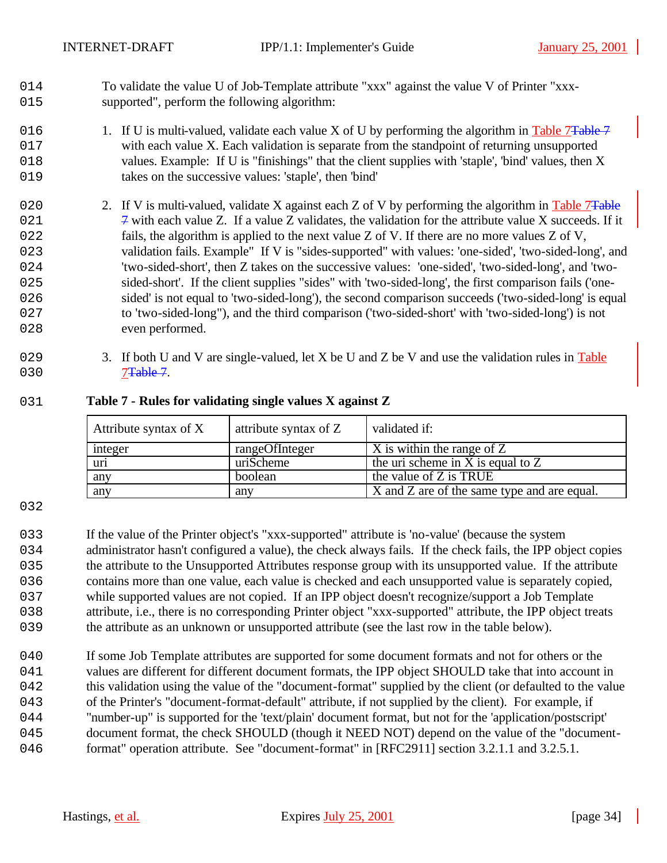- 1014 To validate the value U of Job-Template attribute "xxx" against the value V of Printer "xxx-1015 supported", perform the following algorithm:
- 016 1. If U is multi-valued, validate each value X of U by performing the algorithm in Table 7Table 7 1017 with each value X. Each validation is separate from the standpoint of returning unsupported 1018 values. Example: If U is "finishings" that the client supplies with 'staple', 'bind' values, then X 1019 takes on the successive values: 'staple', then 'bind'
- 020 2. If V is multi-valued, validate X against each Z of V by performing the algorithm in Table 7 $\overline{T_{\text{able}}}$ 021  $\frac{1}{7}$  with each value Z. If a value Z validates, the validation for the attribute value X succeeds. If it 1022 fails, the algorithm is applied to the next value Z of V. If there are no more values Z of V, 1023 validation fails. Example" If V is "sides-supported" with values: 'one-sided', 'two-sided-long', and 1024 'two-sided-short', then Z takes on the successive values: 'one-sided', 'two-sided-long', and 'two-025 sided-short'. If the client supplies "sides" with 'two-sided-long', the first comparison fails ('one-1026 sided' is not equal to 'two-sided-long'), the second comparison succeeds ('two-sided-long' is equal 1027 to 'two-sided-long"), and the third comparison ('two-sided-short' with 'two-sided-long') is not 028 even performed.
- 029 3. If both U and V are single-valued, let X be U and Z be V and use the validation rules in Table 030 7<del>Table 7</del>.

### 1031 **Table 7 - Rules for validating single values X against Z**

| Attribute syntax of X | attribute syntax of Z | validated if:                               |
|-----------------------|-----------------------|---------------------------------------------|
| integer               | rangeOfInteger        | X is within the range of Z                  |
| uri                   | uriScheme             | the uri scheme in X is equal to $Z$         |
| any                   | boolean               | the value of Z is TRUE                      |
| any                   | any                   | X and Z are of the same type and are equal. |

#### 1032

 If the value of the Printer object's "xxx-supported" attribute is 'no-value' (because the system 034 administrator hasn't configured a value), the check always fails. If the check fails, the IPP object copies the attribute to the Unsupported Attributes response group with its unsupported value. If the attribute 036 contains more than one value, each value is checked and each unsupported value is separately copied, while supported values are not copied. If an IPP object doesn't recognize/support a Job Template attribute, i.e., there is no corresponding Printer object "xxx-supported" attribute, the IPP object treats the attribute as an unknown or unsupported attribute (see the last row in the table below).

040 If some Job Template attributes are supported for some document formats and not for others or the 041 values are different for different document formats, the IPP object SHOULD take that into account in 1042 this validation using the value of the "document-format" supplied by the client (or defaulted to the value 1043 of the Printer's "document-format-default" attribute, if not supplied by the client). For example, if 1044 "number-up" is supported for the 'text/plain' document format, but not for the 'application/postscript' 1045 document format, the check SHOULD (though it NEED NOT) depend on the value of the "document-046 format" operation attribute. See "document-format" in [RFC2911] section 3.2.1.1 and 3.2.5.1.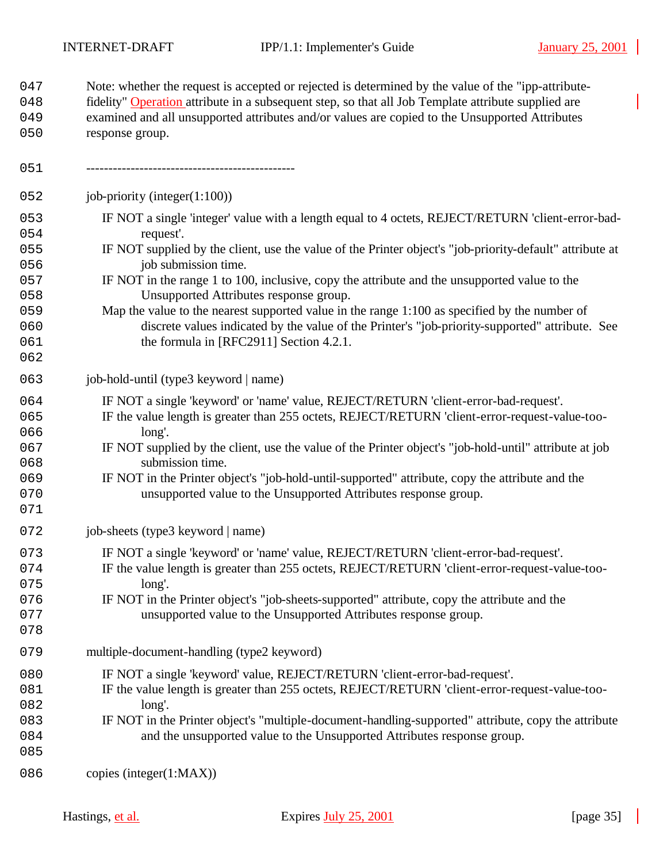| 047<br>048<br>049<br>050                                           | Note: whether the request is accepted or rejected is determined by the value of the "ipp-attribute-<br>fidelity" Operation attribute in a subsequent step, so that all Job Template attribute supplied are<br>examined and all unsupported attributes and/or values are copied to the Unsupported Attributes<br>response group.                                                                                                                                                                                                                                                                                                             |
|--------------------------------------------------------------------|---------------------------------------------------------------------------------------------------------------------------------------------------------------------------------------------------------------------------------------------------------------------------------------------------------------------------------------------------------------------------------------------------------------------------------------------------------------------------------------------------------------------------------------------------------------------------------------------------------------------------------------------|
| 051                                                                |                                                                                                                                                                                                                                                                                                                                                                                                                                                                                                                                                                                                                                             |
| 052                                                                | job-priority (integer $(1:100)$ )                                                                                                                                                                                                                                                                                                                                                                                                                                                                                                                                                                                                           |
| 053<br>054<br>055<br>056<br>057<br>058<br>059<br>060<br>061<br>062 | IF NOT a single 'integer' value with a length equal to 4 octets, REJECT/RETURN 'client-error-bad-<br>request'.<br>IF NOT supplied by the client, use the value of the Printer object's "job-priority-default" attribute at<br>job submission time.<br>IF NOT in the range 1 to 100, inclusive, copy the attribute and the unsupported value to the<br>Unsupported Attributes response group.<br>Map the value to the nearest supported value in the range 1:100 as specified by the number of<br>discrete values indicated by the value of the Printer's "job-priority-supported" attribute. See<br>the formula in [RFC2911] Section 4.2.1. |
| 063                                                                | job-hold-until (type3 keyword   name)                                                                                                                                                                                                                                                                                                                                                                                                                                                                                                                                                                                                       |
| 064<br>065<br>066<br>067<br>068<br>069<br>070<br>071               | IF NOT a single 'keyword' or 'name' value, REJECT/RETURN 'client-error-bad-request'.<br>IF the value length is greater than 255 octets, REJECT/RETURN 'client-error-request-value-too-<br>long'.<br>IF NOT supplied by the client, use the value of the Printer object's "job-hold-until" attribute at job<br>submission time.<br>IF NOT in the Printer object's "job-hold-until-supported" attribute, copy the attribute and the<br>unsupported value to the Unsupported Attributes response group.                                                                                                                                        |
| 072                                                                | job-sheets (type3 keyword   name)                                                                                                                                                                                                                                                                                                                                                                                                                                                                                                                                                                                                           |
| 073<br>074<br>075<br>076<br>077<br>078                             | IF NOT a single 'keyword' or 'name' value, REJECT/RETURN 'client-error-bad-request'.<br>IF the value length is greater than 255 octets, REJECT/RETURN 'client-error-request-value-too-<br>long'.<br>IF NOT in the Printer object's "job-sheets-supported" attribute, copy the attribute and the<br>unsupported value to the Unsupported Attributes response group.                                                                                                                                                                                                                                                                          |
| 079                                                                | multiple-document-handling (type2 keyword)                                                                                                                                                                                                                                                                                                                                                                                                                                                                                                                                                                                                  |
| 080<br>081<br>082<br>083<br>084<br>085                             | IF NOT a single 'keyword' value, REJECT/RETURN 'client-error-bad-request'.<br>IF the value length is greater than 255 octets, REJECT/RETURN 'client-error-request-value-too-<br>long'.<br>IF NOT in the Printer object's "multiple-document-handling-supported" attribute, copy the attribute<br>and the unsupported value to the Unsupported Attributes response group.                                                                                                                                                                                                                                                                    |
| 086                                                                | copies (integer(1:MAX))                                                                                                                                                                                                                                                                                                                                                                                                                                                                                                                                                                                                                     |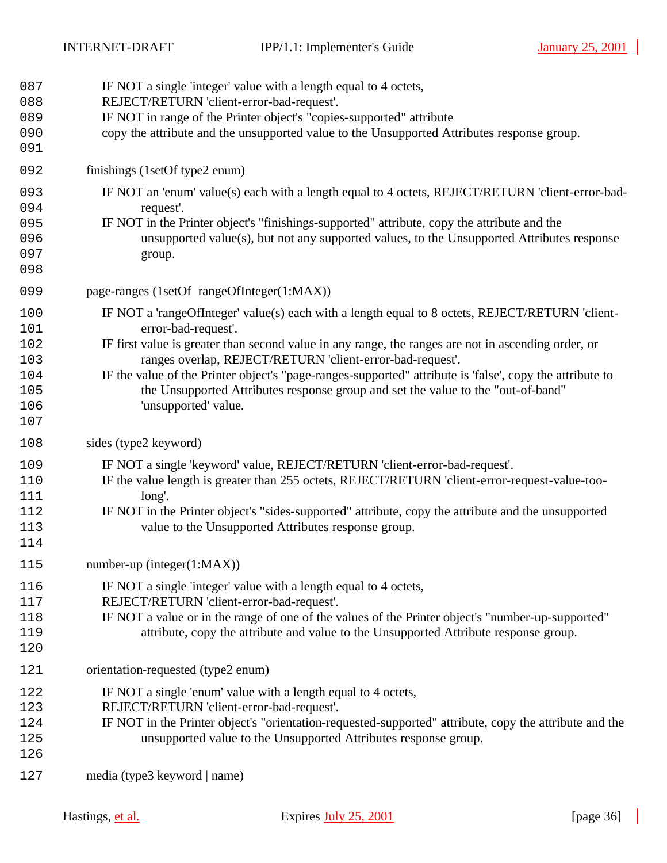| 087<br>088<br>089<br>090<br>091                      | IF NOT a single 'integer' value with a length equal to 4 octets,<br>REJECT/RETURN 'client-error-bad-request'.<br>IF NOT in range of the Printer object's "copies-supported" attribute<br>copy the attribute and the unsupported value to the Unsupported Attributes response group.                                                                                                                                                                                                                                |
|------------------------------------------------------|--------------------------------------------------------------------------------------------------------------------------------------------------------------------------------------------------------------------------------------------------------------------------------------------------------------------------------------------------------------------------------------------------------------------------------------------------------------------------------------------------------------------|
| 092                                                  | finishings (1setOf type2 enum)                                                                                                                                                                                                                                                                                                                                                                                                                                                                                     |
| 093<br>094<br>095<br>096<br>097<br>098               | IF NOT an 'enum' value(s) each with a length equal to 4 octets, REJECT/RETURN 'client-error-bad-<br>request'.<br>IF NOT in the Printer object's "finishings-supported" attribute, copy the attribute and the<br>unsupported value(s), but not any supported values, to the Unsupported Attributes response<br>group.                                                                                                                                                                                               |
| 099                                                  | page-ranges (1setOf rangeOfInteger(1:MAX))                                                                                                                                                                                                                                                                                                                                                                                                                                                                         |
| 100<br>101<br>102<br>103<br>104<br>105<br>106<br>107 | IF NOT a 'rangeOfInteger' value(s) each with a length equal to 8 octets, REJECT/RETURN 'client-<br>error-bad-request'.<br>IF first value is greater than second value in any range, the ranges are not in ascending order, or<br>ranges overlap, REJECT/RETURN 'client-error-bad-request'.<br>IF the value of the Printer object's "page-ranges-supported" attribute is 'false', copy the attribute to<br>the Unsupported Attributes response group and set the value to the "out-of-band"<br>'unsupported' value. |
| 108                                                  | sides (type2 keyword)                                                                                                                                                                                                                                                                                                                                                                                                                                                                                              |
| 109<br>110<br>111<br>112<br>113<br>114               | IF NOT a single 'keyword' value, REJECT/RETURN 'client-error-bad-request'.<br>IF the value length is greater than 255 octets, REJECT/RETURN 'client-error-request-value-too-<br>long'.<br>IF NOT in the Printer object's "sides-supported" attribute, copy the attribute and the unsupported<br>value to the Unsupported Attributes response group.                                                                                                                                                                |
| 115                                                  | number-up (integer $(1:MAX)$ )                                                                                                                                                                                                                                                                                                                                                                                                                                                                                     |
| 116<br>117<br>118<br>119<br>120                      | IF NOT a single 'integer' value with a length equal to 4 octets,<br>REJECT/RETURN 'client-error-bad-request'.<br>IF NOT a value or in the range of one of the values of the Printer object's "number-up-supported"<br>attribute, copy the attribute and value to the Unsupported Attribute response group.                                                                                                                                                                                                         |
| 121                                                  | orientation-requested (type2 enum)                                                                                                                                                                                                                                                                                                                                                                                                                                                                                 |
| 122<br>123<br>124<br>125<br>126                      | IF NOT a single 'enum' value with a length equal to 4 octets,<br>REJECT/RETURN 'client-error-bad-request'.<br>IF NOT in the Printer object's "orientation-requested-supported" attribute, copy the attribute and the<br>unsupported value to the Unsupported Attributes response group.                                                                                                                                                                                                                            |
| 127                                                  | media (type3 keyword   name)                                                                                                                                                                                                                                                                                                                                                                                                                                                                                       |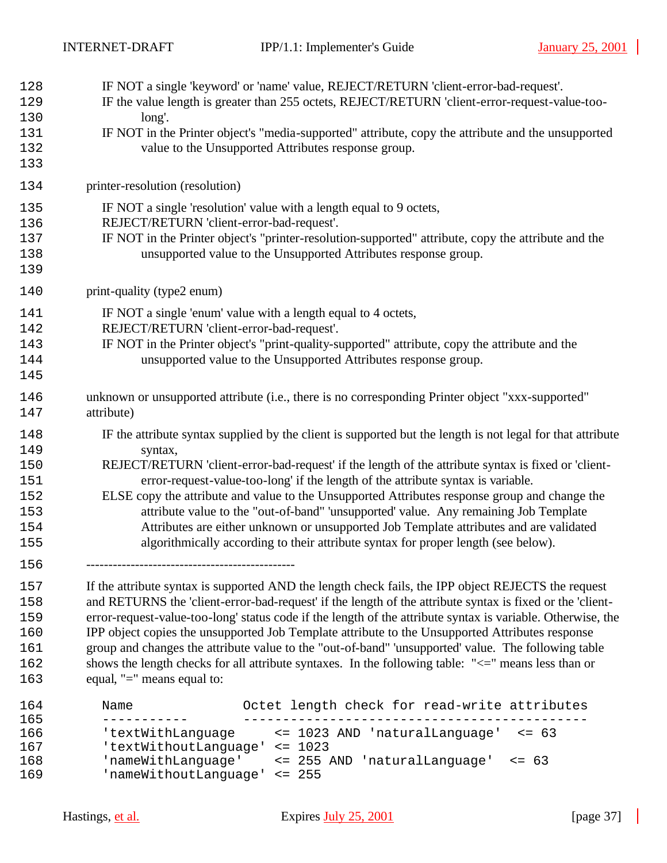| 166        | 'textWithLanguage                         | <= 1023 AND 'naturalLanguage'<br>$\le$ = 63                                                                 |
|------------|-------------------------------------------|-------------------------------------------------------------------------------------------------------------|
| 164<br>165 | Name                                      | Octet length check for read-write attributes                                                                |
|            |                                           |                                                                                                             |
| 163        | equal, "=" means equal to:                |                                                                                                             |
| 162        |                                           | shows the length checks for all attribute syntaxes. In the following table: "<=" means less than or         |
| 161        |                                           | group and changes the attribute value to the "out-of-band" 'unsupported' value. The following table         |
| 160        |                                           | IPP object copies the unsupported Job Template attribute to the Unsupported Attributes response             |
| 159        |                                           | error-request-value-too-long' status code if the length of the attribute syntax is variable. Otherwise, the |
| 158        |                                           | and RETURNS the 'client-error-bad-request' if the length of the attribute syntax is fixed or the 'client-   |
| 157        |                                           | If the attribute syntax is supported AND the length check fails, the IPP object REJECTS the request         |
| 156        |                                           |                                                                                                             |
| 155        |                                           | algorithmically according to their attribute syntax for proper length (see below).                          |
| 154        |                                           | Attributes are either unknown or unsupported Job Template attributes and are validated                      |
| 153        |                                           | attribute value to the "out-of-band" 'unsupported' value. Any remaining Job Template                        |
| 152        |                                           | ELSE copy the attribute and value to the Unsupported Attributes response group and change the               |
| 151        |                                           | error-request-value-too-long' if the length of the attribute syntax is variable.                            |
| 150        |                                           | REJECT/RETURN 'client-error-bad-request' if the length of the attribute syntax is fixed or 'client-         |
| 149        | syntax,                                   |                                                                                                             |
| 148        |                                           | IF the attribute syntax supplied by the client is supported but the length is not legal for that attribute  |
| 147        | attribute)                                |                                                                                                             |
| 146        |                                           | unknown or unsupported attribute (i.e., there is no corresponding Printer object "xxx-supported"            |
| 145        |                                           |                                                                                                             |
| 144        |                                           | unsupported value to the Unsupported Attributes response group.                                             |
| 143        |                                           | IF NOT in the Printer object's "print-quality-supported" attribute, copy the attribute and the              |
| 142        | REJECT/RETURN 'client-error-bad-request'. |                                                                                                             |
| 141        |                                           | IF NOT a single 'enum' value with a length equal to 4 octets,                                               |
|            |                                           |                                                                                                             |
| 140        | print-quality (type2 enum)                |                                                                                                             |
| 139        |                                           |                                                                                                             |
| 138        |                                           | unsupported value to the Unsupported Attributes response group.                                             |
| 137        |                                           | IF NOT in the Printer object's "printer-resolution-supported" attribute, copy the attribute and the         |
| 136        | REJECT/RETURN 'client-error-bad-request'. |                                                                                                             |
| 135        |                                           | IF NOT a single 'resolution' value with a length equal to 9 octets,                                         |
| 134        | printer-resolution (resolution)           |                                                                                                             |
| 133        |                                           |                                                                                                             |
| 132        |                                           | value to the Unsupported Attributes response group.                                                         |
| 131        |                                           | IF NOT in the Printer object's "media-supported" attribute, copy the attribute and the unsupported          |
| 130        | long'.                                    |                                                                                                             |
| 129        |                                           | IF the value length is greater than 255 octets, REJECT/RETURN 'client-error-request-value-too-              |
| 128        |                                           | IF NOT a single 'keyword' or 'name' value, REJECT/RETURN 'client-error-bad-request'.                        |

1167 'textWithoutLanguage' <= 1023 1168 'nameWithLanguage' <= 255 AND 'naturalLanguage' <= 63 'nameWithoutLanguage' <= 255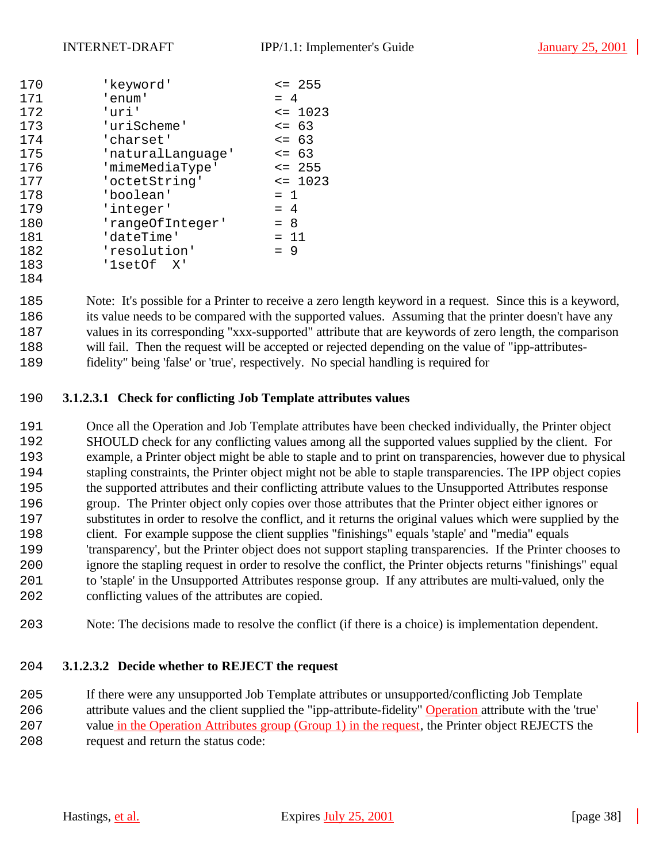| 170 | 'keyword'         | $\leq$ 255  |
|-----|-------------------|-------------|
| 171 | 'enum'            | $= 4$       |
| 172 | 'uri'             | $\leq$ 1023 |
| 173 | 'uriScheme'       | $\leq$ 63   |
| 174 | 'charset'         | $\leq$ 63   |
| 175 | 'naturalLanguage' | $\leq$ 63   |
| 176 | 'mimeMediaType'   | $\leq$ 255  |
| 177 | 'octetString'     | $\leq$ 1023 |
| 178 | 'boolean'         | $= 1$       |
| 179 | 'integer'         | $= 4$       |
| 180 | 'rangeOfInteger'  | $= 8$       |
| 181 | 'dateTime'        | $= 11$      |
| 182 | 'resolution'      | $= 9$       |
| 183 | '1setOf X'        |             |
| 184 |                   |             |

 Note: It's possible for a Printer to receive a zero length keyword in a request. Since this is a keyword, 186 its value needs to be compared with the supported values. Assuming that the printer doesn't have any values in its corresponding "xxx-supported" attribute that are keywords of zero length, the comparison 188 will fail. Then the request will be accepted or rejected depending on the value of "ipp-attributes-fidelity" being 'false' or 'true', respectively. No special handling is required for

# **3.1.2.3.1 Check for conflicting Job Template attributes values**

 Once all the Operation and Job Template attributes have been checked individually, the Printer object SHOULD check for any conflicting values among all the supported values supplied by the client. For example, a Printer object might be able to staple and to print on transparencies, however due to physical 194 stapling constraints, the Printer object might not be able to staple transparencies. The IPP object copies the supported attributes and their conflicting attribute values to the Unsupported Attributes response group. The Printer object only copies over those attributes that the Printer object either ignores or substitutes in order to resolve the conflict, and it returns the original values which were supplied by the 198 client. For example suppose the client supplies "finishings" equals 'staple' and "media" equals 'transparency', but the Printer object does not support stapling transparencies. If the Printer chooses to ignore the stapling request in order to resolve the conflict, the Printer objects returns "finishings" equal to 'staple' in the Unsupported Attributes response group. If any attributes are multi-valued, only the conflicting values of the attributes are copied.

Note: The decisions made to resolve the conflict (if there is a choice) is implementation dependent.

# **3.1.2.3.2 Decide whether to REJECT the request**

 If there were any unsupported Job Template attributes or unsupported/conflicting Job Template attribute values and the client supplied the "ipp-attribute-fidelity" Operation attribute with the 'true' 207 value in the Operation Attributes group (Group 1) in the request, the Printer object REJECTS the request and return the status code: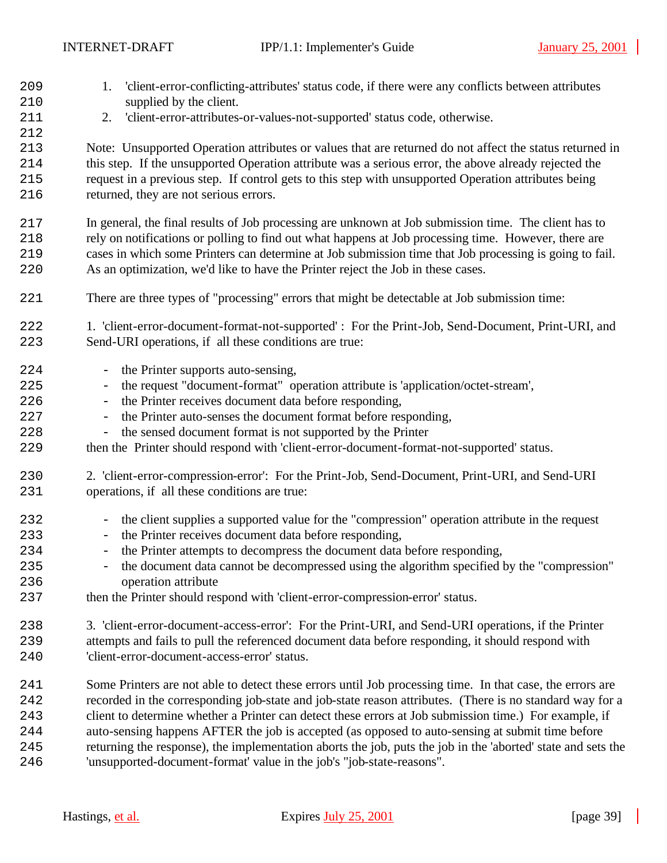1. 'client-error-conflicting-attributes' status code, if there were any conflicts between attributes 210 supplied by the client. 2. 'client-error-attributes-or-values-not-supported' status code, otherwise. Note: Unsupported Operation attributes or values that are returned do not affect the status returned in this step. If the unsupported Operation attribute was a serious error, the above already rejected the request in a previous step. If control gets to this step with unsupported Operation attributes being 216 returned, they are not serious errors. In general, the final results of Job processing are unknown at Job submission time. The client has to rely on notifications or polling to find out what happens at Job processing time. However, there are cases in which some Printers can determine at Job submission time that Job processing is going to fail. As an optimization, we'd like to have the Printer reject the Job in these cases. There are three types of "processing" errors that might be detectable at Job submission time: 1. 'client-error-document-format-not-supported' : For the Print-Job, Send-Document, Print-URI, and Send-URI operations, if all these conditions are true: 224 - the Printer supports auto-sensing, - the request "document-format" operation attribute is 'application/octet-stream', 226 - the Printer receives document data before responding, 227 - the Printer auto-senses the document format before responding, 228 - the sensed document format is not supported by the Printer then the Printer should respond with 'client-error-document-format-not-supported' status. 2. 'client-error-compression-error': For the Print-Job, Send-Document, Print-URI, and Send-URI operations, if all these conditions are true: 232 - the client supplies a supported value for the "compression" operation attribute in the request 233 - the Printer receives document data before responding, - the Printer attempts to decompress the document data before responding, - the document data cannot be decompressed using the algorithm specified by the "compression" operation attribute then the Printer should respond with 'client-error-compression-error' status. 3. 'client-error-document-access-error': For the Print-URI, and Send-URI operations, if the Printer attempts and fails to pull the referenced document data before responding, it should respond with 'client-error-document-access-error' status. Some Printers are not able to detect these errors until Job processing time. In that case, the errors are recorded in the corresponding job-state and job-state reason attributes. (There is no standard way for a client to determine whether a Printer can detect these errors at Job submission time.) For example, if auto-sensing happens AFTER the job is accepted (as opposed to auto-sensing at submit time before returning the response), the implementation aborts the job, puts the job in the 'aborted' state and sets the 'unsupported-document-format' value in the job's "job-state-reasons".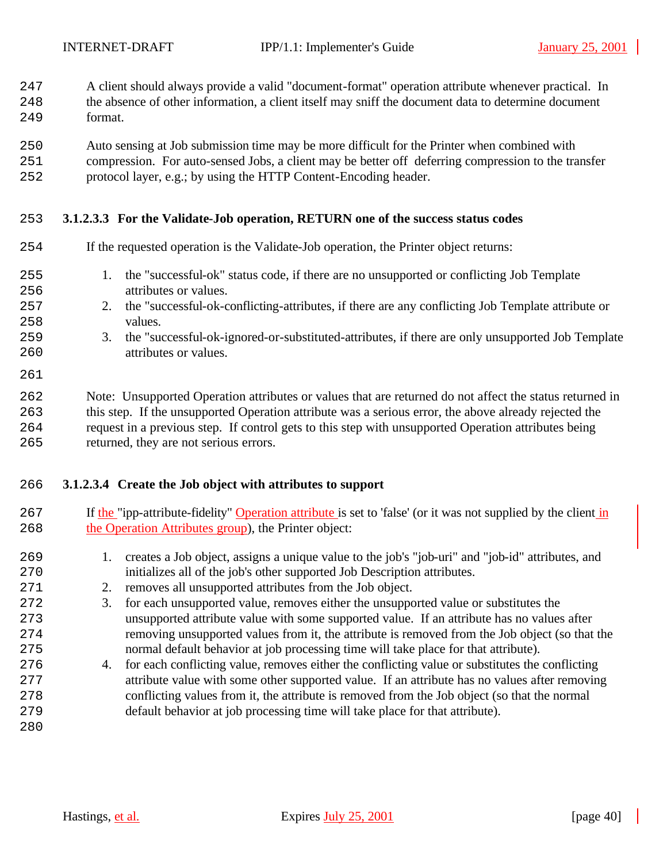- A client should always provide a valid "document-format" operation attribute whenever practical. In
- the absence of other information, a client itself may sniff the document data to determine document format.
- Auto sensing at Job submission time may be more difficult for the Printer when combined with
- compression. For auto-sensed Jobs, a client may be better off deferring compression to the transfer protocol layer, e.g.; by using the HTTP Content-Encoding header.

# **3.1.2.3.3 For the Validate-Job operation, RETURN one of the success status codes**

| 254                                    | If the requested operation is the Validate-Job operation, the Printer object returns:                                                                                                                                                                                                                                                                                         |
|----------------------------------------|-------------------------------------------------------------------------------------------------------------------------------------------------------------------------------------------------------------------------------------------------------------------------------------------------------------------------------------------------------------------------------|
| 255<br>256<br>257<br>258<br>259<br>260 | the "successful-ok" status code, if there are no unsupported or conflicting Job Template<br>1.<br>attributes or values.<br>2. the "successful-ok-conflicting-attributes, if there are any conflicting Job Template attribute or<br>values.<br>the "successful-ok-ignored-or-substituted-attributes, if there are only unsupported Job Template<br>3.<br>attributes or values. |
| 261                                    |                                                                                                                                                                                                                                                                                                                                                                               |
| 262<br>263<br>264                      | Note: Unsupported Operation attributes or values that are returned do not affect the status returned in<br>this step. If the unsupported Operation attribute was a serious error, the above already rejected the<br>request in a previous step. If control gets to this step with unsupported Operation attributes being                                                      |

returned, they are not serious errors.

# **3.1.2.3.4 Create the Job object with attributes to support**

- 267 If the "ipp-attribute-fidelity" Operation attribute is set to 'false' (or it was not supplied by the client in 268 the Operation Attributes group), the Printer object:
- 1. creates a Job object, assigns a unique value to the job's "job-uri" and "job-id" attributes, and initializes all of the job's other supported Job Description attributes.
- 271 2. removes all unsupported attributes from the Job object.
- 3. for each unsupported value, removes either the unsupported value or substitutes the unsupported attribute value with some supported value. If an attribute has no values after removing unsupported values from it, the attribute is removed from the Job object (so that the normal default behavior at job processing time will take place for that attribute).
- 4. for each conflicting value, removes either the conflicting value or substitutes the conflicting attribute value with some other supported value. If an attribute has no values after removing conflicting values from it, the attribute is removed from the Job object (so that the normal default behavior at job processing time will take place for that attribute).
-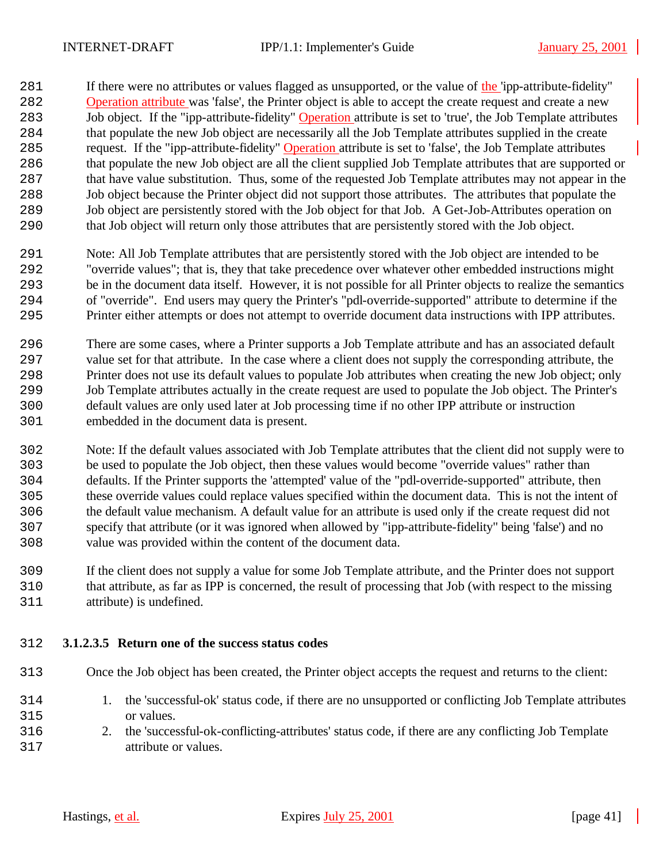281 If there were no attributes or values flagged as unsupported, or the value of the 'ipp-attribute-fidelity' 282 Operation attribute was 'false', the Printer object is able to accept the create request and create a new 283 Job object. If the "ipp-attribute-fidelity" Operation attribute is set to 'true', the Job Template attributes that populate the new Job object are necessarily all the Job Template attributes supplied in the create 285 request. If the "ipp-attribute-fidelity" Operation attribute is set to 'false', the Job Template attributes that populate the new Job object are all the client supplied Job Template attributes that are supported or that have value substitution. Thus, some of the requested Job Template attributes may not appear in the Job object because the Printer object did not support those attributes. The attributes that populate the Job object are persistently stored with the Job object for that Job. A Get-Job-Attributes operation on that Job object will return only those attributes that are persistently stored with the Job object.

- Note: All Job Template attributes that are persistently stored with the Job object are intended to be "override values"; that is, they that take precedence over whatever other embedded instructions might be in the document data itself. However, it is not possible for all Printer objects to realize the semantics of "override". End users may query the Printer's "pdl-override-supported" attribute to determine if the Printer either attempts or does not attempt to override document data instructions with IPP attributes.
- There are some cases, where a Printer supports a Job Template attribute and has an associated default 297 value set for that attribute. In the case where a client does not supply the corresponding attribute, the Printer does not use its default values to populate Job attributes when creating the new Job object; only Job Template attributes actually in the create request are used to populate the Job object. The Printer's default values are only used later at Job processing time if no other IPP attribute or instruction embedded in the document data is present.
- Note: If the default values associated with Job Template attributes that the client did not supply were to be used to populate the Job object, then these values would become "override values" rather than defaults. If the Printer supports the 'attempted' value of the "pdl-override-supported" attribute, then these override values could replace values specified within the document data. This is not the intent of the default value mechanism. A default value for an attribute is used only if the create request did not specify that attribute (or it was ignored when allowed by "ipp-attribute-fidelity" being 'false') and no value was provided within the content of the document data.
- If the client does not supply a value for some Job Template attribute, and the Printer does not support that attribute, as far as IPP is concerned, the result of processing that Job (with respect to the missing attribute) is undefined.
- **3.1.2.3.5 Return one of the success status codes**
- Once the Job object has been created, the Printer object accepts the request and returns to the client:
- 1. the 'successful-ok' status code, if there are no unsupported or conflicting Job Template attributes or values.
- 2. the 'successful-ok-conflicting-attributes' status code, if there are any conflicting Job Template attribute or values.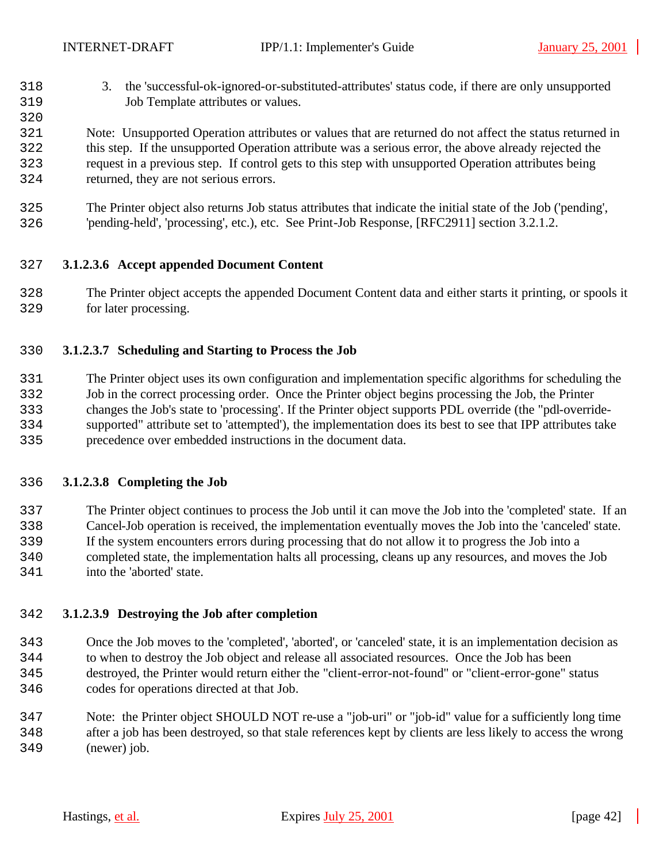- 3. the 'successful-ok-ignored-or-substituted-attributes' status code, if there are only unsupported Job Template attributes or values.
- Note: Unsupported Operation attributes or values that are returned do not affect the status returned in this step. If the unsupported Operation attribute was a serious error, the above already rejected the request in a previous step. If control gets to this step with unsupported Operation attributes being returned, they are not serious errors.
- The Printer object also returns Job status attributes that indicate the initial state of the Job ('pending', 'pending-held', 'processing', etc.), etc. See Print-Job Response, [RFC2911] section 3.2.1.2.

# **3.1.2.3.6 Accept appended Document Content**

 The Printer object accepts the appended Document Content data and either starts it printing, or spools it for later processing.

# **3.1.2.3.7 Scheduling and Starting to Process the Job**

 The Printer object uses its own configuration and implementation specific algorithms for scheduling the Job in the correct processing order. Once the Printer object begins processing the Job, the Printer changes the Job's state to 'processing'. If the Printer object supports PDL override (the "pdl-override- supported" attribute set to 'attempted'), the implementation does its best to see that IPP attributes take precedence over embedded instructions in the document data.

# **3.1.2.3.8 Completing the Job**

 The Printer object continues to process the Job until it can move the Job into the 'completed' state. If an Cancel-Job operation is received, the implementation eventually moves the Job into the 'canceled' state. If the system encounters errors during processing that do not allow it to progress the Job into a completed state, the implementation halts all processing, cleans up any resources, and moves the Job

into the 'aborted' state.

# **3.1.2.3.9 Destroying the Job after completion**

- Once the Job moves to the 'completed', 'aborted', or 'canceled' state, it is an implementation decision as to when to destroy the Job object and release all associated resources. Once the Job has been destroyed, the Printer would return either the "client-error-not-found" or "client-error-gone" status codes for operations directed at that Job.
- Note: the Printer object SHOULD NOT re-use a "job-uri" or "job-id" value for a sufficiently long time after a job has been destroyed, so that stale references kept by clients are less likely to access the wrong (newer) job.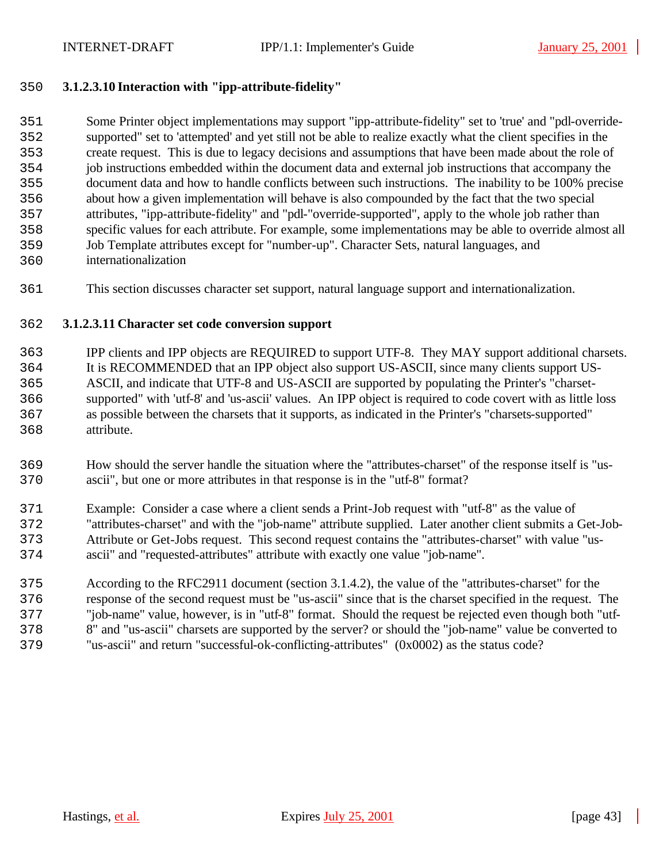# **3.1.2.3.10 Interaction with "ipp-attribute-fidelity"**

 Some Printer object implementations may support "ipp-attribute-fidelity" set to 'true' and "pdl-override- supported" set to 'attempted' and yet still not be able to realize exactly what the client specifies in the create request. This is due to legacy decisions and assumptions that have been made about the role of job instructions embedded within the document data and external job instructions that accompany the document data and how to handle conflicts between such instructions. The inability to be 100% precise about how a given implementation will behave is also compounded by the fact that the two special attributes, "ipp-attribute-fidelity" and "pdl-"override-supported", apply to the whole job rather than specific values for each attribute. For example, some implementations may be able to override almost all Job Template attributes except for "number-up". Character Sets, natural languages, and internationalization

This section discusses character set support, natural language support and internationalization.

# **3.1.2.3.11 Character set code conversion support**

 IPP clients and IPP objects are REQUIRED to support UTF-8. They MAY support additional charsets. It is RECOMMENDED that an IPP object also support US-ASCII, since many clients support US- ASCII, and indicate that UTF-8 and US-ASCII are supported by populating the Printer's "charset- supported" with 'utf-8' and 'us-ascii' values. An IPP object is required to code covert with as little loss as possible between the charsets that it supports, as indicated in the Printer's "charsets-supported" attribute.

- How should the server handle the situation where the "attributes-charset" of the response itself is "us-ascii", but one or more attributes in that response is in the "utf-8" format?
- Example: Consider a case where a client sends a Print-Job request with "utf-8" as the value of "attributes-charset" and with the "job-name" attribute supplied. Later another client submits a Get-Job- Attribute or Get-Jobs request. This second request contains the "attributes-charset" with value "us-ascii" and "requested-attributes" attribute with exactly one value "job-name".
- According to the RFC2911 document (section 3.1.4.2), the value of the "attributes-charset" for the response of the second request must be "us-ascii" since that is the charset specified in the request. The "job-name" value, however, is in "utf-8" format. Should the request be rejected even though both "utf- 8" and "us-ascii" charsets are supported by the server? or should the "job-name" value be converted to "us-ascii" and return "successful-ok-conflicting-attributes" (0x0002) as the status code?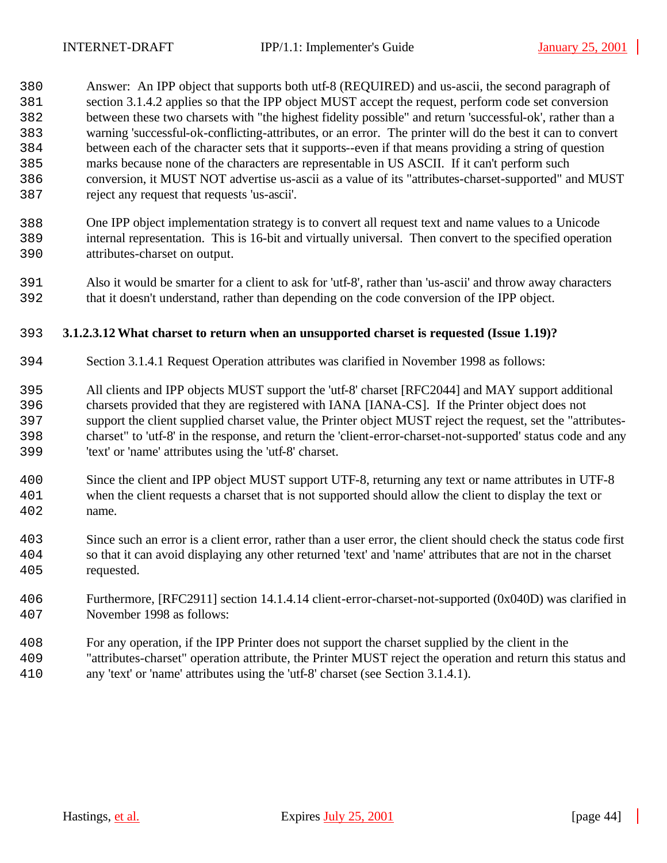Answer: An IPP object that supports both utf-8 (REQUIRED) and us-ascii, the second paragraph of section 3.1.4.2 applies so that the IPP object MUST accept the request, perform code set conversion between these two charsets with "the highest fidelity possible" and return 'successful-ok', rather than a warning 'successful-ok-conflicting-attributes, or an error. The printer will do the best it can to convert between each of the character sets that it supports--even if that means providing a string of question marks because none of the characters are representable in US ASCII. If it can't perform such conversion, it MUST NOT advertise us-ascii as a value of its "attributes-charset-supported" and MUST reject any request that requests 'us-ascii'.

- One IPP object implementation strategy is to convert all request text and name values to a Unicode internal representation. This is 16-bit and virtually universal. Then convert to the specified operation attributes-charset on output.
- Also it would be smarter for a client to ask for 'utf-8', rather than 'us-ascii' and throw away characters that it doesn't understand, rather than depending on the code conversion of the IPP object.

# **3.1.2.3.12What charset to return when an unsupported charset is requested (Issue 1.19)?**

- Section 3.1.4.1 Request Operation attributes was clarified in November 1998 as follows:
- All clients and IPP objects MUST support the 'utf-8' charset [RFC2044] and MAY support additional charsets provided that they are registered with IANA [IANA-CS]. If the Printer object does not support the client supplied charset value, the Printer object MUST reject the request, set the "attributes- charset" to 'utf-8' in the response, and return the 'client-error-charset-not-supported' status code and any 'text' or 'name' attributes using the 'utf-8' charset.
- Since the client and IPP object MUST support UTF-8, returning any text or name attributes in UTF-8 when the client requests a charset that is not supported should allow the client to display the text or name.
- Since such an error is a client error, rather than a user error, the client should check the status code first so that it can avoid displaying any other returned 'text' and 'name' attributes that are not in the charset requested.
- Furthermore, [RFC2911] section 14.1.4.14 client-error-charset-not-supported (0x040D) was clarified in November 1998 as follows:
- For any operation, if the IPP Printer does not support the charset supplied by the client in the "attributes-charset" operation attribute, the Printer MUST reject the operation and return this status and any 'text' or 'name' attributes using the 'utf-8' charset (see Section 3.1.4.1).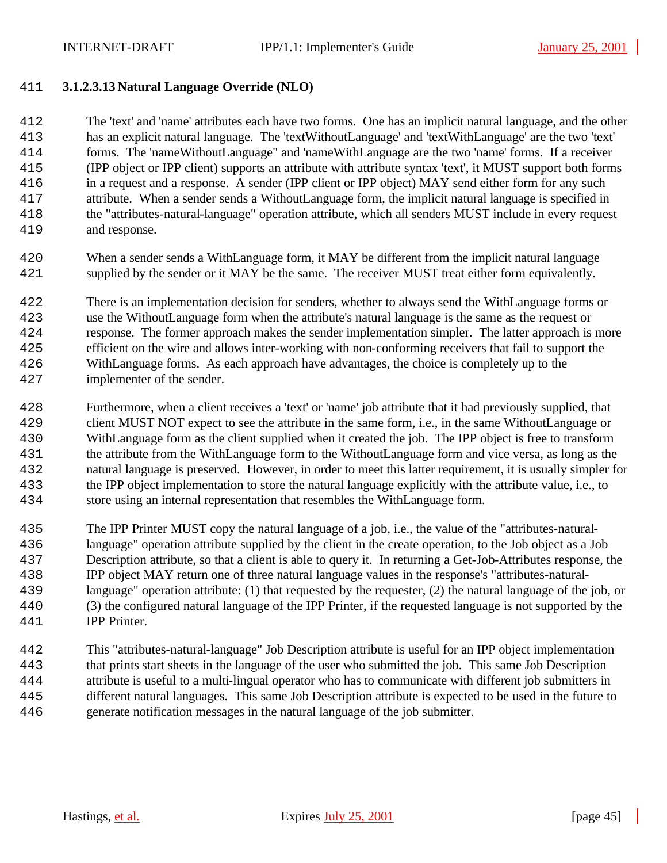# **3.1.2.3.13 Natural Language Override (NLO)**

 The 'text' and 'name' attributes each have two forms. One has an implicit natural language, and the other has an explicit natural language. The 'textWithoutLanguage' and 'textWithLanguage' are the two 'text' forms. The 'nameWithoutLanguage" and 'nameWithLanguage are the two 'name' forms. If a receiver (IPP object or IPP client) supports an attribute with attribute syntax 'text', it MUST support both forms in a request and a response. A sender (IPP client or IPP object) MAY send either form for any such attribute. When a sender sends a WithoutLanguage form, the implicit natural language is specified in the "attributes-natural-language" operation attribute, which all senders MUST include in every request and response.

 When a sender sends a WithLanguage form, it MAY be different from the implicit natural language supplied by the sender or it MAY be the same. The receiver MUST treat either form equivalently.

 There is an implementation decision for senders, whether to always send the WithLanguage forms or use the WithoutLanguage form when the attribute's natural language is the same as the request or response. The former approach makes the sender implementation simpler. The latter approach is more efficient on the wire and allows inter-working with non-conforming receivers that fail to support the WithLanguage forms. As each approach have advantages, the choice is completely up to the implementer of the sender.

- Furthermore, when a client receives a 'text' or 'name' job attribute that it had previously supplied, that client MUST NOT expect to see the attribute in the same form, i.e., in the same WithoutLanguage or WithLanguage form as the client supplied when it created the job. The IPP object is free to transform the attribute from the WithLanguage form to the WithoutLanguage form and vice versa, as long as the natural language is preserved. However, in order to meet this latter requirement, it is usually simpler for the IPP object implementation to store the natural language explicitly with the attribute value, i.e., to store using an internal representation that resembles the WithLanguage form.
- The IPP Printer MUST copy the natural language of a job, i.e., the value of the "attributes-natural- language" operation attribute supplied by the client in the create operation, to the Job object as a Job Description attribute, so that a client is able to query it. In returning a Get-Job-Attributes response, the IPP object MAY return one of three natural language values in the response's "attributes-natural- language" operation attribute: (1) that requested by the requester, (2) the natural language of the job, or (3) the configured natural language of the IPP Printer, if the requested language is not supported by the IPP Printer.
- This "attributes-natural-language" Job Description attribute is useful for an IPP object implementation that prints start sheets in the language of the user who submitted the job. This same Job Description attribute is useful to a multi-lingual operator who has to communicate with different job submitters in different natural languages. This same Job Description attribute is expected to be used in the future to generate notification messages in the natural language of the job submitter.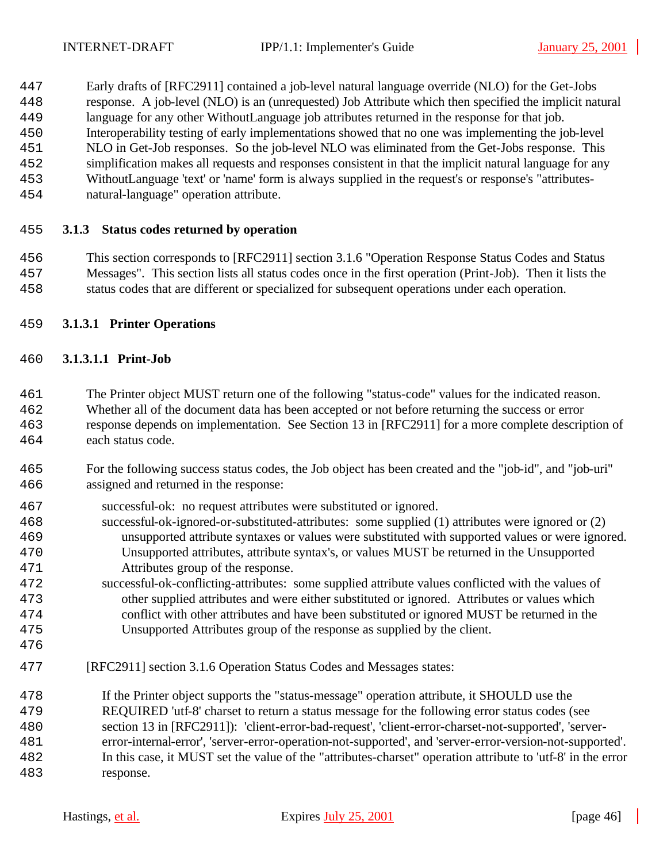- Early drafts of [RFC2911] contained a job-level natural language override (NLO) for the Get-Jobs
- response. A job-level (NLO) is an (unrequested) Job Attribute which then specified the implicit natural
- language for any other WithoutLanguage job attributes returned in the response for that job.
- Interoperability testing of early implementations showed that no one was implementing the job-level
- NLO in Get-Job responses. So the job-level NLO was eliminated from the Get-Jobs response. This
- simplification makes all requests and responses consistent in that the implicit natural language for any WithoutLanguage 'text' or 'name' form is always supplied in the request's or response's "attributes-
- natural-language" operation attribute.

# **3.1.3 Status codes returned by operation**

 This section corresponds to [RFC2911] section 3.1.6 "Operation Response Status Codes and Status Messages". This section lists all status codes once in the first operation (Print-Job). Then it lists the status codes that are different or specialized for subsequent operations under each operation.

# **3.1.3.1 Printer Operations**

# **3.1.3.1.1 Print-Job**

 The Printer object MUST return one of the following "status-code" values for the indicated reason. Whether all of the document data has been accepted or not before returning the success or error response depends on implementation. See Section 13 in [RFC2911] for a more complete description of each status code.

- For the following success status codes, the Job object has been created and the "job-id", and "job-uri" assigned and returned in the response:
- successful-ok: no request attributes were substituted or ignored.
- successful-ok-ignored-or-substituted-attributes: some supplied (1) attributes were ignored or (2) unsupported attribute syntaxes or values were substituted with supported values or were ignored. Unsupported attributes, attribute syntax's, or values MUST be returned in the Unsupported Attributes group of the response.
- successful-ok-conflicting-attributes: some supplied attribute values conflicted with the values of other supplied attributes and were either substituted or ignored. Attributes or values which conflict with other attributes and have been substituted or ignored MUST be returned in the Unsupported Attributes group of the response as supplied by the client.
- 
- [RFC2911] section 3.1.6 Operation Status Codes and Messages states:

 If the Printer object supports the "status-message" operation attribute, it SHOULD use the REQUIRED 'utf-8' charset to return a status message for the following error status codes (see section 13 in [RFC2911]): 'client-error-bad-request', 'client-error-charset-not-supported', 'server- error-internal-error', 'server-error-operation-not-supported', and 'server-error-version-not-supported'. In this case, it MUST set the value of the "attributes-charset" operation attribute to 'utf-8' in the error response.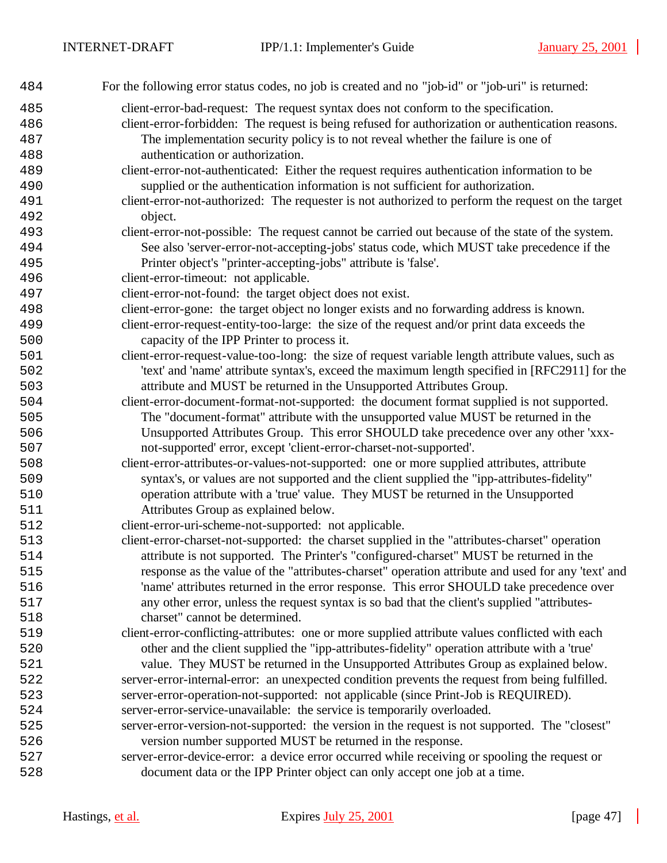| 484 | For the following error status codes, no job is created and no "job-id" or "job-uri" is returned:  |
|-----|----------------------------------------------------------------------------------------------------|
| 485 | client-error-bad-request: The request syntax does not conform to the specification.                |
| 486 | client-error-forbidden: The request is being refused for authorization or authentication reasons.  |
| 487 | The implementation security policy is to not reveal whether the failure is one of                  |
| 488 | authentication or authorization.                                                                   |
| 489 | client-error-not-authenticated: Either the request requires authentication information to be       |
| 490 | supplied or the authentication information is not sufficient for authorization.                    |
| 491 | client-error-not-authorized: The requester is not authorized to perform the request on the target  |
| 492 | object.                                                                                            |
| 493 | client-error-not-possible: The request cannot be carried out because of the state of the system.   |
| 494 | See also 'server-error-not-accepting-jobs' status code, which MUST take precedence if the          |
| 495 | Printer object's "printer-accepting-jobs" attribute is 'false'.                                    |
| 496 | client-error-timeout: not applicable.                                                              |
| 497 | client-error-not-found: the target object does not exist.                                          |
| 498 | client-error-gone: the target object no longer exists and no forwarding address is known.          |
| 499 | client-error-request-entity-too-large: the size of the request and/or print data exceeds the       |
| 500 | capacity of the IPP Printer to process it.                                                         |
| 501 | client-error-request-value-too-long: the size of request variable length attribute values, such as |
| 502 | 'text' and 'name' attribute syntax's, exceed the maximum length specified in [RFC2911] for the     |
| 503 | attribute and MUST be returned in the Unsupported Attributes Group.                                |
| 504 | client-error-document-format-not-supported: the document format supplied is not supported.         |
| 505 | The "document-format" attribute with the unsupported value MUST be returned in the                 |
| 506 | Unsupported Attributes Group. This error SHOULD take precedence over any other 'xxx-               |
| 507 | not-supported' error, except 'client-error-charset-not-supported'.                                 |
| 508 | client-error-attributes-or-values-not-supported: one or more supplied attributes, attribute        |
| 509 | syntax's, or values are not supported and the client supplied the "ipp-attributes-fidelity"        |
| 510 | operation attribute with a 'true' value. They MUST be returned in the Unsupported                  |
| 511 | Attributes Group as explained below.                                                               |
| 512 | client-error-uri-scheme-not-supported: not applicable.                                             |
| 513 | client-error-charset-not-supported: the charset supplied in the "attributes-charset" operation     |
| 514 | attribute is not supported. The Printer's "configured-charset" MUST be returned in the             |
| 515 | response as the value of the "attributes-charset" operation attribute and used for any 'text' and  |
| 516 | 'name' attributes returned in the error response. This error SHOULD take precedence over           |
| 517 | any other error, unless the request syntax is so bad that the client's supplied "attributes-       |
| 518 | charset" cannot be determined.                                                                     |
| 519 | client-error-conflicting-attributes: one or more supplied attribute values conflicted with each    |
| 520 | other and the client supplied the "ipp-attributes-fidelity" operation attribute with a 'true'      |
| 521 | value. They MUST be returned in the Unsupported Attributes Group as explained below.               |
| 522 | server-error-internal-error: an unexpected condition prevents the request from being fulfilled.    |
| 523 | server-error-operation-not-supported: not applicable (since Print-Job is REQUIRED).                |
| 524 | server-error-service-unavailable: the service is temporarily overloaded.                           |
| 525 | server-error-version-not-supported: the version in the request is not supported. The "closest"     |
| 526 | version number supported MUST be returned in the response.                                         |
| 527 | server-error-device-error: a device error occurred while receiving or spooling the request or      |
| 528 | document data or the IPP Printer object can only accept one job at a time.                         |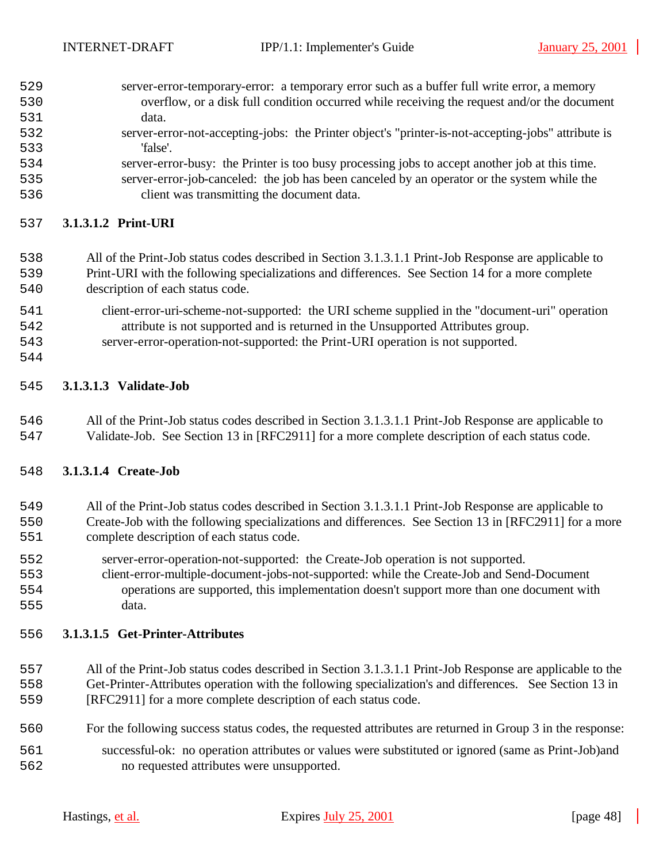| 529 | server-error-temporary-error: a temporary error such as a buffer full write error, a memory        |
|-----|----------------------------------------------------------------------------------------------------|
| 530 | overflow, or a disk full condition occurred while receiving the request and/or the document        |
| 531 | data.                                                                                              |
| 532 | server-error-not-accepting-jobs: the Printer object's "printer-is-not-accepting-jobs" attribute is |
| 533 | 'false'.                                                                                           |
| 534 | server-error-busy: the Printer is too busy processing jobs to accept another job at this time.     |

 server-error-job-canceled: the job has been canceled by an operator or the system while the client was transmitting the document data.

# **3.1.3.1.2 Print-URI**

# All of the Print-Job status codes described in Section 3.1.3.1.1 Print-Job Response are applicable to Print-URI with the following specializations and differences. See Section 14 for a more complete description of each status code.

- client-error-uri-scheme-not-supported: the URI scheme supplied in the "document-uri" operation
- attribute is not supported and is returned in the Unsupported Attributes group.
- server-error-operation-not-supported: the Print-URI operation is not supported.
- 

# **3.1.3.1.3 Validate-Job**

 All of the Print-Job status codes described in Section 3.1.3.1.1 Print-Job Response are applicable to Validate-Job. See Section 13 in [RFC2911] for a more complete description of each status code.

# **3.1.3.1.4 Create-Job**

# All of the Print-Job status codes described in Section 3.1.3.1.1 Print-Job Response are applicable to Create-Job with the following specializations and differences. See Section 13 in [RFC2911] for a more complete description of each status code.

- server-error-operation-not-supported: the Create-Job operation is not supported.
- client-error-multiple-document-jobs-not-supported: while the Create-Job and Send-Document operations are supported, this implementation doesn't support more than one document with data.

# **3.1.3.1.5 Get-Printer-Attributes**

- All of the Print-Job status codes described in Section 3.1.3.1.1 Print-Job Response are applicable to the Get-Printer-Attributes operation with the following specialization's and differences. See Section 13 in [RFC2911] for a more complete description of each status code.
- For the following success status codes, the requested attributes are returned in Group 3 in the response:
- successful-ok: no operation attributes or values were substituted or ignored (same as Print-Job)and no requested attributes were unsupported.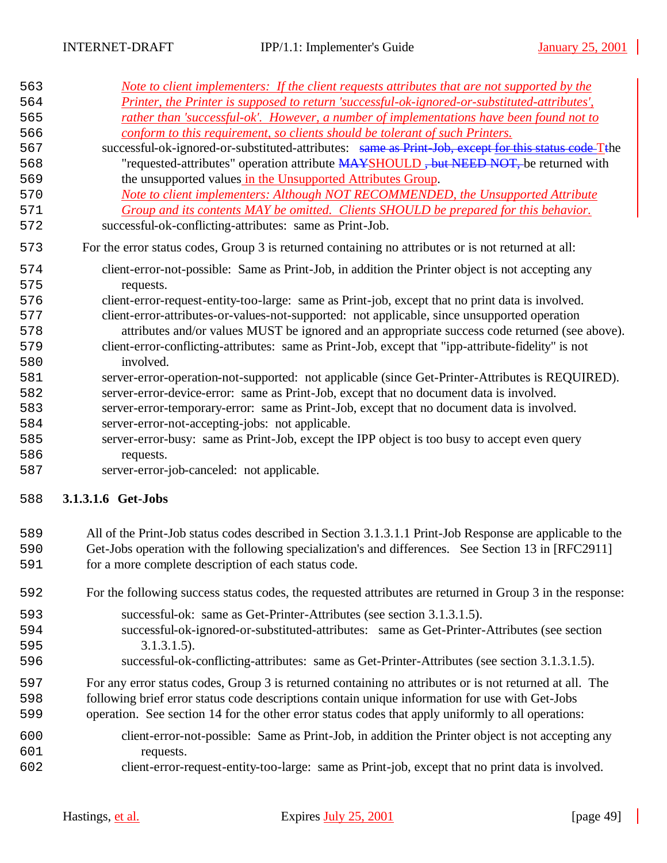| 563<br>564<br>565<br>566<br>567<br>568<br>569<br>570<br>571 | <u>Note to client implementers: If the client requests attributes that are not supported by the</u><br>Printer, the Printer is supposed to return 'successful-ok-ignored-or-substituted-attributes',<br>rather than 'successful-ok'. However, a number of implementations have been found not to<br>conform to this requirement, so clients should be tolerant of such Printers.<br>successful-ok-ignored-or-substituted-attributes: same as Print-Job, except for this status code Tthe<br>"requested-attributes" operation attribute MAYSHOULD, but NEED NOT, be returned with<br>the unsupported values in the Unsupported Attributes Group.<br>Note to client implementers: Although NOT RECOMMENDED, the Unsupported Attribute<br>Group and its contents MAY be omitted. Clients SHOULD be prepared for this behavior. |
|-------------------------------------------------------------|-----------------------------------------------------------------------------------------------------------------------------------------------------------------------------------------------------------------------------------------------------------------------------------------------------------------------------------------------------------------------------------------------------------------------------------------------------------------------------------------------------------------------------------------------------------------------------------------------------------------------------------------------------------------------------------------------------------------------------------------------------------------------------------------------------------------------------|
| 572                                                         | successful-ok-conflicting-attributes: same as Print-Job.                                                                                                                                                                                                                                                                                                                                                                                                                                                                                                                                                                                                                                                                                                                                                                    |
| 573                                                         | For the error status codes, Group 3 is returned containing no attributes or is not returned at all:                                                                                                                                                                                                                                                                                                                                                                                                                                                                                                                                                                                                                                                                                                                         |
| 574                                                         | client-error-not-possible: Same as Print-Job, in addition the Printer object is not accepting any                                                                                                                                                                                                                                                                                                                                                                                                                                                                                                                                                                                                                                                                                                                           |
| 575                                                         | requests.                                                                                                                                                                                                                                                                                                                                                                                                                                                                                                                                                                                                                                                                                                                                                                                                                   |
| 576                                                         | client-error-request-entity-too-large: same as Print-job, except that no print data is involved.                                                                                                                                                                                                                                                                                                                                                                                                                                                                                                                                                                                                                                                                                                                            |
| 577                                                         | client-error-attributes-or-values-not-supported: not applicable, since unsupported operation                                                                                                                                                                                                                                                                                                                                                                                                                                                                                                                                                                                                                                                                                                                                |
| 578                                                         | attributes and/or values MUST be ignored and an appropriate success code returned (see above).                                                                                                                                                                                                                                                                                                                                                                                                                                                                                                                                                                                                                                                                                                                              |
| 579                                                         | client-error-conflicting-attributes: same as Print-Job, except that "ipp-attribute-fidelity" is not                                                                                                                                                                                                                                                                                                                                                                                                                                                                                                                                                                                                                                                                                                                         |
| 580                                                         | involved.                                                                                                                                                                                                                                                                                                                                                                                                                                                                                                                                                                                                                                                                                                                                                                                                                   |
| 581                                                         | server-error-operation-not-supported: not applicable (since Get-Printer-Attributes is REQUIRED).                                                                                                                                                                                                                                                                                                                                                                                                                                                                                                                                                                                                                                                                                                                            |
| 582                                                         | server-error-device-error: same as Print-Job, except that no document data is involved.                                                                                                                                                                                                                                                                                                                                                                                                                                                                                                                                                                                                                                                                                                                                     |
| 583                                                         | server-error-temporary-error: same as Print-Job, except that no document data is involved.                                                                                                                                                                                                                                                                                                                                                                                                                                                                                                                                                                                                                                                                                                                                  |
| 584                                                         | server-error-not-accepting-jobs: not applicable.                                                                                                                                                                                                                                                                                                                                                                                                                                                                                                                                                                                                                                                                                                                                                                            |
| 585                                                         | server-error-busy: same as Print-Job, except the IPP object is too busy to accept even query                                                                                                                                                                                                                                                                                                                                                                                                                                                                                                                                                                                                                                                                                                                                |
| 586                                                         | requests.                                                                                                                                                                                                                                                                                                                                                                                                                                                                                                                                                                                                                                                                                                                                                                                                                   |
| 587                                                         | server-error-job-canceled: not applicable.                                                                                                                                                                                                                                                                                                                                                                                                                                                                                                                                                                                                                                                                                                                                                                                  |
| 588                                                         | 3.1.3.1.6 Get-Jobs                                                                                                                                                                                                                                                                                                                                                                                                                                                                                                                                                                                                                                                                                                                                                                                                          |
| 589                                                         | All of the Print-Job status codes described in Section 3.1.3.1.1 Print-Job Response are applicable to the                                                                                                                                                                                                                                                                                                                                                                                                                                                                                                                                                                                                                                                                                                                   |
| 590                                                         | Get-Jobs operation with the following specialization's and differences. See Section 13 in [RFC2911]                                                                                                                                                                                                                                                                                                                                                                                                                                                                                                                                                                                                                                                                                                                         |
| 591                                                         | for a more complete description of each status code.                                                                                                                                                                                                                                                                                                                                                                                                                                                                                                                                                                                                                                                                                                                                                                        |

- For the following success status codes, the requested attributes are returned in Group 3 in the response:
- successful-ok: same as Get-Printer-Attributes (see section 3.1.3.1.5). successful-ok-ignored-or-substituted-attributes: same as Get-Printer-Attributes (see section
- 3.1.3.1.5).
- successful-ok-conflicting-attributes: same as Get-Printer-Attributes (see section 3.1.3.1.5).

For any error status codes, Group 3 is returned containing no attributes or is not returned at all. The

- following brief error status code descriptions contain unique information for use with Get-Jobs
- operation. See section 14 for the other error status codes that apply uniformly to all operations:
- client-error-not-possible: Same as Print-Job, in addition the Printer object is not accepting any requests.
- client-error-request-entity-too-large: same as Print-job, except that no print data is involved.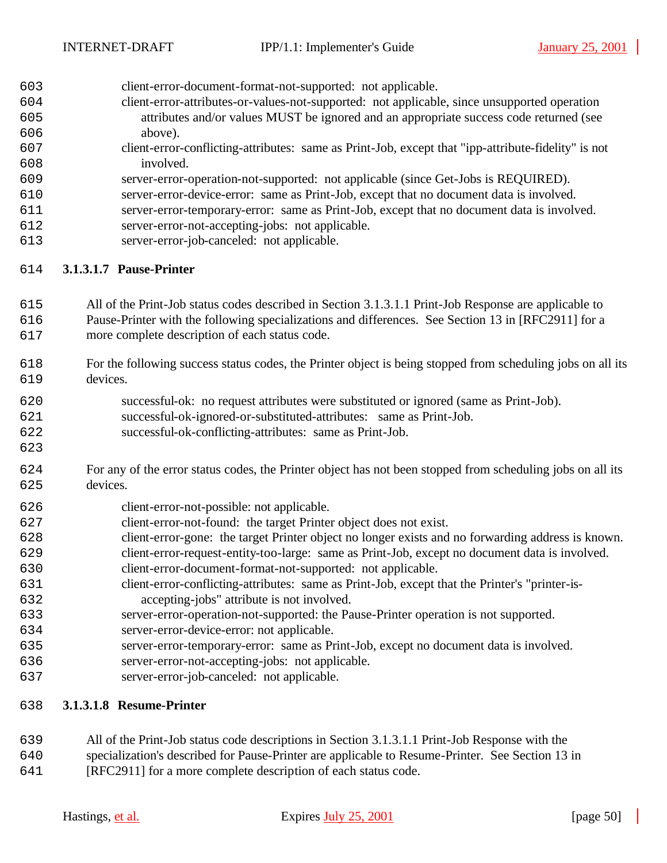client-error-document-format-not-supported: not applicable.

- client-error-attributes-or-values-not-supported: not applicable, since unsupported operation attributes and/or values MUST be ignored and an appropriate success code returned (see above).
- client-error-conflicting-attributes: same as Print-Job, except that "ipp-attribute-fidelity" is not involved.
- server-error-operation-not-supported: not applicable (since Get-Jobs is REQUIRED).
- server-error-device-error: same as Print-Job, except that no document data is involved.
- server-error-temporary-error: same as Print-Job, except that no document data is involved.
- server-error-not-accepting-jobs: not applicable.
- server-error-job-canceled: not applicable.

# **3.1.3.1.7 Pause-Printer**

- All of the Print-Job status codes described in Section 3.1.3.1.1 Print-Job Response are applicable to Pause-Printer with the following specializations and differences. See Section 13 in [RFC2911] for a more complete description of each status code.
- For the following success status codes, the Printer object is being stopped from scheduling jobs on all its devices.
- successful-ok: no request attributes were substituted or ignored (same as Print-Job).
- successful-ok-ignored-or-substituted-attributes: same as Print-Job.
- successful-ok-conflicting-attributes: same as Print-Job.
- For any of the error status codes, the Printer object has not been stopped from scheduling jobs on all its devices.
- client-error-not-possible: not applicable.
- client-error-not-found: the target Printer object does not exist.
- client-error-gone: the target Printer object no longer exists and no forwarding address is known.
- client-error-request-entity-too-large: same as Print-Job, except no document data is involved.
- client-error-document-format-not-supported: not applicable.
- client-error-conflicting-attributes: same as Print-Job, except that the Printer's "printer-is-accepting-jobs" attribute is not involved.
- server-error-operation-not-supported: the Pause-Printer operation is not supported.
- server-error-device-error: not applicable.
- server-error-temporary-error: same as Print-Job, except no document data is involved.
- server-error-not-accepting-jobs: not applicable.
- server-error-job-canceled: not applicable.

# **3.1.3.1.8 Resume-Printer**

- All of the Print-Job status code descriptions in Section 3.1.3.1.1 Print-Job Response with the
- specialization's described for Pause-Printer are applicable to Resume-Printer. See Section 13 in
- [RFC2911] for a more complete description of each status code.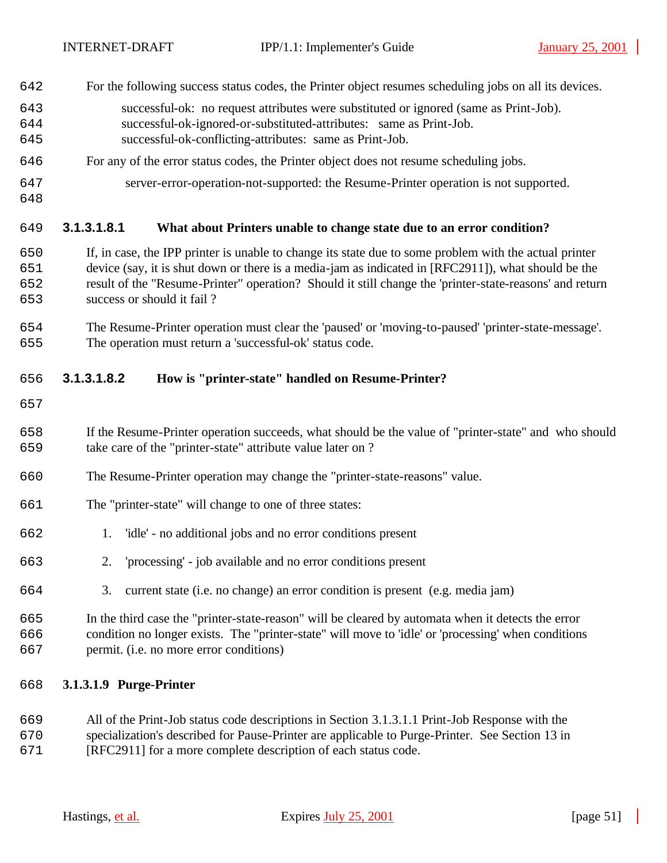- For the following success status codes, the Printer object resumes scheduling jobs on all its devices.
- successful-ok: no request attributes were substituted or ignored (same as Print-Job).
- successful-ok-ignored-or-substituted-attributes: same as Print-Job.
- successful-ok-conflicting-attributes: same as Print-Job.
- For any of the error status codes, the Printer object does not resume scheduling jobs.
- server-error-operation-not-supported: the Resume-Printer operation is not supported.
- 

# **3.1.3.1.8.1 What about Printers unable to change state due to an error condition?**

- If, in case, the IPP printer is unable to change its state due to some problem with the actual printer device (say, it is shut down or there is a media-jam as indicated in [RFC2911]), what should be the result of the "Resume-Printer" operation? Should it still change the 'printer-state-reasons' and return success or should it fail ?
- The Resume-Printer operation must clear the 'paused' or 'moving-to-paused' 'printer-state-message'. The operation must return a 'successful-ok' status code.

# **3.1.3.1.8.2 How is "printer-state" handled on Resume-Printer?**

- 
- If the Resume-Printer operation succeeds, what should be the value of "printer-state" and who should take care of the "printer-state" attribute value later on ?
- The Resume-Printer operation may change the "printer-state-reasons" value.
- The "printer-state" will change to one of three states:
- 1. 'idle' no additional jobs and no error conditions present
- 2. 'processing' job available and no error conditions present
- 3. current state (i.e. no change) an error condition is present (e.g. media jam)
- In the third case the "printer-state-reason" will be cleared by automata when it detects the error condition no longer exists. The "printer-state" will move to 'idle' or 'processing' when conditions permit. (i.e. no more error conditions)

# **3.1.3.1.9 Purge-Printer**

- All of the Print-Job status code descriptions in Section 3.1.3.1.1 Print-Job Response with the specialization's described for Pause-Printer are applicable to Purge-Printer. See Section 13 in
- [RFC2911] for a more complete description of each status code.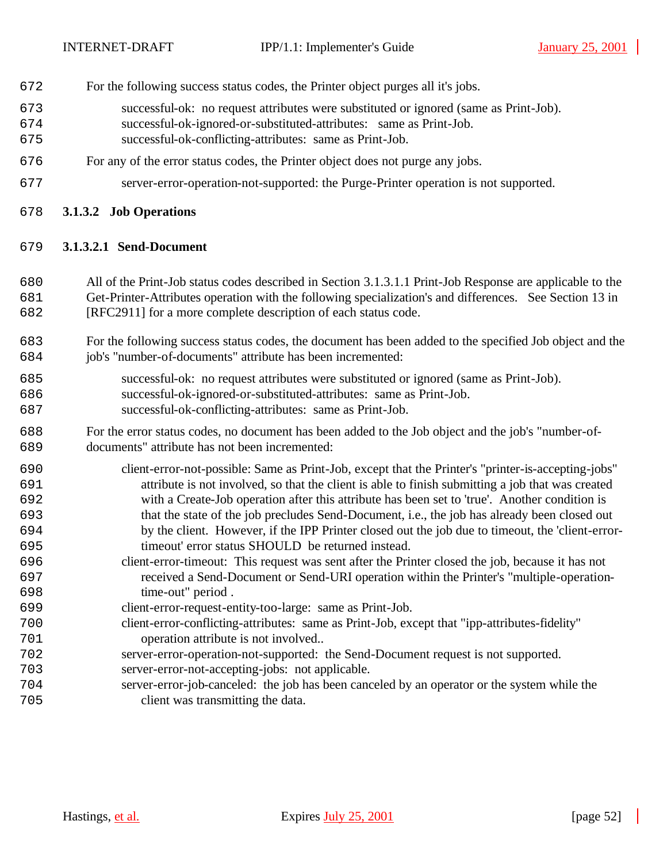- For the following success status codes, the Printer object purges all it's jobs.
- successful-ok: no request attributes were substituted or ignored (same as Print-Job).
- successful-ok-ignored-or-substituted-attributes: same as Print-Job.
- successful-ok-conflicting-attributes: same as Print-Job.
- For any of the error status codes, the Printer object does not purge any jobs.
- server-error-operation-not-supported: the Purge-Printer operation is not supported.
- **3.1.3.2 Job Operations**

# **3.1.3.2.1 Send-Document**

- All of the Print-Job status codes described in Section 3.1.3.1.1 Print-Job Response are applicable to the Get-Printer-Attributes operation with the following specialization's and differences. See Section 13 in [RFC2911] for a more complete description of each status code.
- For the following success status codes, the document has been added to the specified Job object and the job's "number-of-documents" attribute has been incremented:
- successful-ok: no request attributes were substituted or ignored (same as Print-Job). successful-ok-ignored-or-substituted-attributes: same as Print-Job. successful-ok-conflicting-attributes: same as Print-Job.
- For the error status codes, no document has been added to the Job object and the job's "number-of-documents" attribute has not been incremented:
- client-error-not-possible: Same as Print-Job, except that the Printer's "printer-is-accepting-jobs" attribute is not involved, so that the client is able to finish submitting a job that was created with a Create-Job operation after this attribute has been set to 'true'. Another condition is that the state of the job precludes Send-Document, i.e., the job has already been closed out by the client. However, if the IPP Printer closed out the job due to timeout, the 'client-error-timeout' error status SHOULD be returned instead.
- client-error-timeout: This request was sent after the Printer closed the job, because it has not received a Send-Document or Send-URI operation within the Printer's "multiple-operation-time-out" period .
- client-error-request-entity-too-large: same as Print-Job.
- client-error-conflicting-attributes: same as Print-Job, except that "ipp-attributes-fidelity" operation attribute is not involved..
- server-error-operation-not-supported: the Send-Document request is not supported.
- server-error-not-accepting-jobs: not applicable.
- server-error-job-canceled: the job has been canceled by an operator or the system while the client was transmitting the data.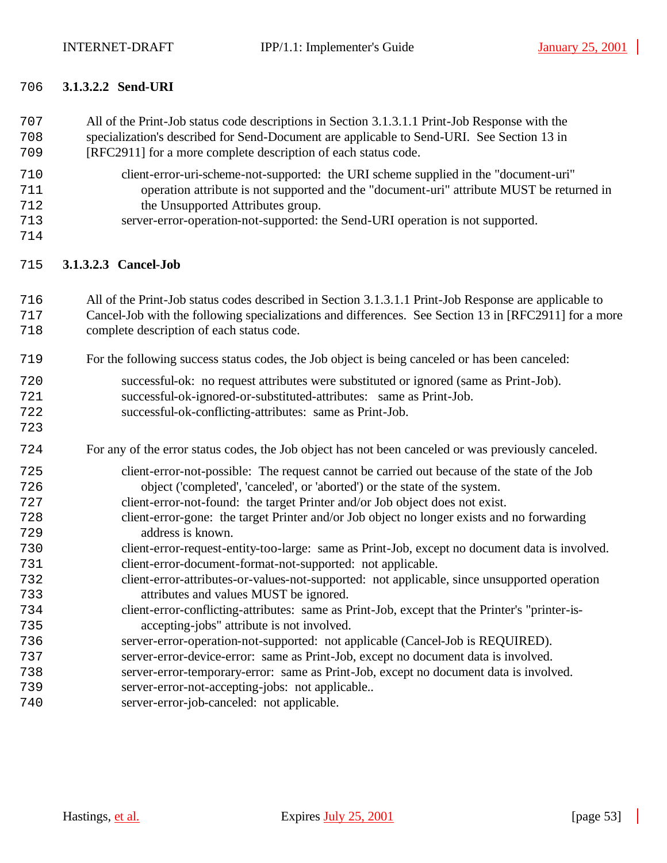# **3.1.3.2.2 Send-URI**

| 707<br>708<br>709                                    | All of the Print-Job status code descriptions in Section 3.1.3.1.1 Print-Job Response with the<br>specialization's described for Send-Document are applicable to Send-URI. See Section 13 in<br>[RFC2911] for a more complete description of each status code.                                                                                                                                                                                                                                                                                                                                                                                 |
|------------------------------------------------------|------------------------------------------------------------------------------------------------------------------------------------------------------------------------------------------------------------------------------------------------------------------------------------------------------------------------------------------------------------------------------------------------------------------------------------------------------------------------------------------------------------------------------------------------------------------------------------------------------------------------------------------------|
| 710<br>711<br>712<br>713<br>714                      | client-error-uri-scheme-not-supported: the URI scheme supplied in the "document-uri"<br>operation attribute is not supported and the "document-uri" attribute MUST be returned in<br>the Unsupported Attributes group.<br>server-error-operation-not-supported: the Send-URI operation is not supported.                                                                                                                                                                                                                                                                                                                                       |
| 715                                                  | 3.1.3.2.3 Cancel-Job                                                                                                                                                                                                                                                                                                                                                                                                                                                                                                                                                                                                                           |
| 716<br>717<br>718                                    | All of the Print-Job status codes described in Section 3.1.3.1.1 Print-Job Response are applicable to<br>Cancel-Job with the following specializations and differences. See Section 13 in [RFC2911] for a more<br>complete description of each status code.                                                                                                                                                                                                                                                                                                                                                                                    |
| 719                                                  | For the following success status codes, the Job object is being canceled or has been canceled:                                                                                                                                                                                                                                                                                                                                                                                                                                                                                                                                                 |
| 720<br>721<br>722<br>723                             | successful-ok: no request attributes were substituted or ignored (same as Print-Job).<br>successful-ok-ignored-or-substituted-attributes: same as Print-Job.<br>successful-ok-conflicting-attributes: same as Print-Job.                                                                                                                                                                                                                                                                                                                                                                                                                       |
| 724                                                  | For any of the error status codes, the Job object has not been canceled or was previously canceled.                                                                                                                                                                                                                                                                                                                                                                                                                                                                                                                                            |
| 725<br>726<br>727<br>728<br>729<br>730<br>731<br>732 | client-error-not-possible: The request cannot be carried out because of the state of the Job<br>object ('completed', 'canceled', or 'aborted') or the state of the system.<br>client-error-not-found: the target Printer and/or Job object does not exist.<br>client-error-gone: the target Printer and/or Job object no longer exists and no forwarding<br>address is known.<br>client-error-request-entity-too-large: same as Print-Job, except no document data is involved.<br>client-error-document-format-not-supported: not applicable.<br>client-error-attributes-or-values-not-supported: not applicable, since unsupported operation |
| 733                                                  | attributes and values MUST be ignored.                                                                                                                                                                                                                                                                                                                                                                                                                                                                                                                                                                                                         |
| 734<br>735                                           | client-error-conflicting-attributes: same as Print-Job, except that the Printer's "printer-is-<br>accepting-jobs" attribute is not involved.                                                                                                                                                                                                                                                                                                                                                                                                                                                                                                   |
| 736                                                  | server-error-operation-not-supported: not applicable (Cancel-Job is REQUIRED).                                                                                                                                                                                                                                                                                                                                                                                                                                                                                                                                                                 |
| 737                                                  | server-error-device-error: same as Print-Job, except no document data is involved.                                                                                                                                                                                                                                                                                                                                                                                                                                                                                                                                                             |
| 738<br>739                                           | server-error-temporary-error: same as Print-Job, except no document data is involved.<br>server-error-not-accepting-jobs: not applicable                                                                                                                                                                                                                                                                                                                                                                                                                                                                                                       |
| 740                                                  | server-error-job-canceled: not applicable.                                                                                                                                                                                                                                                                                                                                                                                                                                                                                                                                                                                                     |
|                                                      |                                                                                                                                                                                                                                                                                                                                                                                                                                                                                                                                                                                                                                                |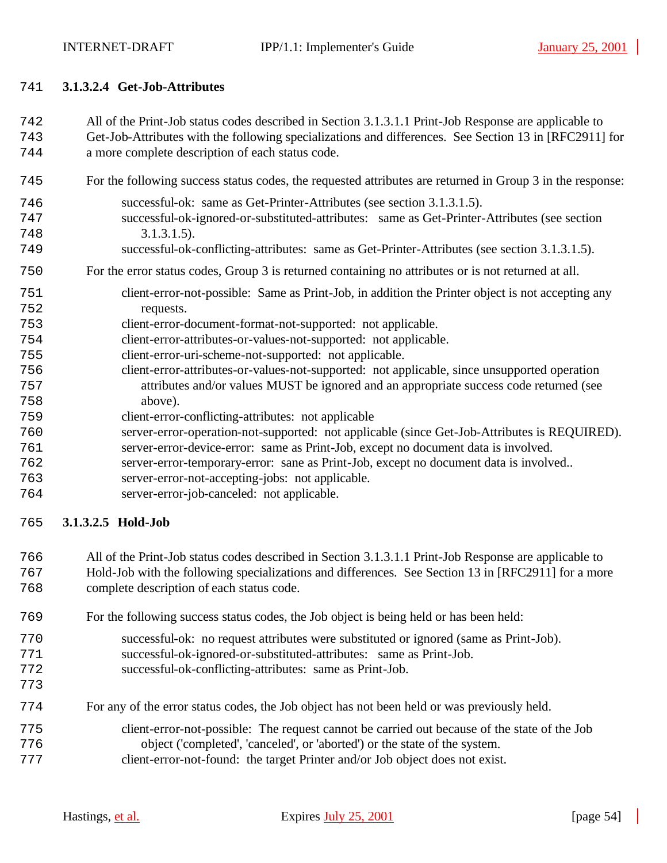## **3.1.3.2.4 Get-Job-Attributes**

All of the Print-Job status codes described in Section 3.1.3.1.1 Print-Job Response are applicable to

 Get-Job-Attributes with the following specializations and differences. See Section 13 in [RFC2911] for a more complete description of each status code.

- For the following success status codes, the requested attributes are returned in Group 3 in the response:
- successful-ok: same as Get-Printer-Attributes (see section 3.1.3.1.5). successful-ok-ignored-or-substituted-attributes: same as Get-Printer-Attributes (see section 3.1.3.1.5). successful-ok-conflicting-attributes: same as Get-Printer-Attributes (see section 3.1.3.1.5).

# For the error status codes, Group 3 is returned containing no attributes or is not returned at all.

- client-error-not-possible: Same as Print-Job, in addition the Printer object is not accepting any requests.
- client-error-document-format-not-supported: not applicable.
- client-error-attributes-or-values-not-supported: not applicable.
- client-error-uri-scheme-not-supported: not applicable.
- client-error-attributes-or-values-not-supported: not applicable, since unsupported operation attributes and/or values MUST be ignored and an appropriate success code returned (see above).
- client-error-conflicting-attributes: not applicable
- server-error-operation-not-supported: not applicable (since Get-Job-Attributes is REQUIRED).
- server-error-device-error: same as Print-Job, except no document data is involved.
- server-error-temporary-error: sane as Print-Job, except no document data is involved..
- server-error-not-accepting-jobs: not applicable.
- server-error-job-canceled: not applicable.

# **3.1.3.2.5 Hold-Job**

All of the Print-Job status codes described in Section 3.1.3.1.1 Print-Job Response are applicable to

 Hold-Job with the following specializations and differences. See Section 13 in [RFC2911] for a more complete description of each status code.

- For the following success status codes, the Job object is being held or has been held:
- successful-ok: no request attributes were substituted or ignored (same as Print-Job).
- successful-ok-ignored-or-substituted-attributes: same as Print-Job.
- successful-ok-conflicting-attributes: same as Print-Job.
- 
- For any of the error status codes, the Job object has not been held or was previously held.
- client-error-not-possible: The request cannot be carried out because of the state of the Job object ('completed', 'canceled', or 'aborted') or the state of the system. client-error-not-found: the target Printer and/or Job object does not exist.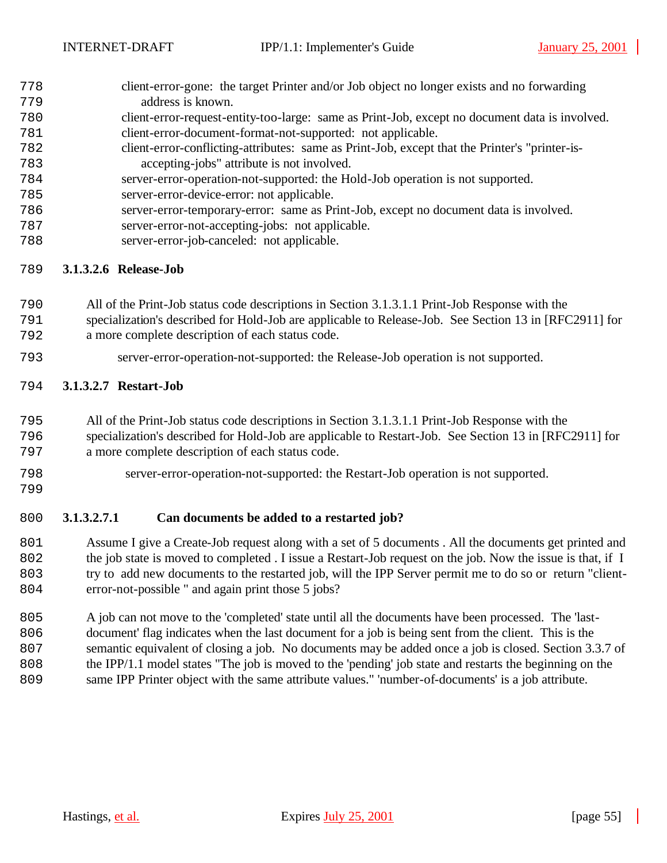- client-error-gone: the target Printer and/or Job object no longer exists and no forwarding address is known.
- client-error-request-entity-too-large: same as Print-Job, except no document data is involved. client-error-document-format-not-supported: not applicable.
- client-error-conflicting-attributes: same as Print-Job, except that the Printer's "printer-is-accepting-jobs" attribute is not involved.
- server-error-operation-not-supported: the Hold-Job operation is not supported.
- server-error-device-error: not applicable.
- server-error-temporary-error: same as Print-Job, except no document data is involved.
- server-error-not-accepting-jobs: not applicable.
- server-error-job-canceled: not applicable.

# **3.1.3.2.6 Release-Job**

- All of the Print-Job status code descriptions in Section 3.1.3.1.1 Print-Job Response with the
- specialization's described for Hold-Job are applicable to Release-Job. See Section 13 in [RFC2911] for a more complete description of each status code.
- server-error-operation-not-supported: the Release-Job operation is not supported.

# **3.1.3.2.7 Restart-Job**

- All of the Print-Job status code descriptions in Section 3.1.3.1.1 Print-Job Response with the
- specialization's described for Hold-Job are applicable to Restart-Job. See Section 13 in [RFC2911] for a more complete description of each status code.
- 
- 

server-error-operation-not-supported: the Restart-Job operation is not supported.

# **3.1.3.2.7.1 Can documents be added to a restarted job?**

 Assume I give a Create-Job request along with a set of 5 documents . All the documents get printed and 802 the job state is moved to completed . I issue a Restart-Job request on the job. Now the issue is that, if I try to add new documents to the restarted job, will the IPP Server permit me to do so or return "client-error-not-possible " and again print those 5 jobs?

 A job can not move to the 'completed' state until all the documents have been processed. The 'last- document' flag indicates when the last document for a job is being sent from the client. This is the semantic equivalent of closing a job. No documents may be added once a job is closed. Section 3.3.7 of the IPP/1.1 model states "The job is moved to the 'pending' job state and restarts the beginning on the same IPP Printer object with the same attribute values." 'number-of-documents' is a job attribute.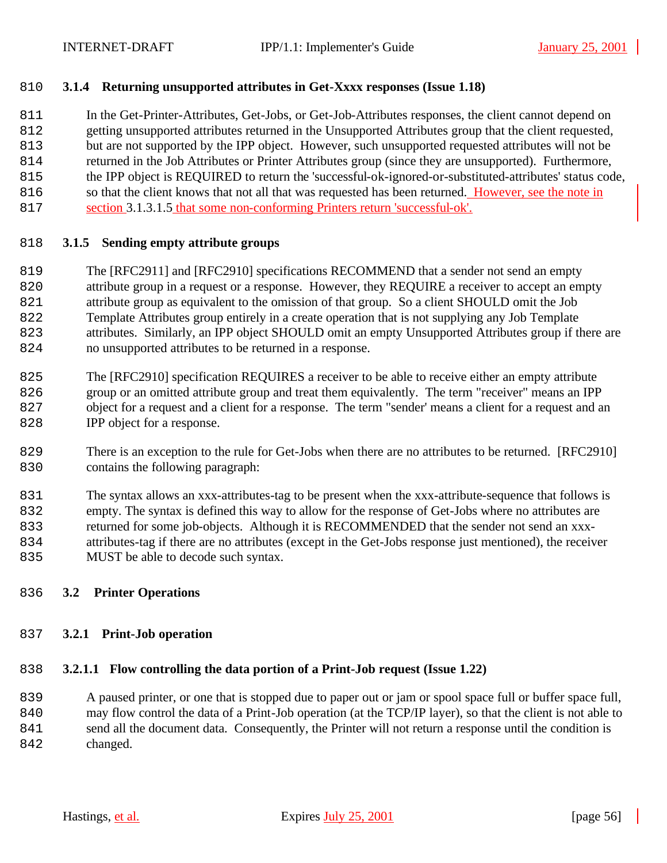# **3.1.4 Returning unsupported attributes in Get-Xxxx responses (Issue 1.18)**

 In the Get-Printer-Attributes, Get-Jobs, or Get-Job-Attributes responses, the client cannot depend on getting unsupported attributes returned in the Unsupported Attributes group that the client requested, but are not supported by the IPP object. However, such unsupported requested attributes will not be returned in the Job Attributes or Printer Attributes group (since they are unsupported). Furthermore, the IPP object is REQUIRED to return the 'successful-ok-ignored-or-substituted-attributes' status code, 816 so that the client knows that not all that was requested has been returned. However, see the note in

section 3.1.3.1.5 that some non-conforming Printers return 'successful-ok'.

# **3.1.5 Sending empty attribute groups**

- The [RFC2911] and [RFC2910] specifications RECOMMEND that a sender not send an empty
- attribute group in a request or a response. However, they REQUIRE a receiver to accept an empty
- attribute group as equivalent to the omission of that group. So a client SHOULD omit the Job
- Template Attributes group entirely in a create operation that is not supplying any Job Template
- attributes. Similarly, an IPP object SHOULD omit an empty Unsupported Attributes group if there are no unsupported attributes to be returned in a response.
- The [RFC2910] specification REQUIRES a receiver to be able to receive either an empty attribute group or an omitted attribute group and treat them equivalently. The term "receiver" means an IPP object for a request and a client for a response. The term "sender' means a client for a request and an
- 828 IPP object for a response.
- There is an exception to the rule for Get-Jobs when there are no attributes to be returned. [RFC2910] contains the following paragraph:
- The syntax allows an xxx-attributes-tag to be present when the xxx-attribute-sequence that follows is empty. The syntax is defined this way to allow for the response of Get-Jobs where no attributes are returned for some job-objects. Although it is RECOMMENDED that the sender not send an xxx- attributes-tag if there are no attributes (except in the Get-Jobs response just mentioned), the receiver 835 MUST be able to decode such syntax.

# **3.2 Printer Operations**

# **3.2.1 Print-Job operation**

# **3.2.1.1 Flow controlling the data portion of a Print-Job request (Issue 1.22)**

 A paused printer, or one that is stopped due to paper out or jam or spool space full or buffer space full, may flow control the data of a Print-Job operation (at the TCP/IP layer), so that the client is not able to send all the document data. Consequently, the Printer will not return a response until the condition is 842 changed.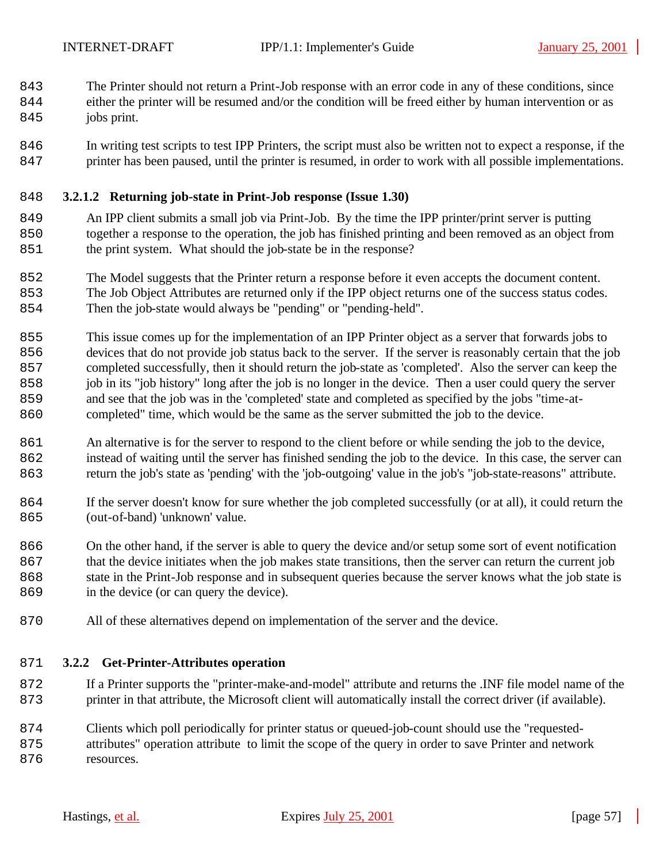The Printer should not return a Print-Job response with an error code in any of these conditions, since

- either the printer will be resumed and/or the condition will be freed either by human intervention or as 845 jobs print.
- In writing test scripts to test IPP Printers, the script must also be written not to expect a response, if the printer has been paused, until the printer is resumed, in order to work with all possible implementations.

# **3.2.1.2 Returning job-state in Print-Job response (Issue 1.30)**

- An IPP client submits a small job via Print-Job. By the time the IPP printer/print server is putting together a response to the operation, the job has finished printing and been removed as an object from 851 the print system. What should the job-state be in the response?
- The Model suggests that the Printer return a response before it even accepts the document content. The Job Object Attributes are returned only if the IPP object returns one of the success status codes.
- Then the job-state would always be "pending" or "pending-held".
- This issue comes up for the implementation of an IPP Printer object as a server that forwards jobs to devices that do not provide job status back to the server. If the server is reasonably certain that the job completed successfully, then it should return the job-state as 'completed'. Also the server can keep the job in its "job history" long after the job is no longer in the device. Then a user could query the server and see that the job was in the 'completed' state and completed as specified by the jobs "time-at-completed" time, which would be the same as the server submitted the job to the device.
- 861 An alternative is for the server to respond to the client before or while sending the job to the device, instead of waiting until the server has finished sending the job to the device. In this case, the server can return the job's state as 'pending' with the 'job-outgoing' value in the job's "job-state-reasons" attribute.
- If the server doesn't know for sure whether the job completed successfully (or at all), it could return the 865 (out-of-band) 'unknown' value.
- On the other hand, if the server is able to query the device and/or setup some sort of event notification that the device initiates when the job makes state transitions, then the server can return the current job state in the Print-Job response and in subsequent queries because the server knows what the job state is 869 in the device (or can query the device).
- All of these alternatives depend on implementation of the server and the device.

# **3.2.2 Get-Printer-Attributes operation**

- If a Printer supports the "printer-make-and-model" attribute and returns the .INF file model name of the printer in that attribute, the Microsoft client will automatically install the correct driver (if available).
- Clients which poll periodically for printer status or queued-job-count should use the "requested- attributes" operation attribute to limit the scope of the query in order to save Printer and network 876 resources.
	-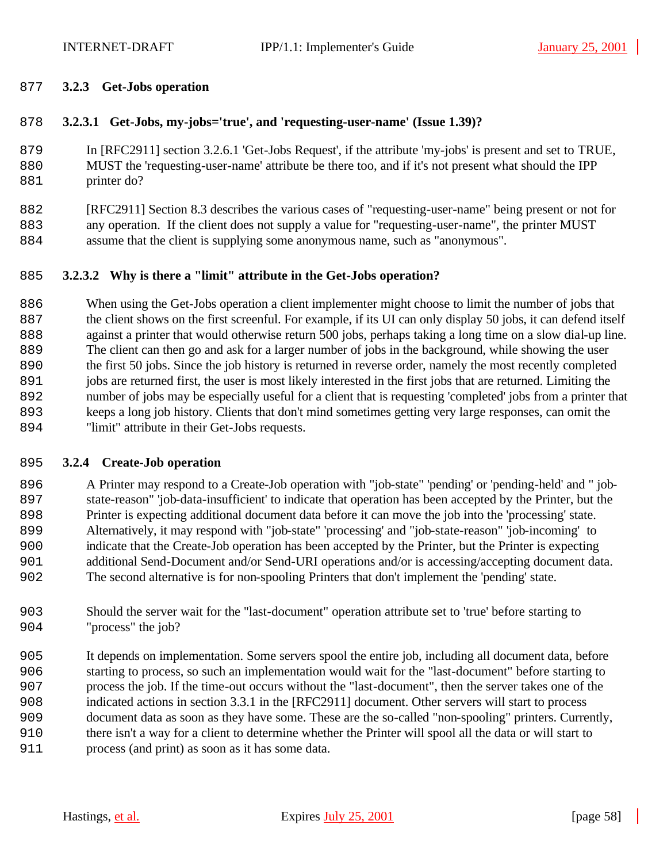### **3.2.3 Get-Jobs operation**

### **3.2.3.1 Get-Jobs, my-jobs='true', and 'requesting-user-name' (Issue 1.39)?**

 In [RFC2911] section 3.2.6.1 'Get-Jobs Request', if the attribute 'my-jobs' is present and set to TRUE, MUST the 'requesting-user-name' attribute be there too, and if it's not present what should the IPP 881 printer do?

 [RFC2911] Section 8.3 describes the various cases of "requesting-user-name" being present or not for any operation. If the client does not supply a value for "requesting-user-name", the printer MUST assume that the client is supplying some anonymous name, such as "anonymous".

#### **3.2.3.2 Why is there a "limit" attribute in the Get-Jobs operation?**

 When using the Get-Jobs operation a client implementer might choose to limit the number of jobs that the client shows on the first screenful. For example, if its UI can only display 50 jobs, it can defend itself against a printer that would otherwise return 500 jobs, perhaps taking a long time on a slow dial-up line. The client can then go and ask for a larger number of jobs in the background, while showing the user the first 50 jobs. Since the job history is returned in reverse order, namely the most recently completed jobs are returned first, the user is most likely interested in the first jobs that are returned. Limiting the number of jobs may be especially useful for a client that is requesting 'completed' jobs from a printer that keeps a long job history. Clients that don't mind sometimes getting very large responses, can omit the 894 "limit" attribute in their Get-Jobs requests.

#### **3.2.4 Create-Job operation**

 A Printer may respond to a Create-Job operation with "job-state" 'pending' or 'pending-held' and " job- state-reason" 'job-data-insufficient' to indicate that operation has been accepted by the Printer, but the Printer is expecting additional document data before it can move the job into the 'processing' state. Alternatively, it may respond with "job-state" 'processing' and "job-state-reason" 'job-incoming' to indicate that the Create-Job operation has been accepted by the Printer, but the Printer is expecting additional Send-Document and/or Send-URI operations and/or is accessing/accepting document data. The second alternative is for non-spooling Printers that don't implement the 'pending' state.

- Should the server wait for the "last-document" operation attribute set to 'true' before starting to 904 "process" the job?
- It depends on implementation. Some servers spool the entire job, including all document data, before starting to process, so such an implementation would wait for the "last-document" before starting to process the job. If the time-out occurs without the "last-document", then the server takes one of the indicated actions in section 3.3.1 in the [RFC2911] document. Other servers will start to process document data as soon as they have some. These are the so-called "non-spooling" printers. Currently, there isn't a way for a client to determine whether the Printer will spool all the data or will start to process (and print) as soon as it has some data.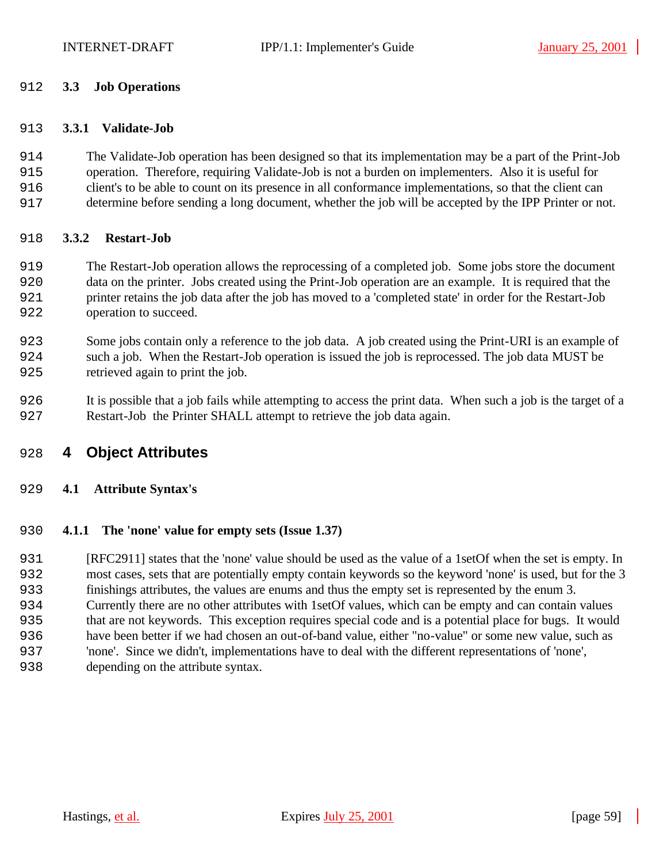### **3.3 Job Operations**

#### **3.3.1 Validate-Job**

 The Validate-Job operation has been designed so that its implementation may be a part of the Print-Job operation. Therefore, requiring Validate-Job is not a burden on implementers. Also it is useful for client's to be able to count on its presence in all conformance implementations, so that the client can determine before sending a long document, whether the job will be accepted by the IPP Printer or not.

#### **3.3.2 Restart-Job**

- The Restart-Job operation allows the reprocessing of a completed job. Some jobs store the document data on the printer. Jobs created using the Print-Job operation are an example. It is required that the printer retains the job data after the job has moved to a 'completed state' in order for the Restart-Job operation to succeed.
- Some jobs contain only a reference to the job data. A job created using the Print-URI is an example of such a job. When the Restart-Job operation is issued the job is reprocessed. The job data MUST be retrieved again to print the job.
- It is possible that a job fails while attempting to access the print data. When such a job is the target of a Restart-Job the Printer SHALL attempt to retrieve the job data again.

# **4 Object Attributes**

# **4.1 Attribute Syntax's**

# **4.1.1 The 'none' value for empty sets (Issue 1.37)**

 [RFC2911] states that the 'none' value should be used as the value of a 1setOf when the set is empty. In most cases, sets that are potentially empty contain keywords so the keyword 'none' is used, but for the 3 finishings attributes, the values are enums and thus the empty set is represented by the enum 3. Currently there are no other attributes with 1setOf values, which can be empty and can contain values that are not keywords. This exception requires special code and is a potential place for bugs. It would have been better if we had chosen an out-of-band value, either "no-value" or some new value, such as 'none'. Since we didn't, implementations have to deal with the different representations of 'none', depending on the attribute syntax.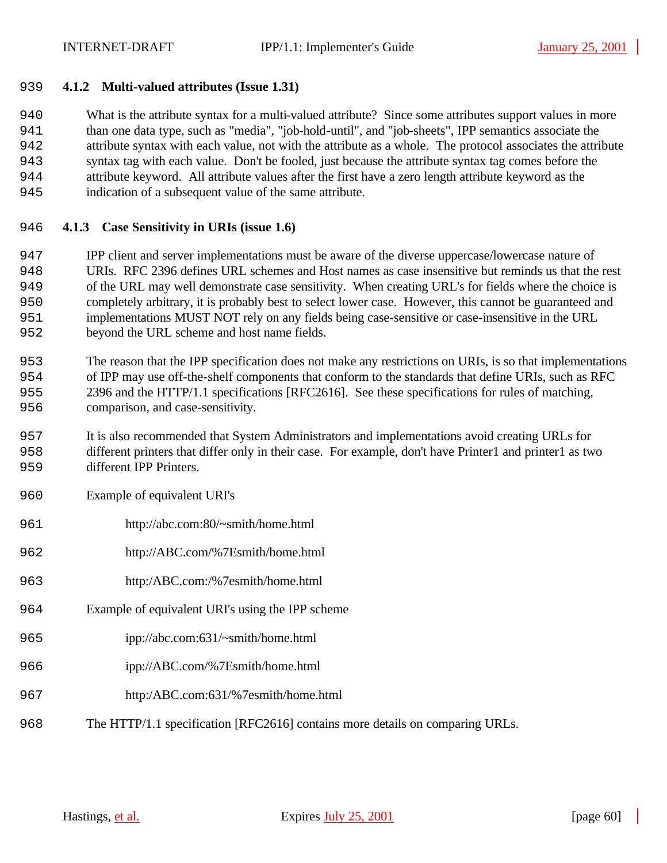## **4.1.2 Multi-valued attributes (Issue 1.31)**

 What is the attribute syntax for a multi-valued attribute? Since some attributes support values in more than one data type, such as "media", "job-hold-until", and "job-sheets", IPP semantics associate the attribute syntax with each value, not with the attribute as a whole. The protocol associates the attribute syntax tag with each value. Don't be fooled, just because the attribute syntax tag comes before the attribute keyword. All attribute values after the first have a zero length attribute keyword as the indication of a subsequent value of the same attribute.

- **4.1.3 Case Sensitivity in URIs (issue 1.6)**
- IPP client and server implementations must be aware of the diverse uppercase/lowercase nature of URIs. RFC 2396 defines URL schemes and Host names as case insensitive but reminds us that the rest of the URL may well demonstrate case sensitivity. When creating URL's for fields where the choice is completely arbitrary, it is probably best to select lower case. However, this cannot be guaranteed and implementations MUST NOT rely on any fields being case-sensitive or case-insensitive in the URL beyond the URL scheme and host name fields.
- The reason that the IPP specification does not make any restrictions on URIs, is so that implementations of IPP may use off-the-shelf components that conform to the standards that define URIs, such as RFC 2396 and the HTTP/1.1 specifications [RFC2616]. See these specifications for rules of matching, comparison, and case-sensitivity.
- It is also recommended that System Administrators and implementations avoid creating URLs for different printers that differ only in their case. For example, don't have Printer1 and printer1 as two 959 different IPP Printers.
- Example of equivalent URI's
- http://abc.com:80/~smith/home.html
- http://ABC.com/%7Esmith/home.html
- http:/ABC.com:/%7esmith/home.html
- Example of equivalent URI's using the IPP scheme
- ipp://abc.com:631/~smith/home.html
- ipp://ABC.com/%7Esmith/home.html
- http:/ABC.com:631/%7esmith/home.html
- The HTTP/1.1 specification [RFC2616] contains more details on comparing URLs.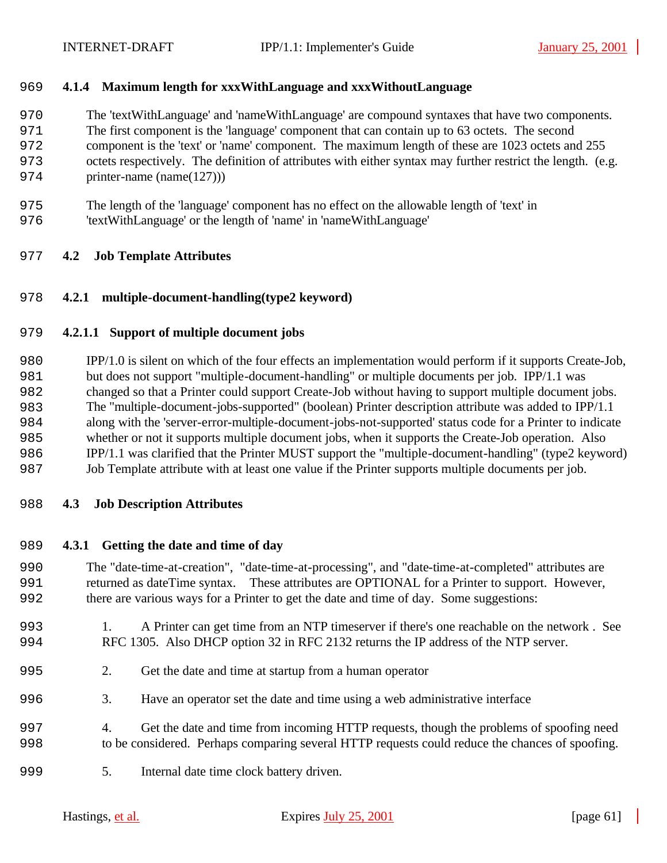# **4.1.4 Maximum length for xxxWithLanguage and xxxWithoutLanguage**

The 'textWithLanguage' and 'nameWithLanguage' are compound syntaxes that have two components.

The first component is the 'language' component that can contain up to 63 octets. The second

component is the 'text' or 'name' component. The maximum length of these are 1023 octets and 255

octets respectively. The definition of attributes with either syntax may further restrict the length. (e.g.

- 974 printer-name (name(127))
- The length of the 'language' component has no effect on the allowable length of 'text' in
- 'textWithLanguage' or the length of 'name' in 'nameWithLanguage'

# **4.2 Job Template Attributes**

# **4.2.1 multiple-document-handling(type2 keyword)**

# **4.2.1.1 Support of multiple document jobs**

 IPP/1.0 is silent on which of the four effects an implementation would perform if it supports Create-Job, but does not support "multiple-document-handling" or multiple documents per job. IPP/1.1 was changed so that a Printer could support Create-Job without having to support multiple document jobs. The "multiple-document-jobs-supported" (boolean) Printer description attribute was added to IPP/1.1 along with the 'server-error-multiple-document-jobs-not-supported' status code for a Printer to indicate whether or not it supports multiple document jobs, when it supports the Create-Job operation. Also IPP/1.1 was clarified that the Printer MUST support the "multiple-document-handling" (type2 keyword) Job Template attribute with at least one value if the Printer supports multiple documents per job.

# **4.3 Job Description Attributes**

# **4.3.1 Getting the date and time of day**

 The "date-time-at-creation", "date-time-at-processing", and "date-time-at-completed" attributes are returned as dateTime syntax. These attributes are OPTIONAL for a Printer to support. However, there are various ways for a Printer to get the date and time of day. Some suggestions:

- 1. A Printer can get time from an NTP timeserver if there's one reachable on the network . See RFC 1305. Also DHCP option 32 in RFC 2132 returns the IP address of the NTP server.
- 2. Get the date and time at startup from a human operator
- 3. Have an operator set the date and time using a web administrative interface
- 4. Get the date and time from incoming HTTP requests, though the problems of spoofing need to be considered. Perhaps comparing several HTTP requests could reduce the chances of spoofing.
- 5. Internal date time clock battery driven.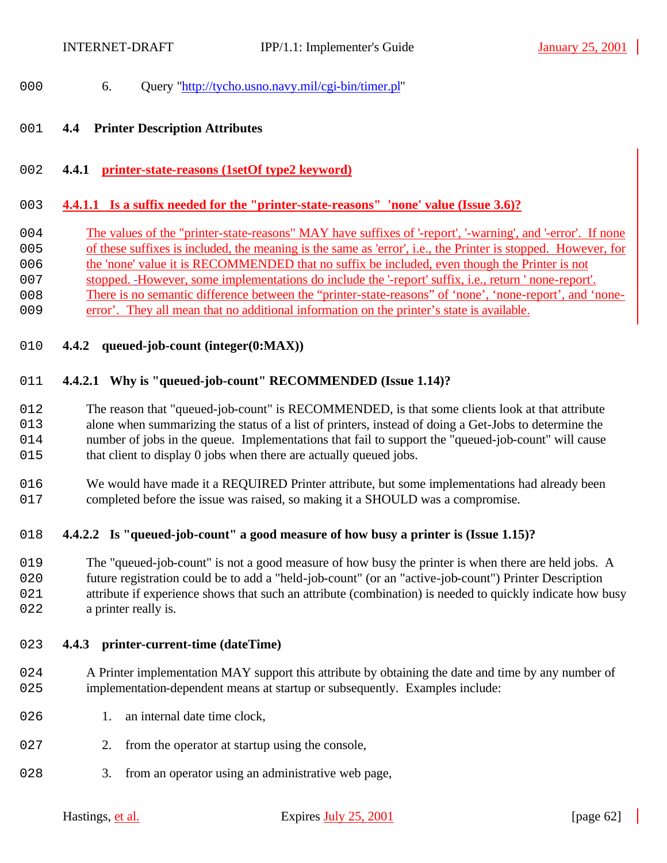- 000 6. Ouery "http://tycho.usno.navy.mil/cgi-bin/timer.pl"
- **4.4 Printer Description Attributes**
- **4.4.1 printer-state-reasons (1setOf type2 keyword)**

### **4.4.1.1 Is a suffix needed for the "printer-state-reasons" 'none' value (Issue 3.6)?**

- The values of the "printer-state-reasons" MAY have suffixes of '-report', '-warning', and '-error'. If none
- of these suffixes is included, the meaning is the same as 'error', i.e., the Printer is stopped. However, for
- 006 the 'none' value it is RECOMMENDED that no suffix be included, even though the Printer is not
- stopped. However, some implementations do include the '-report' suffix, i.e., return ' none-report'.
- There is no semantic difference between the "printer-state-reasons" of 'none', 'none-report', and 'none-
- error'. They all mean that no additional information on the printer's state is available.
- **4.4.2 queued-job-count (integer(0:MAX))**

# **4.4.2.1 Why is "queued-job-count" RECOMMENDED (Issue 1.14)?**

 The reason that "queued-job-count" is RECOMMENDED, is that some clients look at that attribute alone when summarizing the status of a list of printers, instead of doing a Get-Jobs to determine the number of jobs in the queue. Implementations that fail to support the "queued-job-count" will cause 015 that client to display 0 jobs when there are actually queued jobs.

016 We would have made it a REQUIRED Printer attribute, but some implementations had already been completed before the issue was raised, so making it a SHOULD was a compromise.

# **4.4.2.2 Is "queued-job-count" a good measure of how busy a printer is (Issue 1.15)?**

 The "queued-job-count" is not a good measure of how busy the printer is when there are held jobs. A future registration could be to add a "held-job-count" (or an "active-job-count") Printer Description 021 attribute if experience shows that such an attribute (combination) is needed to quickly indicate how busy 022 a printer really is.

# **4.4.3 printer-current-time (dateTime)**

- 024 A Printer implementation MAY support this attribute by obtaining the date and time by any number of implementation-dependent means at startup or subsequently. Examples include:
- 026 1. an internal date time clock,
- 027 2. from the operator at startup using the console,
- 028 3. from an operator using an administrative web page,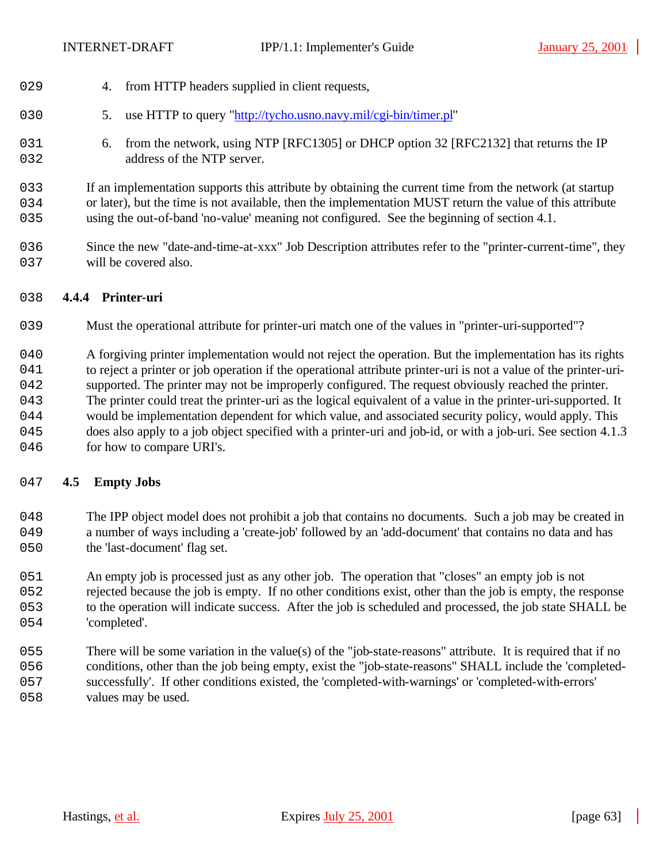- 029 4. from HTTP headers supplied in client requests,
- 2030 5. use HTTP to query "http://tycho.usno.navy.mil/cgi-bin/timer.pl"
- 031 6. from the network, using NTP [RFC1305] or DHCP option 32 [RFC2132] that returns the IP 032 address of the NTP server.

2033 If an implementation supports this attribute by obtaining the current time from the network (at startup 034 or later), but the time is not available, then the implementation MUST return the value of this attribute 2035 using the out-of-band 'no-value' meaning not configured. See the beginning of section 4.1.

2036 Since the new "date-and-time-at-xxx" Job Description attributes refer to the "printer-current-time", they 037 will be covered also.

# 2038 **4.4.4 Printer-uri**

2039 Must the operational attribute for printer-uri match one of the values in "printer-uri-supported"?

040 A forgiving printer implementation would not reject the operation. But the implementation has its rights

2041 to reject a printer or job operation if the operational attribute printer-uri is not a value of the printer-uri-

042 supported. The printer may not be improperly configured. The request obviously reached the printer.

2043 The printer could treat the printer-uri as the logical equivalent of a value in the printer-uri-supported. It 2044 would be implementation dependent for which value, and associated security policy, would apply. This

2045 does also apply to a job object specified with a printer-uri and job-id, or with a job-uri. See section 4.1.3 046 for how to compare URI's.

# 2047 **4.5 Empty Jobs**

048 The IPP object model does not prohibit a job that contains no documents. Such a job may be created in 2049 a number of ways including a 'create-job' followed by an 'add-document' that contains no data and has 050 the 'last-document' flag set.

2051 An empty job is processed just as any other job. The operation that "closes" an empty job is not

- 2052 rejected because the job is empty. If no other conditions exist, other than the job is empty, the response 2053 to the operation will indicate success. After the job is scheduled and processed, the job state SHALL be 054 'completed'.
- 2055 There will be some variation in the value(s) of the "job-state-reasons" attribute. It is required that if no 2056 conditions, other than the job being empty, exist the "job-state-reasons" SHALL include the 'completed-2057 successfully'. If other conditions existed, the 'completed-with-warnings' or 'completed-with-errors' 058 values may be used.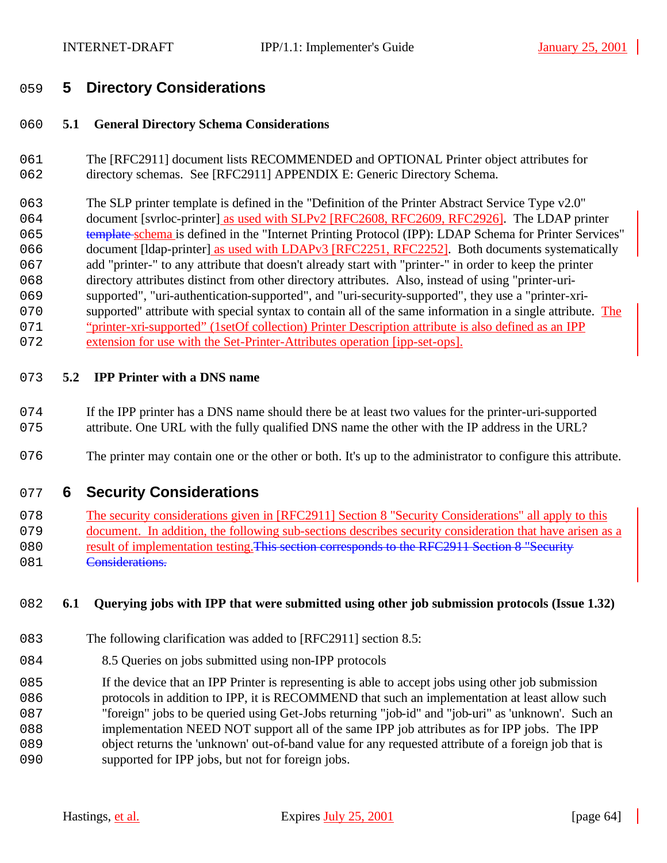# **5 Directory Considerations**

# **5.1 General Directory Schema Considerations**

- The [RFC2911] document lists RECOMMENDED and OPTIONAL Printer object attributes for 062 directory schemas. See [RFC2911] APPENDIX E: Generic Directory Schema.
- The SLP printer template is defined in the "Definition of the Printer Abstract Service Type v2.0" 064 document [svrloc-printer] as used with SLPv2 [RFC2608, RFC2609, RFC2926]. The LDAP printer 065 template schema is defined in the "Internet Printing Protocol (IPP): LDAP Schema for Printer Services" 066 document [Idap-printer] as used with LDAPv3 [RFC2251, RFC2252]. Both documents systematically add "printer-" to any attribute that doesn't already start with "printer-" in order to keep the printer directory attributes distinct from other directory attributes. Also, instead of using "printer-uri- supported", "uri-authentication-supported", and "uri-security-supported", they use a "printer-xri-070 supported" attribute with special syntax to contain all of the same information in a single attribute. The "printer-xri-supported" (1setOf collection) Printer Description attribute is also defined as an IPP extension for use with the Set-Printer-Attributes operation [ipp-set-ops].

# **5.2 IPP Printer with a DNS name**

- If the IPP printer has a DNS name should there be at least two values for the printer-uri-supported attribute. One URL with the fully qualified DNS name the other with the IP address in the URL?
- 076 The printer may contain one or the other or both. It's up to the administrator to configure this attribute.

# **6 Security Considerations**

- 078 The security considerations given in [RFC2911] Section 8 "Security Considerations" all apply to this document. In addition, the following sub-sections describes security consideration that have arisen as a 080 result of implementation testing. This section corresponds to the RFC2911 Section 8 "Security
- **Considerations.**

# **6.1 Querying jobs with IPP that were submitted using other job submission protocols (Issue 1.32)**

- The following clarification was added to [RFC2911] section 8.5:
- 084 8.5 Queries on jobs submitted using non-IPP protocols
- If the device that an IPP Printer is representing is able to accept jobs using other job submission
- protocols in addition to IPP, it is RECOMMEND that such an implementation at least allow such
- "foreign" jobs to be queried using Get-Jobs returning "job-id" and "job-uri" as 'unknown'. Such an
- implementation NEED NOT support all of the same IPP job attributes as for IPP jobs. The IPP
- object returns the 'unknown' out-of-band value for any requested attribute of a foreign job that is
- 090 supported for IPP jobs, but not for foreign jobs.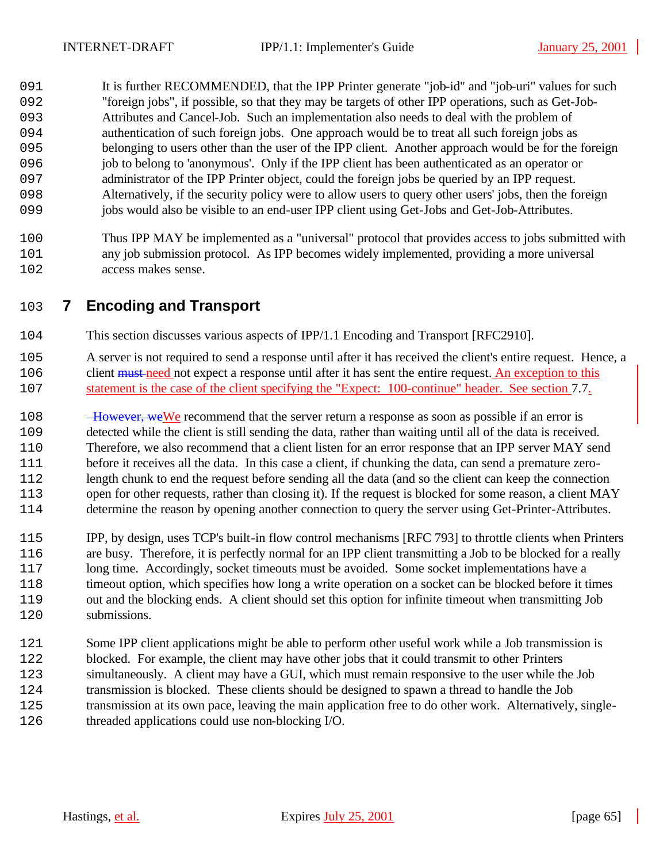091 It is further RECOMMENDED, that the IPP Printer generate "job-id" and "job-uri" values for such "foreign jobs", if possible, so that they may be targets of other IPP operations, such as Get-Job- Attributes and Cancel-Job. Such an implementation also needs to deal with the problem of authentication of such foreign jobs. One approach would be to treat all such foreign jobs as belonging to users other than the user of the IPP client. Another approach would be for the foreign job to belong to 'anonymous'. Only if the IPP client has been authenticated as an operator or administrator of the IPP Printer object, could the foreign jobs be queried by an IPP request. Alternatively, if the security policy were to allow users to query other users' jobs, then the foreign jobs would also be visible to an end-user IPP client using Get-Jobs and Get-Job-Attributes.

 Thus IPP MAY be implemented as a "universal" protocol that provides access to jobs submitted with any job submission protocol. As IPP becomes widely implemented, providing a more universal access makes sense.

# **7 Encoding and Transport**

- This section discusses various aspects of IPP/1.1 Encoding and Transport [RFC2910].
- A server is not required to send a response until after it has received the client's entire request. Hence, a 206 client must need not expect a response until after it has sent the entire request. An exception to this statement is the case of the client specifying the "Expect: 100-continue" header. See section 7.7.
- 108 However, we We recommend that the server return a response as soon as possible if an error is detected while the client is still sending the data, rather than waiting until all of the data is received. Therefore, we also recommend that a client listen for an error response that an IPP server MAY send before it receives all the data. In this case a client, if chunking the data, can send a premature zero- length chunk to end the request before sending all the data (and so the client can keep the connection open for other requests, rather than closing it). If the request is blocked for some reason, a client MAY determine the reason by opening another connection to query the server using Get-Printer-Attributes.
- IPP, by design, uses TCP's built-in flow control mechanisms [RFC 793] to throttle clients when Printers are busy. Therefore, it is perfectly normal for an IPP client transmitting a Job to be blocked for a really long time. Accordingly, socket timeouts must be avoided. Some socket implementations have a timeout option, which specifies how long a write operation on a socket can be blocked before it times out and the blocking ends. A client should set this option for infinite timeout when transmitting Job submissions.
- Some IPP client applications might be able to perform other useful work while a Job transmission is blocked. For example, the client may have other jobs that it could transmit to other Printers simultaneously. A client may have a GUI, which must remain responsive to the user while the Job transmission is blocked. These clients should be designed to spawn a thread to handle the Job 125 transmission at its own pace, leaving the main application free to do other work. Alternatively, single-threaded applications could use non-blocking I/O.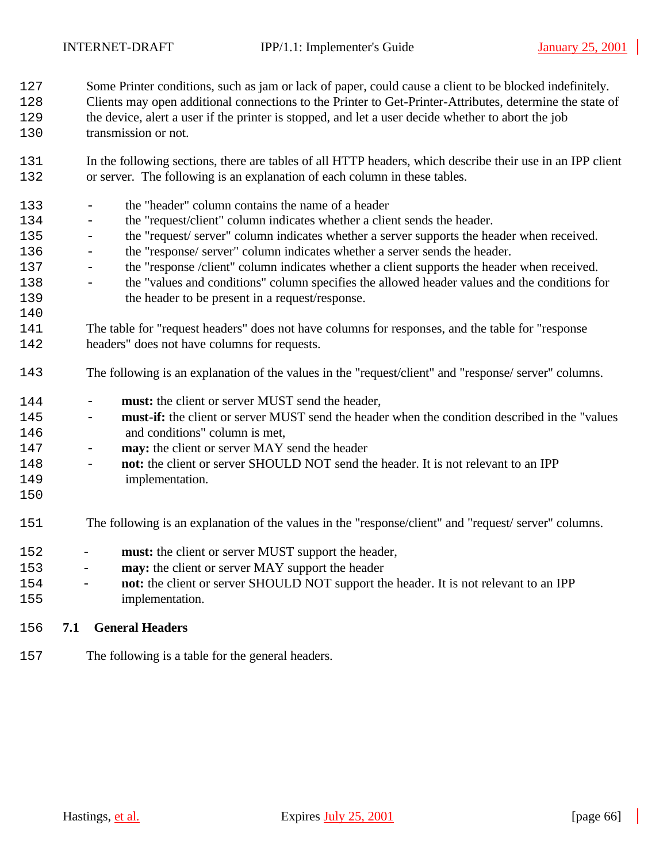Some Printer conditions, such as jam or lack of paper, could cause a client to be blocked indefinitely.

- Clients may open additional connections to the Printer to Get-Printer-Attributes, determine the state of the device, alert a user if the printer is stopped, and let a user decide whether to abort the job
- transmission or not.
- In the following sections, there are tables of all HTTP headers, which describe their use in an IPP client or server. The following is an explanation of each column in these tables.
- the "header" column contains the name of a header - the "request/client" column indicates whether a client sends the header. - the "request/ server" column indicates whether a server supports the header when received. - the "response/ server" column indicates whether a server sends the header. - the "response /client" column indicates whether a client supports the header when received. - the "values and conditions" column specifies the allowed header values and the conditions for the header to be present in a request/response. The table for "request headers" does not have columns for responses, and the table for "response headers" does not have columns for requests. The following is an explanation of the values in the "request/client" and "response/ server" columns. - **must:** the client or server MUST send the header, - **must-if:** the client or server MUST send the header when the condition described in the "values and conditions" column is met, - **may:** the client or server MAY send the header - **not:** the client or server SHOULD NOT send the header. It is not relevant to an IPP implementation. The following is an explanation of the values in the "response/client" and "request/ server" columns. - **must:** the client or server MUST support the header, - **may:** the client or server MAY support the header
- **not:** the client or server SHOULD NOT support the header. It is not relevant to an IPP implementation.
- **7.1 General Headers**
- The following is a table for the general headers.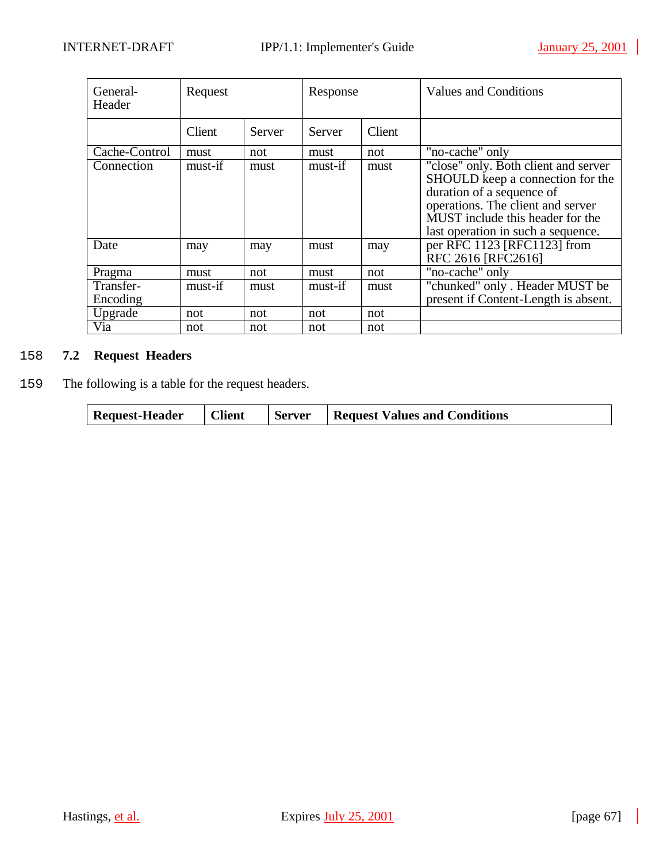| General-<br>Header    | Request |        | Response |        | Values and Conditions                                                                                                                                                                                                |
|-----------------------|---------|--------|----------|--------|----------------------------------------------------------------------------------------------------------------------------------------------------------------------------------------------------------------------|
|                       | Client  | Server | Server   | Client |                                                                                                                                                                                                                      |
| Cache-Control         | must    | not    | must     | not    | "no-cache" only                                                                                                                                                                                                      |
| Connection            | must-if | must   | must-if  | must   | "close" only. Both client and server<br>SHOULD keep a connection for the<br>duration of a sequence of<br>operations. The client and server<br>MUST include this header for the<br>last operation in such a sequence. |
| Date                  | may     | may    | must     | may    | per RFC 1123 [RFC1123] from<br>RFC 2616 [RFC2616]                                                                                                                                                                    |
| Pragma                | must    | not    | must     | not    | "no-cache" only                                                                                                                                                                                                      |
| Transfer-<br>Encoding | must-if | must   | must-if  | must   | "chunked" only . Header MUST be<br>present if Content-Length is absent.                                                                                                                                              |
| Upgrade               | not     | not    | not      | not    |                                                                                                                                                                                                                      |
| Via                   | not     | not    | not      | not    |                                                                                                                                                                                                                      |

# 2158 **7.2 Request Headers**

2159 The following is a table for the request headers.

| <b>Request Values and Conditions</b><br><b>Request-Header</b><br><b>Client</b><br>Server |
|------------------------------------------------------------------------------------------|
|------------------------------------------------------------------------------------------|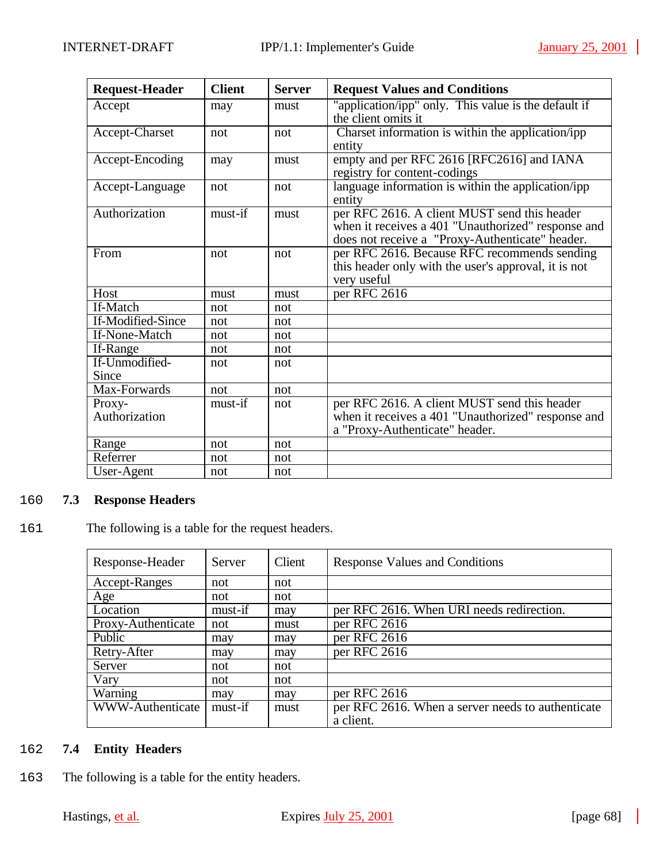| <b>Request-Header</b>   | <b>Client</b> | <b>Server</b> | <b>Request Values and Conditions</b>                                                                                                                  |  |  |
|-------------------------|---------------|---------------|-------------------------------------------------------------------------------------------------------------------------------------------------------|--|--|
| Accept                  | may           | must          | "application/ipp" only. This value is the default if<br>the client omits it                                                                           |  |  |
| Accept-Charset          | not           | not           | Charset information is within the application/ipp<br>entity                                                                                           |  |  |
| Accept-Encoding         | may           | must          | empty and per RFC 2616 [RFC2616] and IANA<br>registry for content-codings                                                                             |  |  |
| Accept-Language         | not           | not           | language information is within the application/ipp<br>entity                                                                                          |  |  |
| Authorization           | must-if       | must          | per RFC 2616. A client MUST send this header<br>when it receives a 401 "Unauthorized" response and<br>does not receive a "Proxy-Authenticate" header. |  |  |
| From                    | not           | not           | per RFC 2616. Because RFC recommends sending<br>this header only with the user's approval, it is not<br>very useful                                   |  |  |
| Host                    | must          | must          | per RFC 2616                                                                                                                                          |  |  |
| If-Match                | not           | not           |                                                                                                                                                       |  |  |
| If-Modified-Since       | not           | not           |                                                                                                                                                       |  |  |
| If-None-Match           | not           | not           |                                                                                                                                                       |  |  |
| If-Range                | not           | not           |                                                                                                                                                       |  |  |
| If-Unmodified-<br>Since | not           | not           |                                                                                                                                                       |  |  |
| Max-Forwards            | not           | not           |                                                                                                                                                       |  |  |
| Proxy-<br>Authorization | must-if       | not           | per RFC 2616. A client MUST send this header<br>when it receives a 401 "Unauthorized" response and<br>a "Proxy-Authenticate" header.                  |  |  |
| Range                   | not           | not           |                                                                                                                                                       |  |  |
| Referrer                | not           | not           |                                                                                                                                                       |  |  |
| User-Agent              | not           | not           |                                                                                                                                                       |  |  |

# 2160 **7.3 Response Headers**

161 The following is a table for the request headers.

| Response-Header    | Server  | Client | <b>Response Values and Conditions</b>             |  |  |
|--------------------|---------|--------|---------------------------------------------------|--|--|
| Accept-Ranges      | not     | not    |                                                   |  |  |
| Age                | not     | not    |                                                   |  |  |
| Location           | must-if | may    | per RFC 2616. When URI needs redirection.         |  |  |
| Proxy-Authenticate | not     | must   | per RFC 2616                                      |  |  |
| Public             | may     | may    | per RFC 2616                                      |  |  |
| Retry-After        | may     | may    | per RFC 2616                                      |  |  |
| Server             | not     | not    |                                                   |  |  |
| Vary               | not     | not    |                                                   |  |  |
| Warning            | may     | may    | per RFC 2616                                      |  |  |
| WWW-Authenticate   | must-if | must   | per RFC 2616. When a server needs to authenticate |  |  |
|                    |         |        | a client.                                         |  |  |

# 2162 **7.4 Entity Headers**

2163 The following is a table for the entity headers.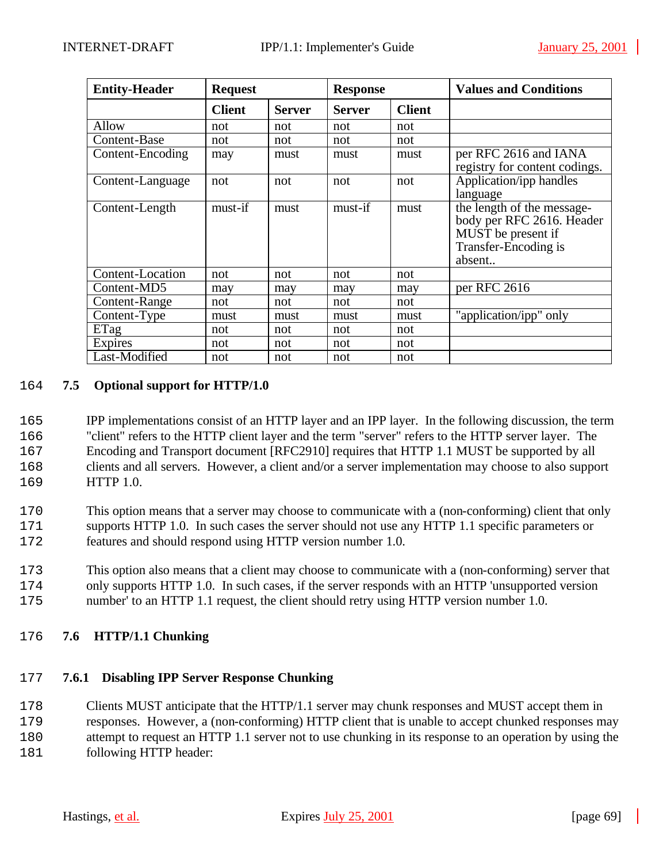| <b>Entity-Header</b> | <b>Request</b> |               | <b>Response</b> |               | <b>Values and Conditions</b>                                                                                    |
|----------------------|----------------|---------------|-----------------|---------------|-----------------------------------------------------------------------------------------------------------------|
|                      | <b>Client</b>  | <b>Server</b> | <b>Server</b>   | <b>Client</b> |                                                                                                                 |
| Allow                | not            | not           | not             | not           |                                                                                                                 |
| Content-Base         | not            | not           | not             | not           |                                                                                                                 |
| Content-Encoding     | may            | must          | must            | must          | per RFC 2616 and IANA<br>registry for content codings.                                                          |
| Content-Language     | not            | not           | not             | not           | Application/ipp handles<br>language                                                                             |
| Content-Length       | must-if        | must          | must-if         | must          | the length of the message-<br>body per RFC 2616. Header<br>MUST be present if<br>Transfer-Encoding is<br>absent |
| Content-Location     | not            | not           | not             | not           |                                                                                                                 |
| Content-MD5          | may            | may           | may             | may           | per RFC 2616                                                                                                    |
| Content-Range        | not            | not           | not             | not           |                                                                                                                 |
| Content-Type         | must           | must          | must            | must          | "application/ipp" only                                                                                          |
| ETag                 | not            | not           | not             | not           |                                                                                                                 |
| <b>Expires</b>       | not            | not           | not             | not           |                                                                                                                 |
| Last-Modified        | not            | not           | not             | not           |                                                                                                                 |

# 2164 **7.5 Optional support for HTTP/1.0**

 IPP implementations consist of an HTTP layer and an IPP layer. In the following discussion, the term "client" refers to the HTTP client layer and the term "server" refers to the HTTP server layer. The Encoding and Transport document [RFC2910] requires that HTTP 1.1 MUST be supported by all clients and all servers. However, a client and/or a server implementation may choose to also support HTTP 1.0.

2170 This option means that a server may choose to communicate with a (non-conforming) client that only 2171 supports HTTP 1.0. In such cases the server should not use any HTTP 1.1 specific parameters or 2172 features and should respond using HTTP version number 1.0.

2173 This option also means that a client may choose to communicate with a (non-conforming) server that 2174 only supports HTTP 1.0. In such cases, if the server responds with an HTTP 'unsupported version 2175 number' to an HTTP 1.1 request, the client should retry using HTTP version number 1.0.

#### 2176 **7.6 HTTP/1.1 Chunking**

#### 2177 **7.6.1 Disabling IPP Server Response Chunking**

2178 Clients MUST anticipate that the HTTP/1.1 server may chunk responses and MUST accept them in 2179 responses. However, a (non-conforming) HTTP client that is unable to accept chunked responses may

2180 attempt to request an HTTP 1.1 server not to use chunking in its response to an operation by using the

2181 following HTTP header: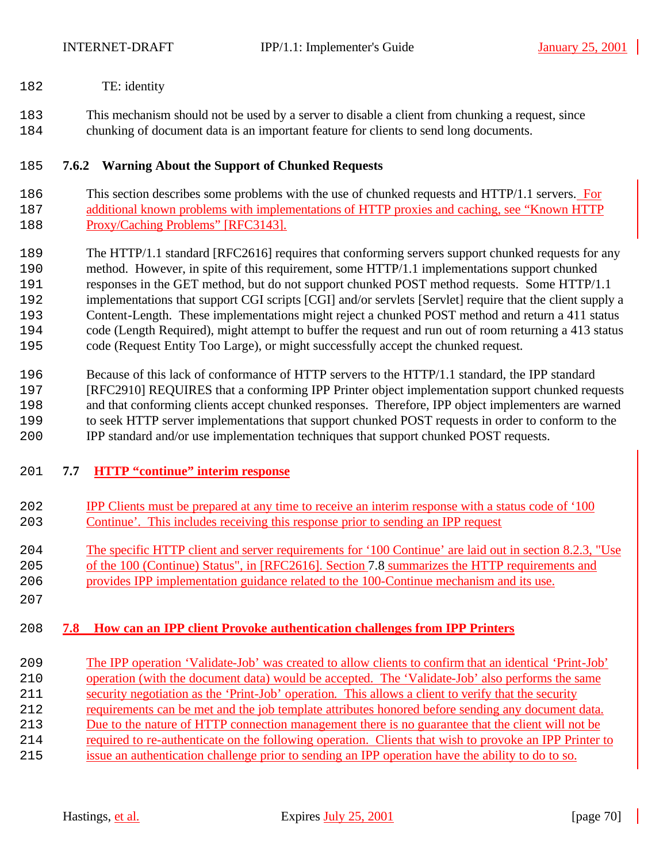- 182 TE: identity
- This mechanism should not be used by a server to disable a client from chunking a request, since chunking of document data is an important feature for clients to send long documents.

# **7.6.2 Warning About the Support of Chunked Requests**

- 2186 This section describes some problems with the use of chunked requests and HTTP/1.1 servers. For additional known problems with implementations of HTTP proxies and caching, see "Known HTTP Proxy/Caching Problems" [RFC3143].
- The HTTP/1.1 standard [RFC2616] requires that conforming servers support chunked requests for any method. However, in spite of this requirement, some HTTP/1.1 implementations support chunked responses in the GET method, but do not support chunked POST method requests. Some HTTP/1.1 192 implementations that support CGI scripts [CGI] and/or servlets [Servlet] require that the client supply a Content-Length. These implementations might reject a chunked POST method and return a 411 status code (Length Required), might attempt to buffer the request and run out of room returning a 413 status code (Request Entity Too Large), or might successfully accept the chunked request.
- Because of this lack of conformance of HTTP servers to the HTTP/1.1 standard, the IPP standard [RFC2910] REQUIRES that a conforming IPP Printer object implementation support chunked requests and that conforming clients accept chunked responses. Therefore, IPP object implementers are warned to seek HTTP server implementations that support chunked POST requests in order to conform to the IPP standard and/or use implementation techniques that support chunked POST requests.

# **7.7 HTTP "continue" interim response**

 IPP Clients must be prepared at any time to receive an interim response with a status code of '100 Continue'. This includes receiving this response prior to sending an IPP request The specific HTTP client and server requirements for '100 Continue' are laid out in section 8.2.3, "Use of the 100 (Continue) Status", in [RFC2616]. Section 7.8 summarizes the HTTP requirements and provides IPP implementation guidance related to the 100-Continue mechanism and its use. 

# **7.8 How can an IPP client Provoke authentication challenges from IPP Printers**

 The IPP operation 'Validate-Job' was created to allow clients to confirm that an identical 'Print-Job' 210 operation (with the document data) would be accepted. The 'Validate-Job' also performs the same security negotiation as the 'Print-Job' operation. This allows a client to verify that the security requirements can be met and the job template attributes honored before sending any document data. Due to the nature of HTTP connection management there is no guarantee that the client will not be required to re-authenticate on the following operation. Clients that wish to provoke an IPP Printer to issue an authentication challenge prior to sending an IPP operation have the ability to do to so.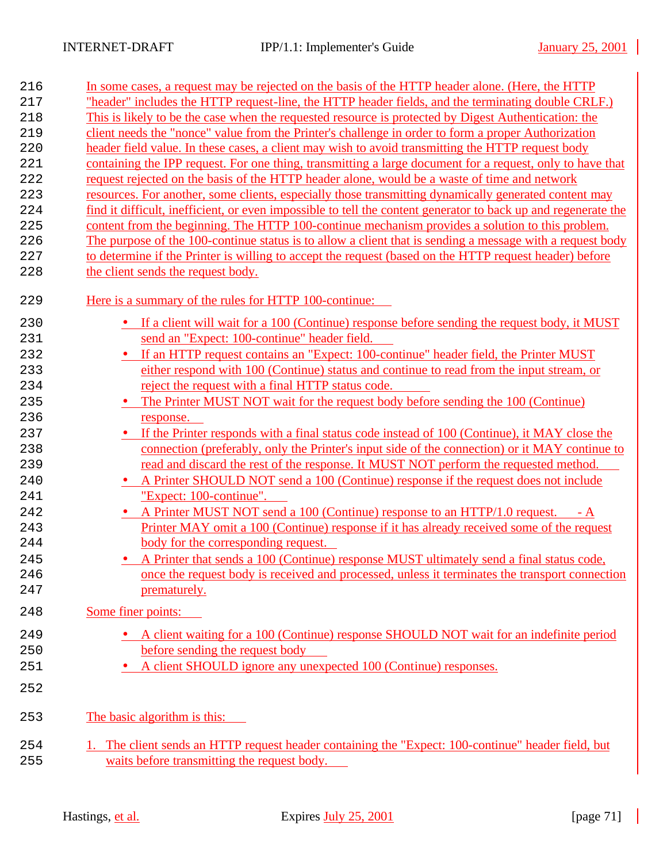| 216 | In some cases, a request may be rejected on the basis of the HTTP header alone. (Here, the HTTP                |
|-----|----------------------------------------------------------------------------------------------------------------|
| 217 | "header" includes the HTTP request-line, the HTTP header fields, and the terminating double CRLF.)             |
| 218 | This is likely to be the case when the requested resource is protected by Digest Authentication: the           |
| 219 | client needs the "nonce" value from the Printer's challenge in order to form a proper Authorization            |
| 220 | header field value. In these cases, a client may wish to avoid transmitting the HTTP request body              |
| 221 | containing the IPP request. For one thing, transmitting a large document for a request, only to have that      |
| 222 | request rejected on the basis of the HTTP header alone, would be a waste of time and network                   |
| 223 | resources. For another, some clients, especially those transmitting dynamically generated content may          |
| 224 | find it difficult, inefficient, or even impossible to tell the content generator to back up and regenerate the |
| 225 | content from the beginning. The HTTP 100-continue mechanism provides a solution to this problem.               |
| 226 | The purpose of the 100-continue status is to allow a client that is sending a message with a request body      |
| 227 | to determine if the Printer is willing to accept the request (based on the HTTP request header) before         |
| 228 | the client sends the request body.                                                                             |
| 229 | Here is a summary of the rules for HTTP 100-continue:                                                          |
| 230 | • If a client will wait for a 100 (Continue) response before sending the request body, it MUST                 |
| 231 | send an "Expect: 100-continue" header field.                                                                   |
| 232 | • If an HTTP request contains an "Expect: 100-continue" header field, the Printer MUST                         |
| 233 | either respond with 100 (Continue) status and continue to read from the input stream, or                       |
| 234 | reject the request with a final HTTP status code.                                                              |
| 235 | The Printer MUST NOT wait for the request body before sending the 100 (Continue)<br>$\bullet$                  |
| 236 | response.                                                                                                      |
| 237 | • If the Printer responds with a final status code instead of 100 (Continue), it MAY close the                 |
| 238 | connection (preferably, only the Printer's input side of the connection) or it MAY continue to                 |
| 239 | read and discard the rest of the response. It MUST NOT perform the requested method.                           |
| 240 | • A Printer SHOULD NOT send a 100 (Continue) response if the request does not include                          |
| 241 | "Expect: 100-continue".                                                                                        |
| 242 | • A Printer MUST NOT send a 100 (Continue) response to an HTTP/1.0 request. - A                                |
| 243 | Printer MAY omit a 100 (Continue) response if it has already received some of the request                      |
| 244 | body for the corresponding request.                                                                            |
| 245 | • A Printer that sends a 100 (Continue) response MUST ultimately send a final status code,                     |
| 246 | once the request body is received and processed, unless it terminates the transport connection                 |
| 247 | prematurely.                                                                                                   |
|     |                                                                                                                |
| 248 | Some finer points:                                                                                             |
| 249 | • A client waiting for a 100 (Continue) response SHOULD NOT wait for an indefinite period                      |
| 250 | before sending the request body                                                                                |
| 251 | A client SHOULD ignore any unexpected 100 (Continue) responses.                                                |
| 252 |                                                                                                                |
| 253 | The basic algorithm is this:                                                                                   |
| 254 | 1. The client sends an HTTP request header containing the "Expect: 100-continue" header field, but             |
| 255 | waits before transmitting the request body.                                                                    |
|     |                                                                                                                |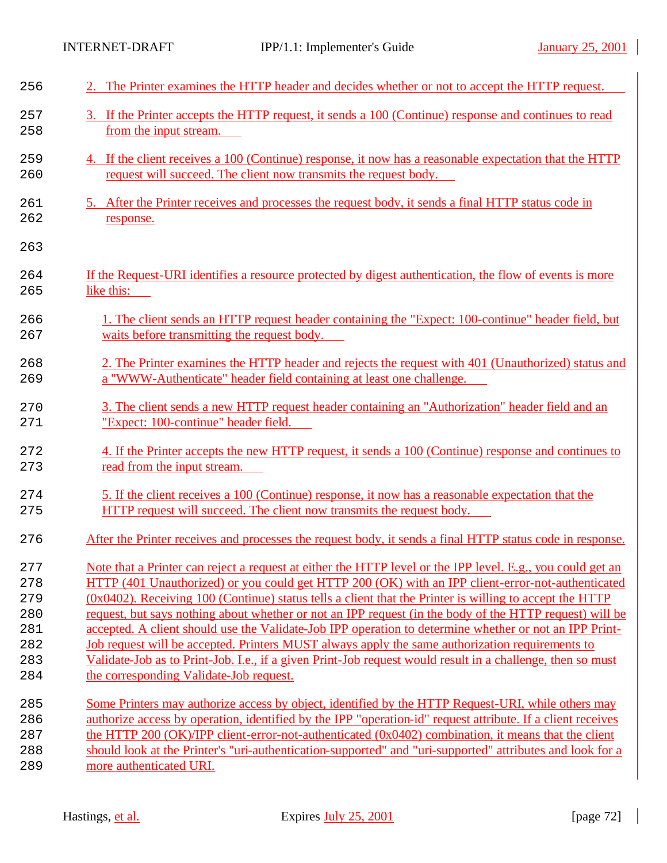| 256 | 2. The Printer examines the HTTP header and decides whether or not to accept the HTTP request.                 |
|-----|----------------------------------------------------------------------------------------------------------------|
| 257 | 3. If the Printer accepts the HTTP request, it sends a 100 (Continue) response and continues to read           |
| 258 | from the input stream.                                                                                         |
| 259 | 4. If the client receives a 100 (Continue) response, it now has a reasonable expectation that the HTTP         |
| 260 | request will succeed. The client now transmits the request body.                                               |
| 261 | 5. After the Printer receives and processes the request body, it sends a final HTTP status code in             |
| 262 | response.                                                                                                      |
| 263 |                                                                                                                |
| 264 | If the Request-URI identifies a resource protected by digest authentication, the flow of events is more        |
| 265 | like this:                                                                                                     |
| 266 | 1. The client sends an HTTP request header containing the "Expect: 100-continue" header field, but             |
| 267 | waits before transmitting the request body.                                                                    |
| 268 | 2. The Printer examines the HTTP header and rejects the request with 401 (Unauthorized) status and             |
| 269 | a "WWW-Authenticate" header field containing at least one challenge.                                           |
| 270 | 3. The client sends a new HTTP request header containing an "Authorization" header field and an                |
| 271 | "Expect: 100-continue" header field.                                                                           |
| 272 | 4. If the Printer accepts the new HTTP request, it sends a 100 (Continue) response and continues to            |
| 273 | read from the input stream.                                                                                    |
| 274 | 5. If the client receives a 100 (Continue) response, it now has a reasonable expectation that the              |
| 275 | <b>HTTP</b> request will succeed. The client now transmits the request body.                                   |
| 276 | After the Printer receives and processes the request body, it sends a final HTTP status code in response.      |
| 277 | Note that a Printer can reject a request at either the HTTP level or the IPP level. E.g., you could get an     |
| 278 | HTTP (401 Unauthorized) or you could get HTTP 200 (OK) with an IPP client-error-not-authenticated              |
| 279 | $(0x0402)$ . Receiving 100 (Continue) status tells a client that the Printer is willing to accept the HTTP     |
| 280 | request, but says nothing about whether or not an IPP request (in the body of the HTTP request) will be        |
| 281 | accepted. A client should use the Validate-Job IPP operation to determine whether or not an IPP Print-         |
| 282 | Job request will be accepted. Printers MUST always apply the same authorization requirements to                |
| 283 | Validate-Job as to Print-Job. I.e., if a given Print-Job request would result in a challenge, then so must     |
| 284 | the corresponding Validate-Job request.                                                                        |
| 285 | Some Printers may authorize access by object, identified by the HTTP Request-URI, while others may             |
| 286 | authorize access by operation, identified by the IPP "operation-id" request attribute. If a client receives    |
| 287 | the HTTP $200 \frac{(OK)}{PP}$ client-error-not-authenticated $(0x0402)$ combination, it means that the client |
| 288 | should look at the Printer's "uri-authentication-supported" and "uri-supported" attributes and look for a      |
| 289 | more authenticated URI.                                                                                        |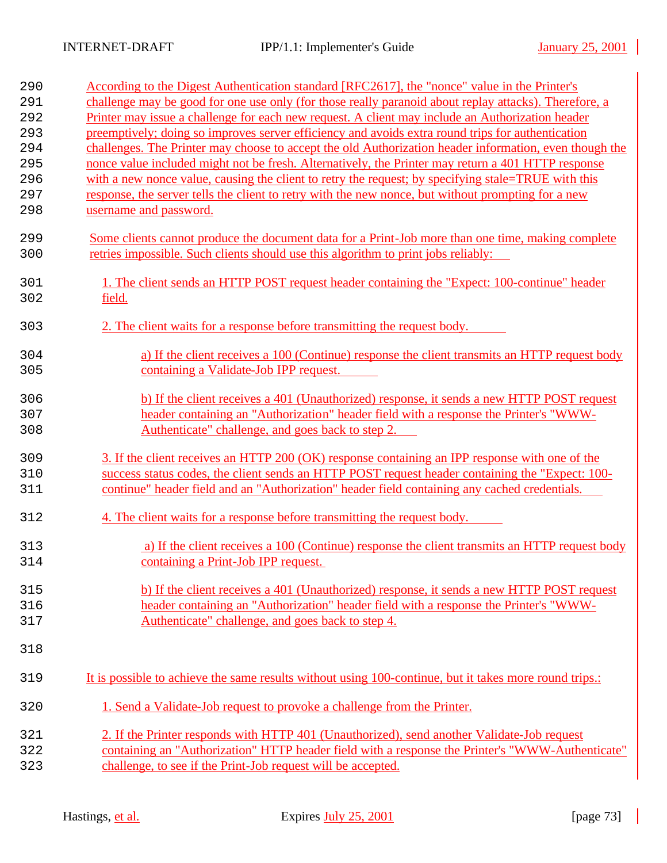| 290        | According to the Digest Authentication standard [RFC2617], the "nonce" value in the Printer's          |
|------------|--------------------------------------------------------------------------------------------------------|
| 291        | challenge may be good for one use only (for those really paranoid about replay attacks). Therefore, a  |
| 292        | Printer may issue a challenge for each new request. A client may include an Authorization header       |
| 293        | preemptively; doing so improves server efficiency and avoids extra round trips for authentication      |
| 294        | challenges. The Printer may choose to accept the old Authorization header information, even though the |
| 295        | nonce value included might not be fresh. Alternatively, the Printer may return a 401 HTTP response     |
| 296        | with a new nonce value, causing the client to retry the request; by specifying stale=TRUE with this    |
| 297        | response, the server tells the client to retry with the new nonce, but without prompting for a new     |
| 298        | username and password.                                                                                 |
| 299        | Some clients cannot produce the document data for a Print-Job more than one time, making complete      |
| 300        | retries impossible. Such clients should use this algorithm to print jobs reliably:                     |
| 301<br>302 | 1. The client sends an HTTP POST request header containing the "Expect: 100-continue" header<br>field. |
| 303        | 2. The client waits for a response before transmitting the request body.                               |
| 304        | a) If the client receives a 100 (Continue) response the client transmits an HTTP request body          |
| 305        | containing a Validate-Job IPP request.                                                                 |
|            |                                                                                                        |
| 306        | b) If the client receives a 401 (Unauthorized) response, it sends a new HTTP POST request              |
| 307        | header containing an "Authorization" header field with a response the Printer's "WWW-                  |
| 308        | Authenticate" challenge, and goes back to step 2.                                                      |
| 309        | 3. If the client receives an HTTP 200 (OK) response containing an IPP response with one of the         |
| 310        | success status codes, the client sends an HTTP POST request header containing the "Expect: 100-        |
| 311        | continue" header field and an "Authorization" header field containing any cached credentials.          |
| 312        | 4. The client waits for a response before transmitting the request body.                               |
| 313        | a) If the client receives a 100 (Continue) response the client transmits an HTTP request body          |
| 314        | containing a Print-Job IPP request.                                                                    |
| 315        | b) If the client receives a 401 (Unauthorized) response, it sends a new HTTP POST request              |
| 316        | header containing an "Authorization" header field with a response the Printer's "WWW-                  |
| 317        | Authenticate" challenge, and goes back to step 4.                                                      |
| 318        |                                                                                                        |
| 319        | It is possible to achieve the same results without using 100-continue, but it takes more round trips.: |
| 320        | 1. Send a Validate-Job request to provoke a challenge from the Printer.                                |
| 321        | 2. If the Printer responds with HTTP 401 (Unauthorized), send another Validate-Job request             |
| 322        | containing an "Authorization" HTTP header field with a response the Printer's "WWW-Authenticate"       |
| 323        | challenge, to see if the Print-Job request will be accepted.                                           |
|            |                                                                                                        |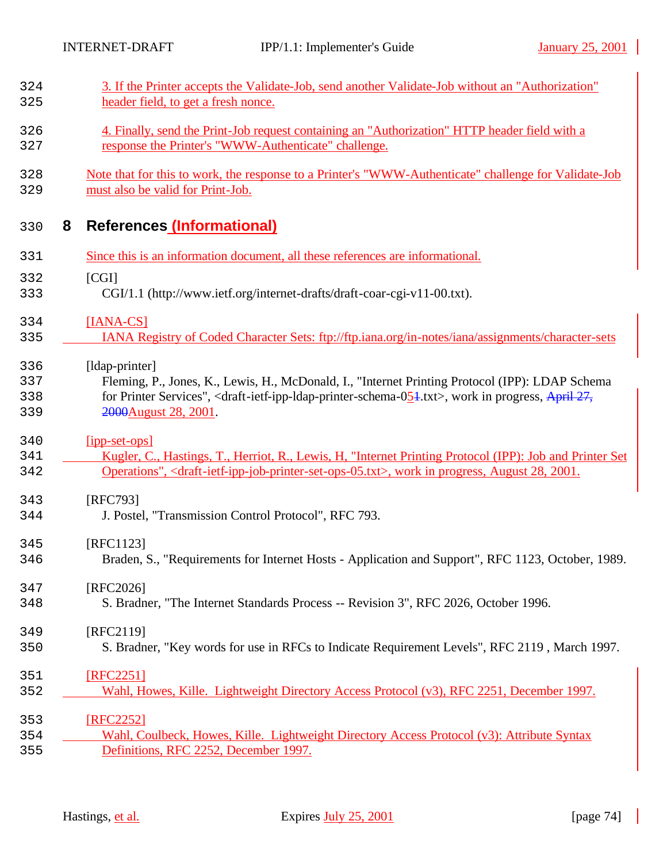| 324<br>325               |   | 3. If the Printer accepts the Validate-Job, send another Validate-Job without an "Authorization"<br>header field, to get a fresh nonce.                                                                                                                                                              |
|--------------------------|---|------------------------------------------------------------------------------------------------------------------------------------------------------------------------------------------------------------------------------------------------------------------------------------------------------|
| 326<br>327               |   | 4. Finally, send the Print-Job request containing an "Authorization" HTTP header field with a<br>response the Printer's "WWW-Authenticate" challenge.                                                                                                                                                |
| 328<br>329               |   | Note that for this to work, the response to a Printer's "WWW-Authenticate" challenge for Validate-Job<br>must also be valid for Print-Job.                                                                                                                                                           |
| 330                      | 8 | <b>References (Informational)</b>                                                                                                                                                                                                                                                                    |
| 331                      |   | Since this is an information document, all these references are informational.                                                                                                                                                                                                                       |
| 332<br>333               |   | [CGI]<br>CGI/1.1 (http://www.ietf.org/internet-drafts/draft-coar-cgi-v11-00.txt).                                                                                                                                                                                                                    |
| 334<br>335               |   | $[IANA-CS]$<br>IANA Registry of Coded Character Sets: ftp://ftp.iana.org/in-notes/iana/assignments/character-sets                                                                                                                                                                                    |
| 336<br>337<br>338<br>339 |   | [ldap-printer]<br>Fleming, P., Jones, K., Lewis, H., McDonald, I., "Internet Printing Protocol (IPP): LDAP Schema<br>for Printer Services", <draft-ietf-ipp-ldap-printer-schema-<math>0.54.txt&gt;, work in progress, April 27,<br/>2000 August 28, 2001.</draft-ietf-ipp-ldap-printer-schema-<math> |
| 340<br>341<br>342        |   | $[$ ipp-set-ops]<br>Kugler, C., Hastings, T., Herriot, R., Lewis, H. "Internet Printing Protocol (IPP): Job and Printer Set<br>Operations", <draft-ietf-ipp-job-printer-set-ops-05.txt>, work in progress, August 28, 2001.</draft-ietf-ipp-job-printer-set-ops-05.txt>                              |
| 343<br>344               |   | [RFC793]<br>J. Postel, "Transmission Control Protocol", RFC 793.                                                                                                                                                                                                                                     |
| 345<br>346               |   | [RFC1123]<br>Braden, S., "Requirements for Internet Hosts - Application and Support", RFC 1123, October, 1989.                                                                                                                                                                                       |
| 347<br>348               |   | [RFC2026]<br>S. Bradner, "The Internet Standards Process -- Revision 3", RFC 2026, October 1996.                                                                                                                                                                                                     |
| 349<br>350               |   | [RFC2119]<br>S. Bradner, "Key words for use in RFCs to Indicate Requirement Levels", RFC 2119, March 1997.                                                                                                                                                                                           |
| 351<br>352               |   | [RFC2251]<br>Wahl, Howes, Kille. Lightweight Directory Access Protocol (v3), RFC 2251, December 1997.                                                                                                                                                                                                |
| 353<br>354<br>355        |   | [RFC2252]<br>Wahl, Coulbeck, Howes, Kille. Lightweight Directory Access Protocol (v3): Attribute Syntax<br>Definitions, RFC 2252, December 1997.                                                                                                                                                     |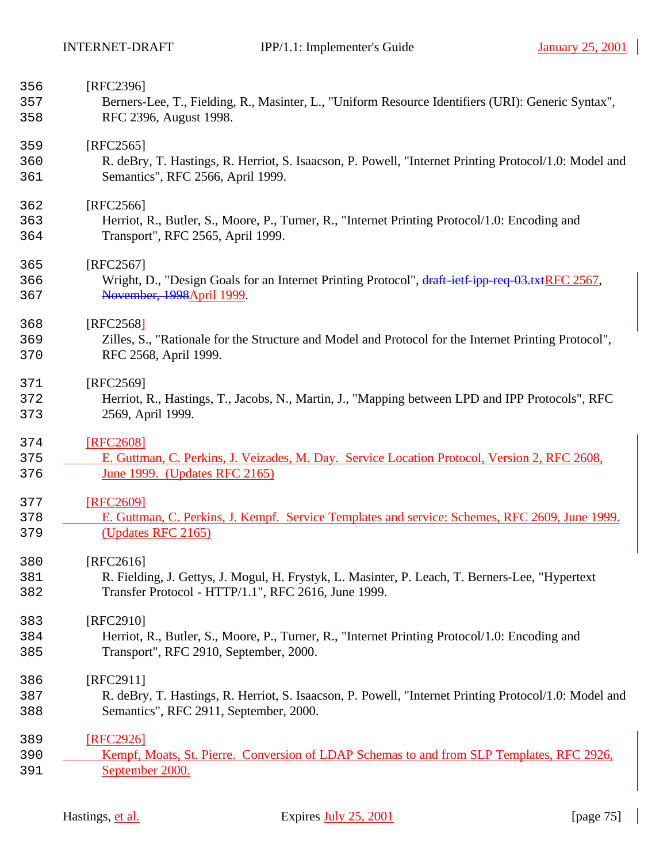| Berners-Lee, T., Fielding, R., Masinter, L., "Uniform Resource Identifiers (URI): Generic Syntax",    |
|-------------------------------------------------------------------------------------------------------|
|                                                                                                       |
|                                                                                                       |
|                                                                                                       |
| R. deBry, T. Hastings, R. Herriot, S. Isaacson, P. Powell, "Internet Printing Protocol/1.0: Model and |
|                                                                                                       |
|                                                                                                       |
|                                                                                                       |
| Herriot, R., Butler, S., Moore, P., Turner, R., "Internet Printing Protocol/1.0: Encoding and         |
|                                                                                                       |
|                                                                                                       |
| Wright, D., "Design Goals for an Internet Printing Protocol", draft-ietf-ipp-req-03.txtRFC 2567,      |
|                                                                                                       |
|                                                                                                       |
|                                                                                                       |
| Zilles, S., "Rationale for the Structure and Model and Protocol for the Internet Printing Protocol",  |
|                                                                                                       |
|                                                                                                       |
| Herriot, R., Hastings, T., Jacobs, N., Martin, J., "Mapping between LPD and IPP Protocols", RFC       |
|                                                                                                       |
|                                                                                                       |
|                                                                                                       |
| E. Guttman, C. Perkins, J. Veizades, M. Day. Service Location Protocol, Version 2, RFC 2608,          |
|                                                                                                       |
|                                                                                                       |
| E. Guttman, C. Perkins, J. Kempf. Service Templates and service: Schemes, RFC 2609, June 1999.        |
|                                                                                                       |
|                                                                                                       |
|                                                                                                       |
| R. Fielding, J. Gettys, J. Mogul, H. Frystyk, L. Masinter, P. Leach, T. Berners-Lee, "Hypertext       |
| Transfer Protocol - HTTP/1.1", RFC 2616, June 1999.                                                   |
|                                                                                                       |
|                                                                                                       |
|                                                                                                       |
| Herriot, R., Butler, S., Moore, P., Turner, R., "Internet Printing Protocol/1.0: Encoding and         |
|                                                                                                       |
|                                                                                                       |
| R. deBry, T. Hastings, R. Herriot, S. Isaacson, P. Powell, "Internet Printing Protocol/1.0: Model and |
|                                                                                                       |
|                                                                                                       |
| Kempf, Moats, St. Pierre. Conversion of LDAP Schemas to and from SLP Templates, RFC 2926,             |
|                                                                                                       |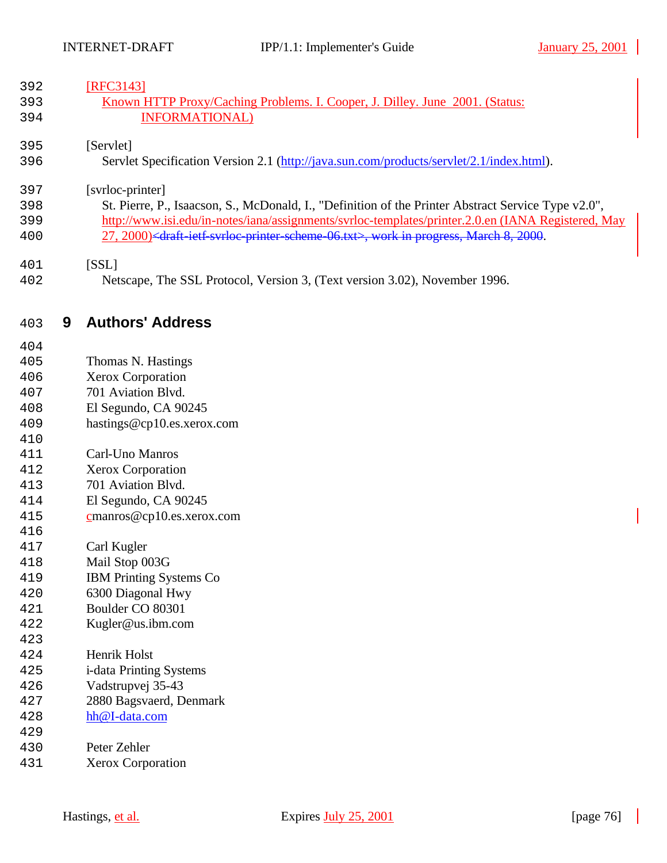| 392 |   | [RFC3143]                                                                                                                       |
|-----|---|---------------------------------------------------------------------------------------------------------------------------------|
| 393 |   | Known HTTP Proxy/Caching Problems. I. Cooper, J. Dilley. June 2001. (Status:                                                    |
| 394 |   | <b>INFORMATIONAL</b> )                                                                                                          |
|     |   |                                                                                                                                 |
| 395 |   | [Servlet]                                                                                                                       |
|     |   |                                                                                                                                 |
| 396 |   | Servlet Specification Version 2.1 (http://java.sun.com/products/servlet/2.1/index.html).                                        |
| 397 |   |                                                                                                                                 |
|     |   | [svrloc-printer]                                                                                                                |
| 398 |   | St. Pierre, P., Isaacson, S., McDonald, I., "Definition of the Printer Abstract Service Type v2.0",                             |
| 399 |   | http://www.isi.edu/in-notes/iana/assignments/svrloc-templates/printer.2.0.en (IANA Registered, May                              |
| 400 |   | 27, 2000) <draft-ietf-svrloc-printer-scheme-06.txt>, work in progress, March 8, 2000.</draft-ietf-svrloc-printer-scheme-06.txt> |
|     |   |                                                                                                                                 |
| 401 |   | [SSL]                                                                                                                           |
| 402 |   | Netscape, The SSL Protocol, Version 3, (Text version 3.02), November 1996.                                                      |
|     |   |                                                                                                                                 |
|     |   | <b>Authors' Address</b>                                                                                                         |
| 403 | 9 |                                                                                                                                 |
| 404 |   |                                                                                                                                 |
| 405 |   | Thomas N. Hastings                                                                                                              |
| 406 |   | Xerox Corporation                                                                                                               |
| 407 |   | 701 Aviation Blvd.                                                                                                              |
| 408 |   | El Segundo, CA 90245                                                                                                            |
| 409 |   | hastings@cp10.es.xerox.com                                                                                                      |
|     |   |                                                                                                                                 |
| 410 |   |                                                                                                                                 |
| 411 |   | Carl-Uno Manros                                                                                                                 |
| 412 |   | <b>Xerox Corporation</b>                                                                                                        |
| 413 |   | 701 Aviation Blvd.                                                                                                              |
| 414 |   | El Segundo, CA 90245                                                                                                            |
| 415 |   | $c$ manros@cp10.es.xerox.com                                                                                                    |
| 416 |   |                                                                                                                                 |
| 417 |   | Carl Kugler                                                                                                                     |
| 418 |   | Mail Stop 003G                                                                                                                  |
| 419 |   | <b>IBM Printing Systems Co</b>                                                                                                  |
| 420 |   | 6300 Diagonal Hwy                                                                                                               |
| 421 |   | Boulder CO 80301                                                                                                                |
| 422 |   | Kugler@us.ibm.com                                                                                                               |
| 423 |   |                                                                                                                                 |
| 424 |   | Henrik Holst                                                                                                                    |
| 425 |   | i-data Printing Systems                                                                                                         |
| 426 |   | Vadstrupvej 35-43                                                                                                               |
| 427 |   | 2880 Bagsvaerd, Denmark                                                                                                         |
| 428 |   | hh@I-data.com                                                                                                                   |
| 429 |   |                                                                                                                                 |
|     |   |                                                                                                                                 |
| 430 |   | Peter Zehler                                                                                                                    |

Xerox Corporation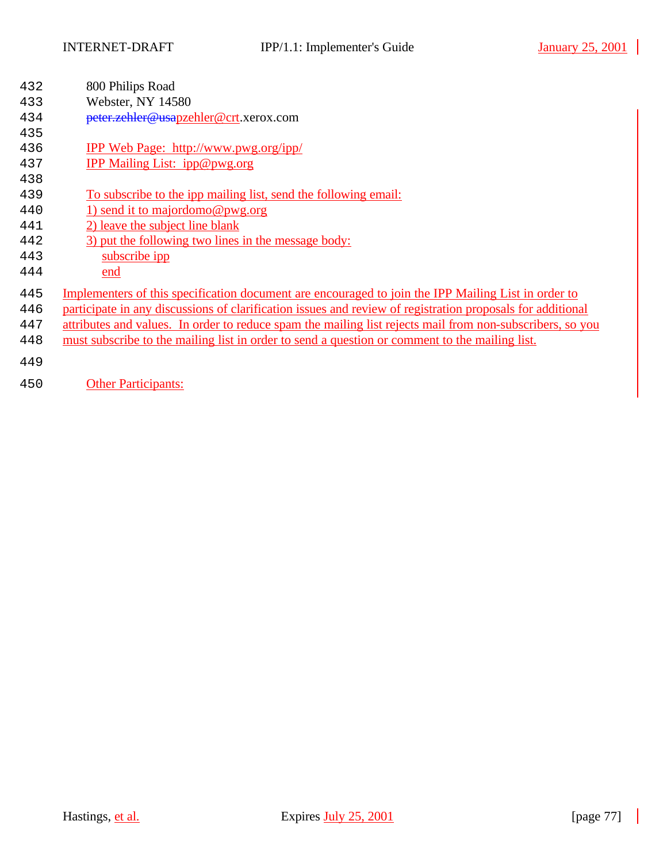| 432 | 800 Philips Road<br>Webster, NY 14580                                                                      |
|-----|------------------------------------------------------------------------------------------------------------|
| 433 |                                                                                                            |
| 434 | peter.zehler@usapzehler@crt.xerox.com                                                                      |
| 435 |                                                                                                            |
| 436 | <b>IPP Web Page: http://www.pwg.org/ipp/</b>                                                               |
| 437 | IPP Mailing List: ipp@pwg.org                                                                              |
| 438 |                                                                                                            |
| 439 | To subscribe to the ipp mailing list, send the following email:                                            |
| 440 | 1) send it to majordomo@pwg.org                                                                            |
| 441 | 2) leave the subject line blank                                                                            |
| 442 | 3) put the following two lines in the message body:                                                        |
| 443 | subscribe ipp                                                                                              |
| 444 | end                                                                                                        |
| 445 | Implementers of this specification document are encouraged to join the IPP Mailing List in order to        |
| 446 | participate in any discussions of clarification issues and review of registration proposals for additional |
| 447 | attributes and values. In order to reduce spam the mailing list rejects mail from non-subscribers, so you  |
| 448 | must subscribe to the mailing list in order to send a question or comment to the mailing list.             |
|     |                                                                                                            |
| 449 |                                                                                                            |
| 450 | <b>Other Participants:</b>                                                                                 |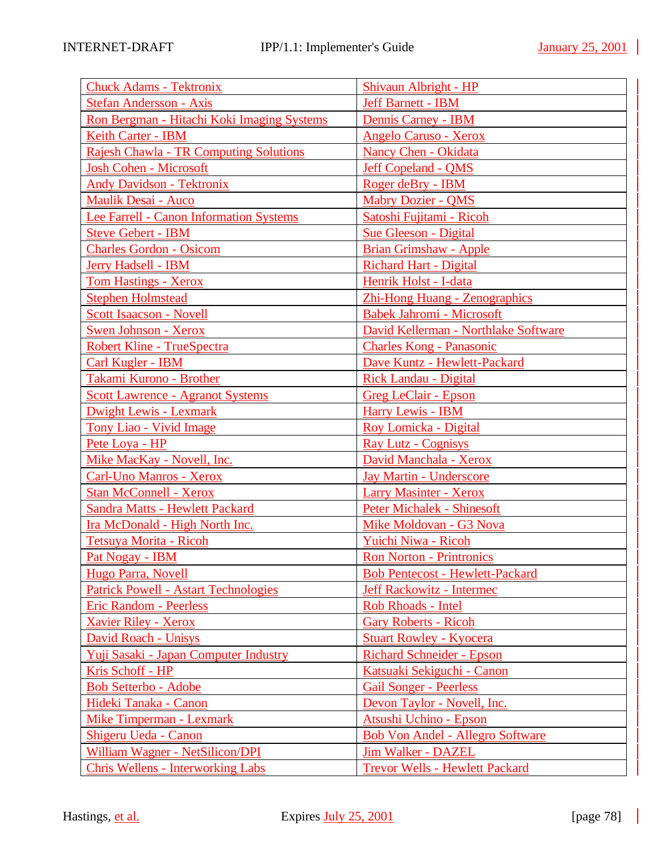| <b>Chuck Adams - Tektronix</b>                 | Shivaun Albright - HP                   |
|------------------------------------------------|-----------------------------------------|
| <b>Stefan Andersson - Axis</b>                 | Jeff Barnett - IBM                      |
| Ron Bergman - Hitachi Koki Imaging Systems     | <b>Dennis Carney - IBM</b>              |
| Keith Carter - IBM                             | <b>Angelo Caruso - Xerox</b>            |
| <b>Rajesh Chawla - TR Computing Solutions</b>  | Nancy Chen - Okidata                    |
| <b>Josh Cohen - Microsoft</b>                  | <b>Jeff Copeland - QMS</b>              |
| <b>Andy Davidson - Tektronix</b>               | Roger deBry - IBM                       |
| <b>Maulik Desai - Auco</b>                     | <b>Mabry Dozier - QMS</b>               |
| <b>Lee Farrell - Canon Information Systems</b> | Satoshi Fujitami - Ricoh                |
| <b>Steve Gebert - IBM</b>                      | <b>Sue Gleeson - Digital</b>            |
| <b>Charles Gordon - Osicom</b>                 | <b>Brian Grimshaw - Apple</b>           |
| <b>Jerry Hadsell - IBM</b>                     | <b>Richard Hart - Digital</b>           |
| <b>Tom Hastings - Xerox</b>                    | Henrik Holst - I-data                   |
| <b>Stephen Holmstead</b>                       | Zhi-Hong Huang - Zenographics           |
| <b>Scott Isaacson - Novell</b>                 | <b>Babek Jahromi - Microsoft</b>        |
| <b>Swen Johnson - Xerox</b>                    | David Kellerman - Northlake Software    |
| Robert Kline - TrueSpectra                     | <b>Charles Kong - Panasonic</b>         |
| <b>Carl Kugler - IBM</b>                       | Dave Kuntz - Hewlett-Packard            |
| Takami Kurono - Brother                        | <b>Rick Landau - Digital</b>            |
| <b>Scott Lawrence - Agranot Systems</b>        | <b>Greg LeClair - Epson</b>             |
| <b>Dwight Lewis - Lexmark</b>                  | <b>Harry Lewis - IBM</b>                |
| <b>Tony Liao - Vivid Image</b>                 | Roy Lomicka - Digital                   |
| Pete Loya - HP                                 | <b>Ray Lutz - Cognisys</b>              |
| Mike MacKay - Novell, Inc.                     | David Manchala - Xerox                  |
| <b>Carl-Uno Manros - Xerox</b>                 | <b>Jay Martin - Underscore</b>          |
| <b>Stan McConnell - Xerox</b>                  | <b>Larry Masinter - Xerox</b>           |
| <b>Sandra Matts - Hewlett Packard</b>          | <b>Peter Michalek - Shinesoft</b>       |
| Ira McDonald - High North Inc.                 | Mike Moldovan - G3 Nova                 |
| Tetsuya Morita - Ricoh                         | Yuichi Niwa - Ricoh                     |
| Pat Nogay - IBM                                | <b>Ron Norton - Printronics</b>         |
| <b>Hugo Parra, Novell</b>                      | <b>Bob Pentecost - Hewlett-Packard</b>  |
| <b>Patrick Powell - Astart Technologies</b>    | <b>Jeff Rackowitz - Intermec</b>        |
| <b>Eric Random - Peerless</b>                  | Rob Rhoads - Intel                      |
| <b>Xavier Riley - Xerox</b>                    | <b>Gary Roberts - Ricoh</b>             |
| David Roach - Unisys                           | <b>Stuart Rowley - Kyocera</b>          |
| Yuji Sasaki - Japan Computer Industry          | <b>Richard Schneider - Epson</b>        |
| Kris Schoff - HP                               | Katsuaki Sekiguchi - Canon              |
| <b>Bob Setterbo - Adobe</b>                    | <b>Gail Songer - Peerless</b>           |
| Hideki Tanaka - Canon                          | Devon Taylor - Novell, Inc.             |
| <b>Mike Timperman - Lexmark</b>                | Atsushi Uchino - Epson                  |
| Shigeru Ueda - Canon                           | <b>Bob Von Andel - Allegro Software</b> |
| William Wagner - NetSilicon/DPI                | <b>Jim Walker - DAZEL</b>               |
| <b>Chris Wellens - Interworking Labs</b>       | <b>Trevor Wells - Hewlett Packard</b>   |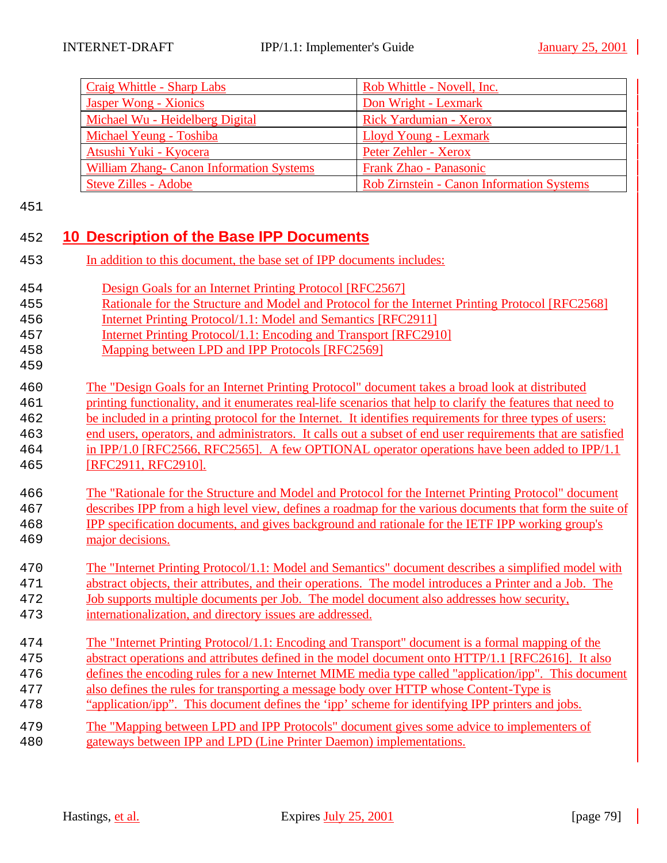| Craig Whittle - Sharp Labs                      | Rob Whittle - Novell, Inc.                       |
|-------------------------------------------------|--------------------------------------------------|
| Jasper Wong - Xionics                           | Don Wright - Lexmark                             |
| Michael Wu - Heidelberg Digital                 | Rick Yardumian - Xerox                           |
| Michael Yeung - Toshiba                         | <b>Lloyd Young - Lexmark</b>                     |
| Atsushi Yuki - Kyocera                          | Peter Zehler - Xerox                             |
| <b>William Zhang- Canon Information Systems</b> | Frank Zhao - Panasonic                           |
| <b>Steve Zilles - Adobe</b>                     | <b>Rob Zirnstein - Canon Information Systems</b> |

## 

## **10 Description of the Base IPP Documents**

| In addition to this document, the base set of IPP documents includes:<br>453 |
|------------------------------------------------------------------------------|
|------------------------------------------------------------------------------|

| 454 | Design Goals for an Internet Printing Protocol [RFC2567] |
|-----|----------------------------------------------------------|
|     |                                                          |

- Rationale for the Structure and Model and Protocol for the Internet Printing Protocol [RFC2568]
- Internet Printing Protocol/1.1: Model and Semantics [RFC2911]
- Internet Printing Protocol/1.1: Encoding and Transport [RFC2910]
- Mapping between LPD and IPP Protocols [RFC2569]
- The "Design Goals for an Internet Printing Protocol" document takes a broad look at distributed
- printing functionality, and it enumerates real-life scenarios that help to clarify the features that need to
- be included in a printing protocol for the Internet. It identifies requirements for three types of users:
- end users, operators, and administrators. It calls out a subset of end user requirements that are satisfied in IPP/1.0 [RFC2566, RFC2565]. A few OPTIONAL operator operations have been added to IPP/1.1 [RFC2911, RFC2910].
- The "Rationale for the Structure and Model and Protocol for the Internet Printing Protocol" document describes IPP from a high level view, defines a roadmap for the various documents that form the suite of
- IPP specification documents, and gives background and rationale for the IETF IPP working group's major decisions.
- The "Internet Printing Protocol/1.1: Model and Semantics" document describes a simplified model with
- abstract objects, their attributes, and their operations. The model introduces a Printer and a Job. The
- Job supports multiple documents per Job. The model document also addresses how security,
- internationalization, and directory issues are addressed.
- The "Internet Printing Protocol/1.1: Encoding and Transport" document is a formal mapping of the abstract operations and attributes defined in the model document onto HTTP/1.1 [RFC2616]. It also defines the encoding rules for a new Internet MIME media type called "application/ipp". This document
- also defines the rules for transporting a message body over HTTP whose Content-Type is
- "application/ipp". This document defines the 'ipp' scheme for identifying IPP printers and jobs.
- The "Mapping between LPD and IPP Protocols" document gives some advice to implementers of gateways between IPP and LPD (Line Printer Daemon) implementations.